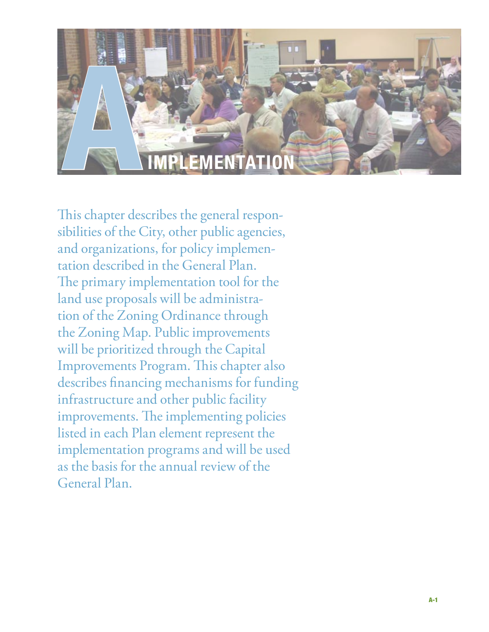

This chapter describes the general responsibilities of the City, other public agencies, and organizations, for policy implementation described in the General Plan. The primary implementation tool for the land use proposals will be administration of the Zoning Ordinance through the Zoning Map. Public improvements will be prioritized through the Capital Improvements Program. This chapter also describes financing mechanisms for funding infrastructure and other public facility improvements. The implementing policies listed in each Plan element represent the implementation programs and will be used as the basis for the annual review of the General Plan.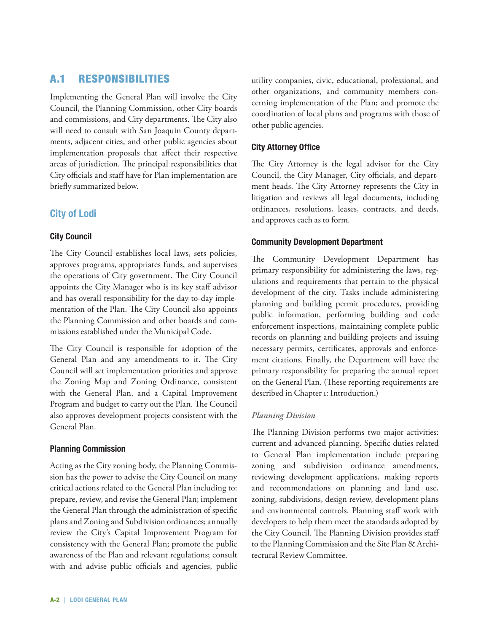# A.1 Responsibilities

Implementing the General Plan will involve the City Council, the Planning Commission, other City boards and commissions, and City departments. The City also will need to consult with San Joaquin County departments, adjacent cities, and other public agencies about implementation proposals that affect their respective areas of jurisdiction. The principal responsibilities that City officials and staff have for Plan implementation are briefly summarized below.

# **City of Lodi**

#### **City Council**

The City Council establishes local laws, sets policies, approves programs, appropriates funds, and supervises the operations of City government. The City Council appoints the City Manager who is its key staff advisor and has overall responsibility for the day-to-day implementation of the Plan. The City Council also appoints the Planning Commission and other boards and commissions established under the Municipal Code.

The City Council is responsible for adoption of the General Plan and any amendments to it. The City Council will set implementation priorities and approve the Zoning Map and Zoning Ordinance, consistent with the General Plan, and a Capital Improvement Program and budget to carry out the Plan. The Council also approves development projects consistent with the General Plan.

#### **Planning Commission**

Acting as the City zoning body, the Planning Commission has the power to advise the City Council on many critical actions related to the General Plan including to: prepare, review, and revise the General Plan; implement the General Plan through the administration of specific plans and Zoning and Subdivision ordinances; annually review the City's Capital Improvement Program for consistency with the General Plan; promote the public awareness of the Plan and relevant regulations; consult with and advise public officials and agencies, public

utility companies, civic, educational, professional, and other organizations, and community members concerning implementation of the Plan; and promote the coordination of local plans and programs with those of other public agencies.

#### **City Attorney Office**

The City Attorney is the legal advisor for the City Council, the City Manager, City officials, and department heads. The City Attorney represents the City in litigation and reviews all legal documents, including ordinances, resolutions, leases, contracts, and deeds, and approves each as to form.

#### **Community Development Department**

The Community Development Department has primary responsibility for administering the laws, regulations and requirements that pertain to the physical development of the city. Tasks include administering planning and building permit procedures, providing public information, performing building and code enforcement inspections, maintaining complete public records on planning and building projects and issuing necessary permits, certificates, approvals and enforcement citations. Finally, the Department will have the primary responsibility for preparing the annual report on the General Plan. (These reporting requirements are described in Chapter 1: Introduction.)

#### *Planning Division*

The Planning Division performs two major activities: current and advanced planning. Specific duties related to General Plan implementation include preparing zoning and subdivision ordinance amendments, reviewing development applications, making reports and recommendations on planning and land use, zoning, subdivisions, design review, development plans and environmental controls. Planning staff work with developers to help them meet the standards adopted by the City Council. The Planning Division provides staff to the Planning Commission and the Site Plan & Architectural Review Committee.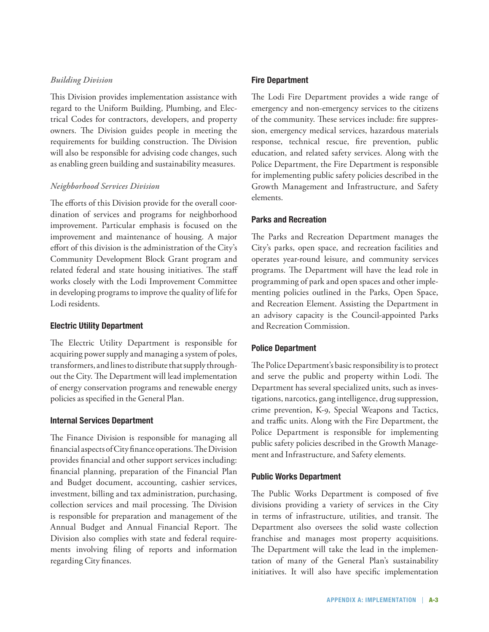#### *Building Division*

This Division provides implementation assistance with regard to the Uniform Building, Plumbing, and Electrical Codes for contractors, developers, and property owners. The Division guides people in meeting the requirements for building construction. The Division will also be responsible for advising code changes, such as enabling green building and sustainability measures.

#### *Neighborhood Services Division*

The efforts of this Division provide for the overall coordination of services and programs for neighborhood improvement. Particular emphasis is focused on the improvement and maintenance of housing. A major effort of this division is the administration of the City's Community Development Block Grant program and related federal and state housing initiatives. The staff works closely with the Lodi Improvement Committee in developing programs to improve the quality of life for Lodi residents.

#### **Electric Utility Department**

The Electric Utility Department is responsible for acquiring power supply and managing a system of poles, transformers, and lines to distribute that supply throughout the City. The Department will lead implementation of energy conservation programs and renewable energy policies as specified in the General Plan.

#### **Internal Services Department**

The Finance Division is responsible for managing all financial aspects of City finance operations. The Division provides financial and other support services including: financial planning, preparation of the Financial Plan and Budget document, accounting, cashier services, investment, billing and tax administration, purchasing, collection services and mail processing. The Division is responsible for preparation and management of the Annual Budget and Annual Financial Report. The Division also complies with state and federal requirements involving filing of reports and information regarding City finances.

#### **Fire Department**

The Lodi Fire Department provides a wide range of emergency and non-emergency services to the citizens of the community. These services include: fire suppression, emergency medical services, hazardous materials response, technical rescue, fire prevention, public education, and related safety services. Along with the Police Department, the Fire Department is responsible for implementing public safety policies described in the Growth Management and Infrastructure, and Safety elements.

#### **Parks and Recreation**

The Parks and Recreation Department manages the City's parks, open space, and recreation facilities and operates year-round leisure, and community services programs. The Department will have the lead role in programming of park and open spaces and other implementing policies outlined in the Parks, Open Space, and Recreation Element. Assisting the Department in an advisory capacity is the Council-appointed Parks and Recreation Commission.

# **Police Department**

The Police Department's basic responsibility is to protect and serve the public and property within Lodi. The Department has several specialized units, such as investigations, narcotics, gang intelligence, drug suppression, crime prevention, K-9, Special Weapons and Tactics, and traffic units. Along with the Fire Department, the Police Department is responsible for implementing public safety policies described in the Growth Management and Infrastructure, and Safety elements.

#### **Public Works Department**

The Public Works Department is composed of five divisions providing a variety of services in the City in terms of infrastructure, utilities, and transit. The Department also oversees the solid waste collection franchise and manages most property acquisitions. The Department will take the lead in the implementation of many of the General Plan's sustainability initiatives. It will also have specific implementation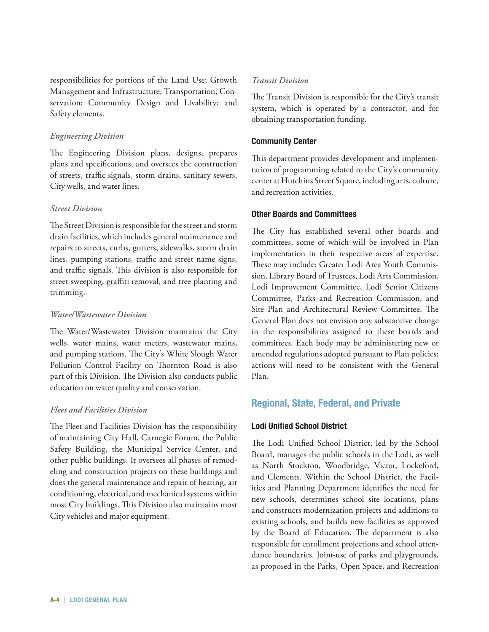responsibilities for portions of the Land Use; Growth Management and Infrastructure; Transportation; Conservation; Community Design and Livability; and Safety elements.

#### *Engineering Division*

The Engineering Division plans, designs, prepares plans and specifications, and oversees the construction of streets, traffic signals, storm drains, sanitary sewers, City wells, and water lines.

#### *Street Division*

The Street Division is responsible for the street and storm drain facilities, which includes general maintenance and repairs to streets, curbs, gutters, sidewalks, storm drain lines, pumping stations, traffic and street name signs, and traffic signals. This division is also responsible for street sweeping, graffiti removal, and tree planting and trimming.

#### *Water/Wastewater Division*

The Water/Wastewater Division maintains the City wells, water mains, water meters, wastewater mains, and pumping stations. The City's White Slough Water Pollution Control Facility on Thornton Road is also part of this Division. The Division also conducts public education on water quality and conservation.

# *Fleet and Facilities Division*

The Fleet and Facilities Division has the responsibility of maintaining City Hall, Carnegie Forum, the Public Safety Building, the Municipal Service Center, and other public buildings. It oversees all phases of remodeling and construction projects on these buildings and does the general maintenance and repair of heating, air conditioning, electrical, and mechanical systems within most City buildings. This Division also maintains most City vehicles and major equipment.

#### *Transit Division*

The Transit Division is responsible for the City's transit system, which is operated by a contractor, and for obtaining transportation funding.

#### **Community Center**

This department provides development and implementation of programming related to the City's community center at Hutchins Street Square, including arts, culture, and recreation activities.

#### **Other Boards and Committees**

The City has established several other boards and committees, some of which will be involved in Plan implementation in their respective areas of expertise. These may include: Greater Lodi Area Youth Commission, Library Board of Trustees, Lodi Arts Commission, Lodi Improvement Committee, Lodi Senior Citizens Committee, Parks and Recreation Commission, and Site Plan and Architectural Review Committee. The General Plan does not envision any substantive change in the responsibilities assigned to these boards and committees. Each body may be administering new or amended regulations adopted pursuant to Plan policies; actions will need to be consistent with the General Plan.

# **Regional, State, Federal, and Private**

# **Lodi Unified School District**

The Lodi Unified School District, led by the School Board, manages the public schools in the Lodi, as well as North Stockton, Woodbridge, Victor, Lockeford, and Clements. Within the School District, the Facilities and Planning Department identifies the need for new schools, determines school site locations, plans and constructs modernization projects and additions to existing schools, and builds new facilities as approved by the Board of Education. The department is also responsible for enrollment projections and school attendance boundaries. Joint-use of parks and playgrounds, as proposed in the Parks, Open Space, and Recreation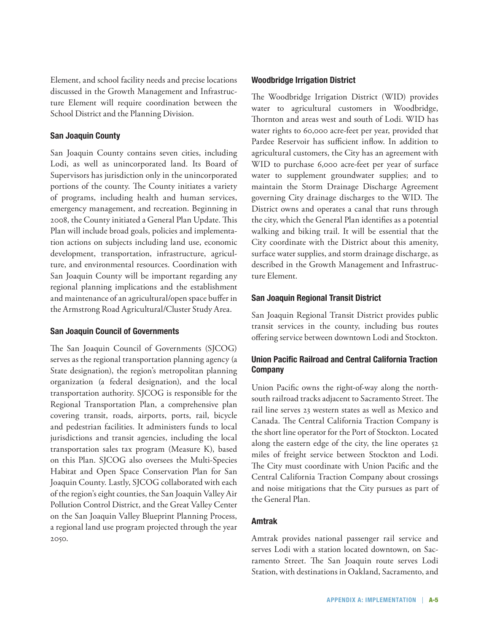Element, and school facility needs and precise locations discussed in the Growth Management and Infrastructure Element will require coordination between the School District and the Planning Division.

#### **San Joaquin County**

San Joaquin County contains seven cities, including Lodi, as well as unincorporated land. Its Board of Supervisors has jurisdiction only in the unincorporated portions of the county. The County initiates a variety of programs, including health and human services, emergency management, and recreation. Beginning in 2008, the County initiated a General Plan Update. This Plan will include broad goals, policies and implementation actions on subjects including land use, economic development, transportation, infrastructure, agriculture, and environmental resources. Coordination with San Joaquin County will be important regarding any regional planning implications and the establishment and maintenance of an agricultural/open space buffer in the Armstrong Road Agricultural/Cluster Study Area.

#### **San Joaquin Council of Governments**

The San Joaquin Council of Governments (SJCOG) serves as the regional transportation planning agency (a State designation), the region's metropolitan planning organization (a federal designation), and the local transportation authority. SJCOG is responsible for the Regional Transportation Plan, a comprehensive plan covering transit, roads, airports, ports, rail, bicycle and pedestrian facilities. It administers funds to local jurisdictions and transit agencies, including the local transportation sales tax program (Measure K), based on this Plan. SJCOG also oversees the Multi-Species Habitat and Open Space Conservation Plan for San Joaquin County. Lastly, SJCOG collaborated with each of the region's eight counties, the San Joaquin Valley Air Pollution Control District, and the Great Valley Center on the San Joaquin Valley Blueprint Planning Process, a regional land use program projected through the year 2050.

#### **Woodbridge Irrigation District**

The Woodbridge Irrigation District (WID) provides water to agricultural customers in Woodbridge, Thornton and areas west and south of Lodi. WID has water rights to 60,000 acre-feet per year, provided that Pardee Reservoir has sufficient inflow. In addition to agricultural customers, the City has an agreement with WID to purchase 6,000 acre-feet per year of surface water to supplement groundwater supplies; and to maintain the Storm Drainage Discharge Agreement governing City drainage discharges to the WID. The District owns and operates a canal that runs through the city, which the General Plan identifies as a potential walking and biking trail. It will be essential that the City coordinate with the District about this amenity, surface water supplies, and storm drainage discharge, as described in the Growth Management and Infrastructure Element.

# **San Joaquin Regional Transit District**

San Joaquin Regional Transit District provides public transit services in the county, including bus routes offering service between downtown Lodi and Stockton.

# **Union Pacific Railroad and Central California Traction Company**

Union Pacific owns the right-of-way along the northsouth railroad tracks adjacent to Sacramento Street. The rail line serves 23 western states as well as Mexico and Canada. The Central California Traction Company is the short line operator for the Port of Stockton. Located along the eastern edge of the city, the line operates 52 miles of freight service between Stockton and Lodi. The City must coordinate with Union Pacific and the Central California Traction Company about crossings and noise mitigations that the City pursues as part of the General Plan.

#### **Amtrak**

Amtrak provides national passenger rail service and serves Lodi with a station located downtown, on Sacramento Street. The San Joaquin route serves Lodi Station, with destinations in Oakland, Sacramento, and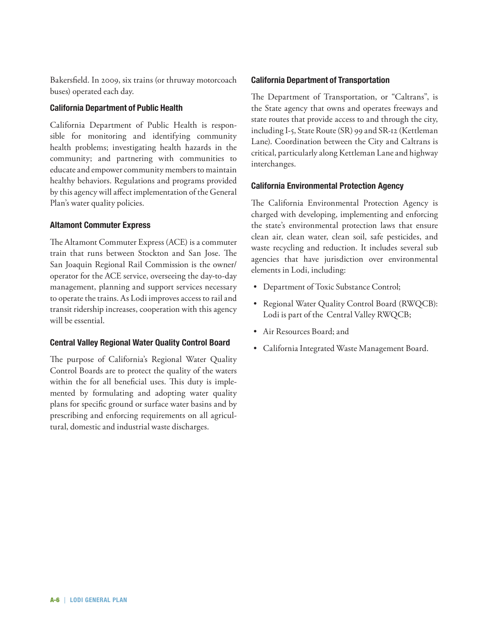Bakersfield. In 2009, six trains (or thruway motorcoach buses) operated each day.

# **California Department of Public Health**

California Department of Public Health is responsible for monitoring and identifying community health problems; investigating health hazards in the community; and partnering with communities to educate and empower community members to maintain healthy behaviors. Regulations and programs provided by this agency will affect implementation of the General Plan's water quality policies.

# **Altamont Commuter Express**

The Altamont Commuter Express (ACE) is a commuter train that runs between Stockton and San Jose. The San Joaquin Regional Rail Commission is the owner/ operator for the ACE service, overseeing the day-to-day management, planning and support services necessary to operate the trains. As Lodi improves access to rail and transit ridership increases, cooperation with this agency will be essential.

# **Central Valley Regional Water Quality Control Board**

The purpose of California's Regional Water Quality Control Boards are to protect the quality of the waters within the for all beneficial uses. This duty is implemented by formulating and adopting water quality plans for specific ground or surface water basins and by prescribing and enforcing requirements on all agricultural, domestic and industrial waste discharges.

# **California Department of Transportation**

The Department of Transportation, or "Caltrans", is the State agency that owns and operates freeways and state routes that provide access to and through the city, including I-5, State Route (SR) 99 and SR-12 (Kettleman Lane). Coordination between the City and Caltrans is critical, particularly along Kettleman Lane and highway interchanges.

# **California Environmental Protection Agency**

The California Environmental Protection Agency is charged with developing, implementing and enforcing the state's environmental protection laws that ensure clean air, clean water, clean soil, safe pesticides, and waste recycling and reduction. It includes several sub agencies that have jurisdiction over environmental elements in Lodi, including:

- • Department of Toxic Substance Control;
- Regional Water Quality Control Board (RWQCB): Lodi is part of the Central Valley RWQCB;
- • Air Resources Board; and
- • California Integrated Waste Management Board.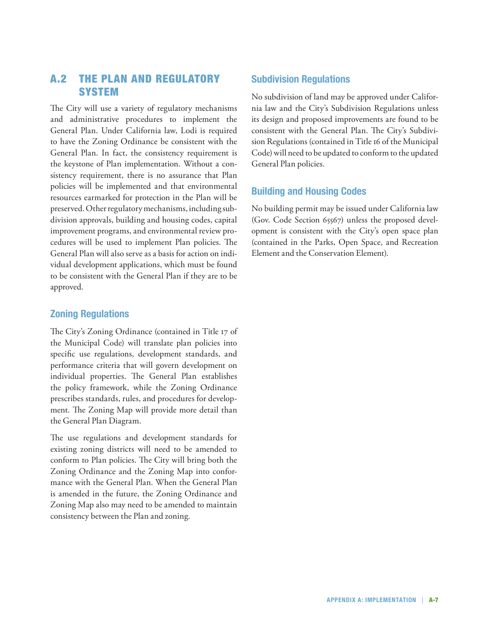# A.2 The Plan and Regulatory **SYSTEM**

The City will use a variety of regulatory mechanisms and administrative procedures to implement the General Plan. Under California law, Lodi is required to have the Zoning Ordinance be consistent with the General Plan. In fact, the consistency requirement is the keystone of Plan implementation. Without a consistency requirement, there is no assurance that Plan policies will be implemented and that environmental resources earmarked for protection in the Plan will be preserved. Other regulatory mechanisms, including subdivision approvals, building and housing codes, capital improvement programs, and environmental review procedures will be used to implement Plan policies. The General Plan will also serve as a basis for action on individual development applications, which must be found to be consistent with the General Plan if they are to be approved.

# **Zoning Regulations**

The City's Zoning Ordinance (contained in Title 17 of the Municipal Code) will translate plan policies into specific use regulations, development standards, and performance criteria that will govern development on individual properties. The General Plan establishes the policy framework, while the Zoning Ordinance prescribes standards, rules, and procedures for development. The Zoning Map will provide more detail than the General Plan Diagram.

The use regulations and development standards for existing zoning districts will need to be amended to conform to Plan policies. The City will bring both the Zoning Ordinance and the Zoning Map into conformance with the General Plan. When the General Plan is amended in the future, the Zoning Ordinance and Zoning Map also may need to be amended to maintain consistency between the Plan and zoning.

# **Subdivision Regulations**

No subdivision of land may be approved under California law and the City's Subdivision Regulations unless its design and proposed improvements are found to be consistent with the General Plan. The City's Subdivision Regulations (contained in Title 16 of the Municipal Code) will need to be updated to conform to the updated General Plan policies.

# **Building and Housing Codes**

No building permit may be issued under California law (Gov. Code Section 65567) unless the proposed development is consistent with the City's open space plan (contained in the Parks, Open Space, and Recreation Element and the Conservation Element).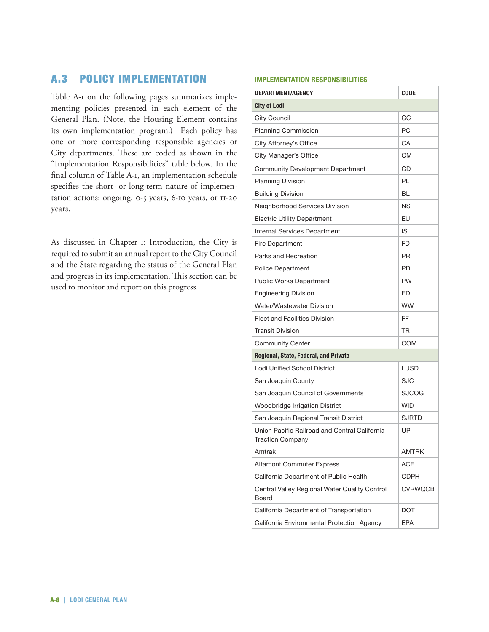# A.3 PolicY IMplementation

Table A-1 on the following pages summarizes implementing policies presented in each element of the General Plan. (Note, the Housing Element contains its own implementation program.) Each policy has one or more corresponding responsible agencies or City departments. These are coded as shown in the "Implementation Responsibilities" table below. In the final column of Table A-1, an implementation schedule specifies the short- or long-term nature of implementation actions: ongoing, 0-5 years, 6-10 years, or 11-20 years.

As discussed in Chapter 1: Introduction, the City is required to submit an annual report to the City Council and the State regarding the status of the General Plan and progress in its implementation. This section can be used to monitor and report on this progress.

#### **Implementation Responsibilities**

| DEPARTMENT/AGENCY                                                        | <b>CODE</b>  |
|--------------------------------------------------------------------------|--------------|
| <b>City of Lodi</b>                                                      |              |
| City Council                                                             | CС           |
| <b>Planning Commission</b>                                               | РC           |
| City Attorney's Office                                                   | CA           |
| City Manager's Office                                                    | СM           |
| Community Development Department                                         | CD           |
| <b>Planning Division</b>                                                 | PL           |
| <b>Building Division</b>                                                 | BL           |
| Neighborhood Services Division                                           | <b>NS</b>    |
| <b>Electric Utility Department</b>                                       | EU           |
| Internal Services Department                                             | IS           |
| Fire Department                                                          | <b>FD</b>    |
| Parks and Recreation                                                     | PR.          |
| <b>Police Department</b>                                                 | <b>PD</b>    |
| <b>Public Works Department</b>                                           | <b>PW</b>    |
| <b>Engineering Division</b>                                              | ED           |
| Water/Wastewater Division                                                | <b>WW</b>    |
| <b>Fleet and Facilities Division</b>                                     | FF           |
| <b>Transit Division</b>                                                  | TR           |
| Community Center                                                         | COM          |
| Regional, State, Federal, and Private                                    |              |
| Lodi Unified School District                                             | LUSD         |
| San Joaquin County                                                       | SJC          |
| San Joaquin Council of Governments                                       | SJCOG        |
| Woodbridge Irrigation District                                           | <b>WID</b>   |
| San Joaquin Regional Transit District                                    | <b>SJRTD</b> |
| Union Pacific Railroad and Central California<br><b>Traction Company</b> | UP           |
| Amtrak                                                                   | <b>AMTRK</b> |
| <b>Altamont Commuter Express</b>                                         | <b>ACE</b>   |
| California Department of Public Health                                   | CDPH         |
| Central Valley Regional Water Quality Control<br>Board                   | CVRWQCB      |
| California Department of Transportation                                  | DOT          |
| California Environmental Protection Agency                               | EPA          |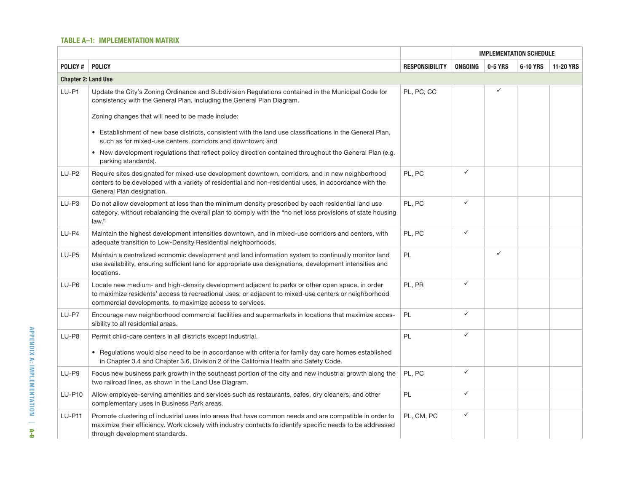#### **Table A–1: Implementation MAtrix**

|                            |                                                                                                                                                                                                                                                                     |                       |              |              | <b>IMPLEMENTATION SCHEDULE</b> |                  |
|----------------------------|---------------------------------------------------------------------------------------------------------------------------------------------------------------------------------------------------------------------------------------------------------------------|-----------------------|--------------|--------------|--------------------------------|------------------|
| <b>POLICY#</b>             | <b>POLICY</b>                                                                                                                                                                                                                                                       | <b>RESPONSIBILITY</b> | ONGOING      | 0-5 YRS      | 6-10 YRS                       | <b>11-20 YRS</b> |
| <b>Chapter 2: Land Use</b> |                                                                                                                                                                                                                                                                     |                       |              |              |                                |                  |
| LU-P1                      | Update the City's Zoning Ordinance and Subdivision Regulations contained in the Municipal Code for<br>consistency with the General Plan, including the General Plan Diagram.                                                                                        | PL, PC, CC            |              | ✓            |                                |                  |
|                            | Zoning changes that will need to be made include:                                                                                                                                                                                                                   |                       |              |              |                                |                  |
|                            | • Establishment of new base districts, consistent with the land use classifications in the General Plan,<br>such as for mixed-use centers, corridors and downtown; and                                                                                              |                       |              |              |                                |                  |
|                            | . New development regulations that reflect policy direction contained throughout the General Plan (e.g.<br>parking standards).                                                                                                                                      |                       |              |              |                                |                  |
| LU-P2                      | Require sites designated for mixed-use development downtown, corridors, and in new neighborhood<br>centers to be developed with a variety of residential and non-residential uses, in accordance with the<br>General Plan designation.                              | PL, PC                | $\checkmark$ |              |                                |                  |
| LU-P3                      | Do not allow development at less than the minimum density prescribed by each residential land use<br>category, without rebalancing the overall plan to comply with the "no net loss provisions of state housing<br>law."                                            | PL, PC                | $\checkmark$ |              |                                |                  |
| $LU-P4$                    | Maintain the highest development intensities downtown, and in mixed-use corridors and centers, with<br>adequate transition to Low-Density Residential neighborhoods.                                                                                                | PL, PC                | $\checkmark$ |              |                                |                  |
| $LU-PS$                    | Maintain a centralized economic development and land information system to continually monitor land<br>use availability, ensuring sufficient land for appropriate use designations, development intensities and<br>locations.                                       | PL                    |              | $\checkmark$ |                                |                  |
| $LU-P6$                    | Locate new medium- and high-density development adjacent to parks or other open space, in order<br>to maximize residents' access to recreational uses; or adjacent to mixed-use centers or neighborhood<br>commercial developments, to maximize access to services. | PL, PR                | $\checkmark$ |              |                                |                  |
| LU-P7                      | Encourage new neighborhood commercial facilities and supermarkets in locations that maximize acces-<br>sibility to all residential areas.                                                                                                                           | <b>PL</b>             | $\checkmark$ |              |                                |                  |
| LU-P8                      | Permit child-care centers in all districts except Industrial.                                                                                                                                                                                                       | PL                    | $\checkmark$ |              |                                |                  |
|                            | • Regulations would also need to be in accordance with criteria for family day care homes established<br>in Chapter 3.4 and Chapter 3.6, Division 2 of the California Health and Safety Code.                                                                       |                       |              |              |                                |                  |
| LU-P9                      | Focus new business park growth in the southeast portion of the city and new industrial growth along the<br>two railroad lines, as shown in the Land Use Diagram.                                                                                                    | PL, PC                | $\checkmark$ |              |                                |                  |
| <b>LU-P10</b>              | Allow employee-serving amenities and services such as restaurants, cafes, dry cleaners, and other<br>complementary uses in Business Park areas.                                                                                                                     | PL                    | $\checkmark$ |              |                                |                  |
| <b>LU-P11</b>              | Promote clustering of industrial uses into areas that have common needs and are compatible in order to<br>maximize their efficiency. Work closely with industry contacts to identify specific needs to be addressed<br>through development standards.               | PL, CM, PC            | $\checkmark$ |              |                                |                  |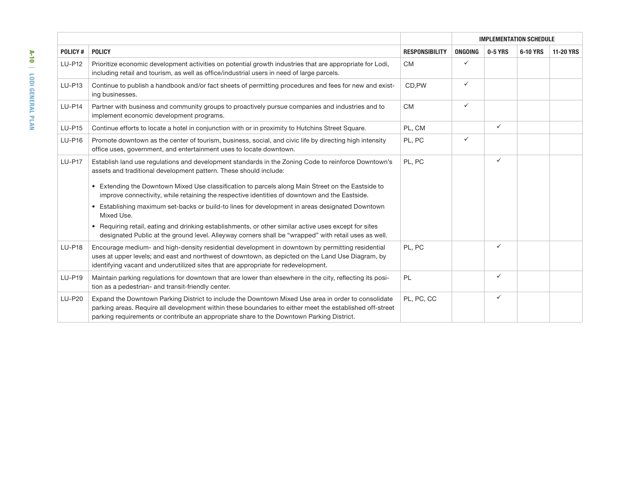|                |                                                                                                                                                                                                                                                                                                              |                       |              | <b>IMPLEMENTATION SCHEDULE</b> |          |                  |
|----------------|--------------------------------------------------------------------------------------------------------------------------------------------------------------------------------------------------------------------------------------------------------------------------------------------------------------|-----------------------|--------------|--------------------------------|----------|------------------|
| <b>POLICY#</b> | <b>POLICY</b>                                                                                                                                                                                                                                                                                                | <b>RESPONSIBILITY</b> | ONGOING      | 0-5 YRS                        | 6-10 YRS | <b>11-20 YRS</b> |
| <b>LU-P12</b>  | Prioritize economic development activities on potential growth industries that are appropriate for Lodi,<br>including retail and tourism, as well as office/industrial users in need of large parcels.                                                                                                       | <b>CM</b>             | ✓            |                                |          |                  |
| LU-P13         | Continue to publish a handbook and/or fact sheets of permitting procedures and fees for new and exist-<br>ing businesses.                                                                                                                                                                                    | CD,PW                 | ✓            |                                |          |                  |
| <b>LU-P14</b>  | Partner with business and community groups to proactively pursue companies and industries and to<br>implement economic development programs.                                                                                                                                                                 | <b>CM</b>             | $\checkmark$ |                                |          |                  |
| <b>LU-P15</b>  | Continue efforts to locate a hotel in conjunction with or in proximity to Hutchins Street Square.                                                                                                                                                                                                            | PL, CM                |              | $\checkmark$                   |          |                  |
| <b>LU-P16</b>  | Promote downtown as the center of tourism, business, social, and civic life by directing high intensity<br>office uses, government, and entertainment uses to locate downtown.                                                                                                                               | PL, PC                | ✓            |                                |          |                  |
| <b>LU-P17</b>  | Establish land use regulations and development standards in the Zoning Code to reinforce Downtown's<br>assets and traditional development pattern. These should include:<br>• Extending the Downtown Mixed Use classification to parcels along Main Street on the Eastside to                                | PL, PC                |              | $\checkmark$                   |          |                  |
|                | improve connectivity, while retaining the respective identities of downtown and the Eastside.                                                                                                                                                                                                                |                       |              |                                |          |                  |
|                | • Establishing maximum set-backs or build-to lines for development in areas designated Downtown<br>Mixed Use.                                                                                                                                                                                                |                       |              |                                |          |                  |
|                | • Requiring retail, eating and drinking establishments, or other similar active uses except for sites<br>designated Public at the ground level. Alleyway corners shall be "wrapped" with retail uses as well.                                                                                                |                       |              |                                |          |                  |
| <b>LU-P18</b>  | Encourage medium- and high-density residential development in downtown by permitting residential<br>uses at upper levels; and east and northwest of downtown, as depicted on the Land Use Diagram, by<br>identifying vacant and underutilized sites that are appropriate for redevelopment.                  | PL, PC                |              | $\checkmark$                   |          |                  |
| <b>LU-P19</b>  | Maintain parking regulations for downtown that are lower than elsewhere in the city, reflecting its posi-<br>tion as a pedestrian- and transit-friendly center.                                                                                                                                              | <b>PL</b>             |              | $\checkmark$                   |          |                  |
| <b>LU-P20</b>  | Expand the Downtown Parking District to include the Downtown Mixed Use area in order to consolidate<br>parking areas. Require all development within these boundaries to either meet the established off-street<br>parking requirements or contribute an appropriate share to the Downtown Parking District. | PL. PC. CC            |              | $\checkmark$                   |          |                  |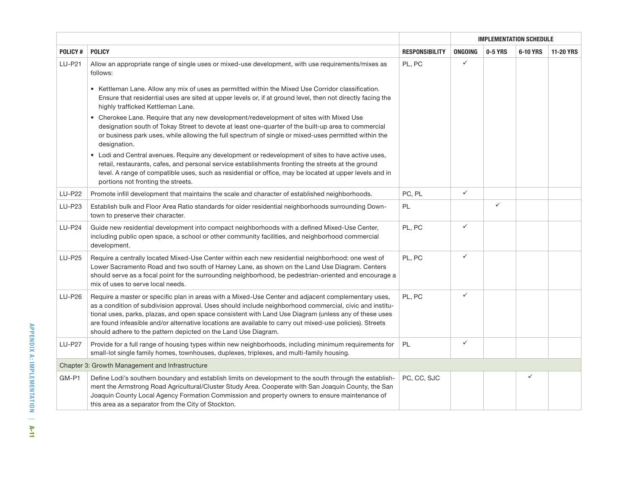|               |                                                                                                                                                                                                                                                                                                                                                                                                                                                                                                        |                       |         | <b>IMPLEMENTATION SCHEDULE</b><br>0-5 YRS<br>6-10 YRS<br>$\checkmark$<br>$\checkmark$<br>$\checkmark$<br>$\checkmark$<br>$\checkmark$<br>$\checkmark$<br>$\checkmark$<br>$\checkmark$ |  |                  |
|---------------|--------------------------------------------------------------------------------------------------------------------------------------------------------------------------------------------------------------------------------------------------------------------------------------------------------------------------------------------------------------------------------------------------------------------------------------------------------------------------------------------------------|-----------------------|---------|---------------------------------------------------------------------------------------------------------------------------------------------------------------------------------------|--|------------------|
| POLICY#       | <b>POLICY</b>                                                                                                                                                                                                                                                                                                                                                                                                                                                                                          | <b>RESPONSIBILITY</b> | ONGOING |                                                                                                                                                                                       |  | <b>11-20 YRS</b> |
| <b>LU-P21</b> | Allow an appropriate range of single uses or mixed-use development, with use requirements/mixes as<br>follows:                                                                                                                                                                                                                                                                                                                                                                                         | PL, PC                |         |                                                                                                                                                                                       |  |                  |
|               | • Kettleman Lane. Allow any mix of uses as permitted within the Mixed Use Corridor classification.<br>Ensure that residential uses are sited at upper levels or, if at ground level, then not directly facing the<br>highly trafficked Kettleman Lane.                                                                                                                                                                                                                                                 |                       |         |                                                                                                                                                                                       |  |                  |
|               | • Cherokee Lane. Require that any new development/redevelopment of sites with Mixed Use<br>designation south of Tokay Street to devote at least one-quarter of the built-up area to commercial<br>or business park uses, while allowing the full spectrum of single or mixed-uses permitted within the<br>designation.                                                                                                                                                                                 |                       |         |                                                                                                                                                                                       |  |                  |
|               | • Lodi and Central avenues. Require any development or redevelopment of sites to have active uses,<br>retail, restaurants, cafes, and personal service establishments fronting the streets at the ground<br>level. A range of compatible uses, such as residential or office, may be located at upper levels and in<br>portions not fronting the streets.                                                                                                                                              |                       |         |                                                                                                                                                                                       |  |                  |
| <b>LU-P22</b> | Promote infill development that maintains the scale and character of established neighborhoods.                                                                                                                                                                                                                                                                                                                                                                                                        | PC, PL                |         |                                                                                                                                                                                       |  |                  |
| LU-P23        | Establish bulk and Floor Area Ratio standards for older residential neighborhoods surrounding Down-<br>town to preserve their character.                                                                                                                                                                                                                                                                                                                                                               | PL                    |         |                                                                                                                                                                                       |  |                  |
| <b>LU-P24</b> | Guide new residential development into compact neighborhoods with a defined Mixed-Use Center,<br>including public open space, a school or other community facilities, and neighborhood commercial<br>development.                                                                                                                                                                                                                                                                                      | PL, PC                |         |                                                                                                                                                                                       |  |                  |
| <b>LU-P25</b> | Require a centrally located Mixed-Use Center within each new residential neighborhood: one west of<br>Lower Sacramento Road and two south of Harney Lane, as shown on the Land Use Diagram. Centers<br>should serve as a focal point for the surrounding neighborhood, be pedestrian-oriented and encourage a<br>mix of uses to serve local needs.                                                                                                                                                     | PL, PC                |         |                                                                                                                                                                                       |  |                  |
| <b>LU-P26</b> | Require a master or specific plan in areas with a Mixed-Use Center and adjacent complementary uses,<br>as a condition of subdivision approval. Uses should include neighborhood commercial, civic and institu-<br>tional uses, parks, plazas, and open space consistent with Land Use Diagram (unless any of these uses<br>are found infeasible and/or alternative locations are available to carry out mixed-use policies). Streets<br>should adhere to the pattern depicted on the Land Use Diagram. | PL, PC                |         |                                                                                                                                                                                       |  |                  |
| <b>LU-P27</b> | Provide for a full range of housing types within new neighborhoods, including minimum requirements for<br>small-lot single family homes, townhouses, duplexes, triplexes, and multi-family housing.                                                                                                                                                                                                                                                                                                    | <b>PL</b>             |         |                                                                                                                                                                                       |  |                  |
|               | Chapter 3: Growth Management and Infrastructure                                                                                                                                                                                                                                                                                                                                                                                                                                                        |                       |         |                                                                                                                                                                                       |  |                  |
| GM-P1         | Define Lodi's southern boundary and establish limits on development to the south through the establish-<br>ment the Armstrong Road Agricultural/Cluster Study Area. Cooperate with San Joaquin County, the San<br>Joaquin County Local Agency Formation Commission and property owners to ensure maintenance of<br>this area as a separator from the City of Stockton.                                                                                                                                 | PC, CC, SJC           |         |                                                                                                                                                                                       |  |                  |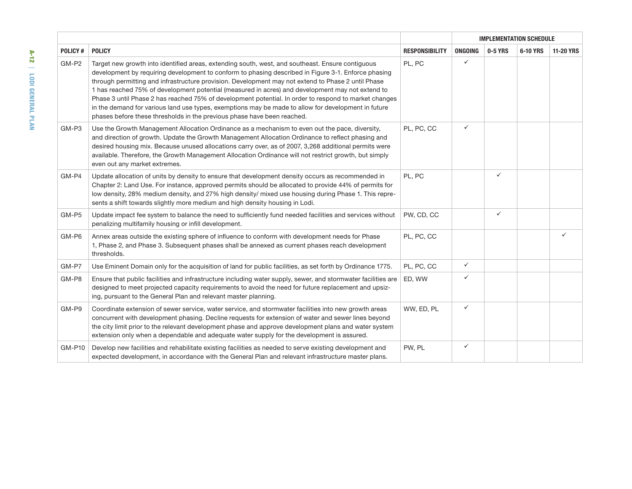|               |                                                                                                                                                                                                                                                                                                                                                                                                                                                                                                                                                                                                                                                                                                              |                       |                |              | <b>IMPLEMENTATION SCHEDULE</b> |                  |
|---------------|--------------------------------------------------------------------------------------------------------------------------------------------------------------------------------------------------------------------------------------------------------------------------------------------------------------------------------------------------------------------------------------------------------------------------------------------------------------------------------------------------------------------------------------------------------------------------------------------------------------------------------------------------------------------------------------------------------------|-----------------------|----------------|--------------|--------------------------------|------------------|
| POLICY#       | <b>POLICY</b>                                                                                                                                                                                                                                                                                                                                                                                                                                                                                                                                                                                                                                                                                                | <b>RESPONSIBILITY</b> | <b>ONGOING</b> | 0-5 YRS      | 6-10 YRS                       | <b>11-20 YRS</b> |
| GM-P2         | Target new growth into identified areas, extending south, west, and southeast. Ensure contiguous<br>development by requiring development to conform to phasing described in Figure 3-1. Enforce phasing<br>through permitting and infrastructure provision. Development may not extend to Phase 2 until Phase<br>1 has reached 75% of development potential (measured in acres) and development may not extend to<br>Phase 3 until Phase 2 has reached 75% of development potential. In order to respond to market changes<br>in the demand for various land use types, exemptions may be made to allow for development in future<br>phases before these thresholds in the previous phase have been reached. | PL, PC                | $\checkmark$   |              |                                |                  |
| GM-P3         | Use the Growth Management Allocation Ordinance as a mechanism to even out the pace, diversity,<br>and direction of growth. Update the Growth Management Allocation Ordinance to reflect phasing and<br>desired housing mix. Because unused allocations carry over, as of 2007, 3,268 additional permits were<br>available. Therefore, the Growth Management Allocation Ordinance will not restrict growth, but simply<br>even out any market extremes.                                                                                                                                                                                                                                                       | PL, PC, CC            | $\checkmark$   |              |                                |                  |
| GM-P4         | Update allocation of units by density to ensure that development density occurs as recommended in<br>Chapter 2: Land Use. For instance, approved permits should be allocated to provide 44% of permits for<br>low density, 28% medium density, and 27% high density/ mixed use housing during Phase 1. This repre-<br>sents a shift towards slightly more medium and high density housing in Lodi.                                                                                                                                                                                                                                                                                                           | PL, PC                |                | $\checkmark$ |                                |                  |
| GM-P5         | Update impact fee system to balance the need to sufficiently fund needed facilities and services without<br>penalizing multifamily housing or infill development.                                                                                                                                                                                                                                                                                                                                                                                                                                                                                                                                            | PW, CD, CC            |                | $\checkmark$ |                                |                  |
| GM-P6         | Annex areas outside the existing sphere of influence to conform with development needs for Phase<br>1, Phase 2, and Phase 3. Subsequent phases shall be annexed as current phases reach development<br>thresholds.                                                                                                                                                                                                                                                                                                                                                                                                                                                                                           | PL, PC, CC            |                |              |                                | ✓                |
| GM-P7         | Use Eminent Domain only for the acquisition of land for public facilities, as set forth by Ordinance 1775.                                                                                                                                                                                                                                                                                                                                                                                                                                                                                                                                                                                                   | PL, PC, CC            | $\checkmark$   |              |                                |                  |
| GM-P8         | Ensure that public facilities and infrastructure including water supply, sewer, and stormwater facilities are<br>designed to meet projected capacity requirements to avoid the need for future replacement and upsiz-<br>ing, pursuant to the General Plan and relevant master planning.                                                                                                                                                                                                                                                                                                                                                                                                                     | ED, WW                | ✓              |              |                                |                  |
| GM-P9         | Coordinate extension of sewer service, water service, and stormwater facilities into new growth areas<br>concurrent with development phasing. Decline requests for extension of water and sewer lines beyond<br>the city limit prior to the relevant development phase and approve development plans and water system<br>extension only when a dependable and adequate water supply for the development is assured.                                                                                                                                                                                                                                                                                          | WW, ED, PL            | ✓              |              |                                |                  |
| <b>GM-P10</b> | Develop new facilities and rehabilitate existing facilities as needed to serve existing development and<br>expected development, in accordance with the General Plan and relevant infrastructure master plans.                                                                                                                                                                                                                                                                                                                                                                                                                                                                                               | PW, PL                | $\checkmark$   |              |                                |                  |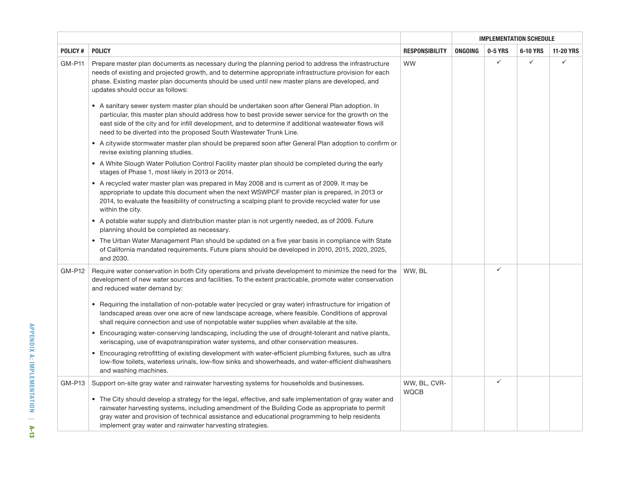|                |                                                                                                                                                                                                                                                                                                                                                                                        |                             |         | <b>IMPLEMENTATION SCHEDULE</b><br>0-5 YRS<br>✓<br>$\checkmark$<br>✓<br>✓ |          |                  |
|----------------|----------------------------------------------------------------------------------------------------------------------------------------------------------------------------------------------------------------------------------------------------------------------------------------------------------------------------------------------------------------------------------------|-----------------------------|---------|--------------------------------------------------------------------------|----------|------------------|
| <b>POLICY#</b> | <b>POLICY</b>                                                                                                                                                                                                                                                                                                                                                                          | <b>RESPONSIBILITY</b>       | ONGOING |                                                                          | 6-10 YRS | <b>11-20 YRS</b> |
| <b>GM-P11</b>  | Prepare master plan documents as necessary during the planning period to address the infrastructure<br>needs of existing and projected growth, and to determine appropriate infrastructure provision for each<br>phase. Existing master plan documents should be used until new master plans are developed, and<br>updates should occur as follows:                                    | WW                          |         |                                                                          |          | $\checkmark$     |
|                | • A sanitary sewer system master plan should be undertaken soon after General Plan adoption. In<br>particular, this master plan should address how to best provide sewer service for the growth on the<br>east side of the city and for infill development, and to determine if additional wastewater flows will<br>need to be diverted into the proposed South Wastewater Trunk Line. |                             |         |                                                                          |          |                  |
|                | • A citywide stormwater master plan should be prepared soon after General Plan adoption to confirm or<br>revise existing planning studies.                                                                                                                                                                                                                                             |                             |         |                                                                          |          |                  |
|                | • A White Slough Water Pollution Control Facility master plan should be completed during the early<br>stages of Phase 1, most likely in 2013 or 2014.                                                                                                                                                                                                                                  |                             |         |                                                                          |          |                  |
|                | • A recycled water master plan was prepared in May 2008 and is current as of 2009. It may be<br>appropriate to update this document when the next WSWPCF master plan is prepared, in 2013 or<br>2014, to evaluate the feasibility of constructing a scalping plant to provide recycled water for use<br>within the city.                                                               |                             |         |                                                                          |          |                  |
|                | • A potable water supply and distribution master plan is not urgently needed, as of 2009. Future<br>planning should be completed as necessary.                                                                                                                                                                                                                                         |                             |         |                                                                          |          |                  |
|                | • The Urban Water Management Plan should be updated on a five year basis in compliance with State<br>of California mandated requirements. Future plans should be developed in 2010, 2015, 2020, 2025,<br>and 2030.                                                                                                                                                                     |                             |         |                                                                          |          |                  |
| <b>GM-P12</b>  | Require water conservation in both City operations and private development to minimize the need for the<br>development of new water sources and facilities. To the extent practicable, promote water conservation<br>and reduced water demand by:                                                                                                                                      | WW, BL                      |         |                                                                          |          |                  |
|                | • Requiring the installation of non-potable water (recycled or gray water) infrastructure for irrigation of<br>landscaped areas over one acre of new landscape acreage, where feasible. Conditions of approval<br>shall require connection and use of nonpotable water supplies when available at the site.                                                                            |                             |         |                                                                          |          |                  |
|                | • Encouraging water-conserving landscaping, including the use of drought-tolerant and native plants,<br>xeriscaping, use of evapotranspiration water systems, and other conservation measures.                                                                                                                                                                                         |                             |         |                                                                          |          |                  |
|                | • Encouraging retrofitting of existing development with water-efficient plumbing fixtures, such as ultra<br>low-flow toilets, waterless urinals, low-flow sinks and showerheads, and water-efficient dishwashers<br>and washing machines.                                                                                                                                              |                             |         |                                                                          |          |                  |
| <b>GM-P13</b>  | Support on-site gray water and rainwater harvesting systems for households and businesses.                                                                                                                                                                                                                                                                                             | WW, BL, CVR-<br><b>WQCB</b> |         |                                                                          |          |                  |
|                | • The City should develop a strategy for the legal, effective, and safe implementation of gray water and<br>rainwater harvesting systems, including amendment of the Building Code as appropriate to permit<br>gray water and provision of technical assistance and educational programming to help residents<br>implement gray water and rainwater harvesting strategies.             |                             |         |                                                                          |          |                  |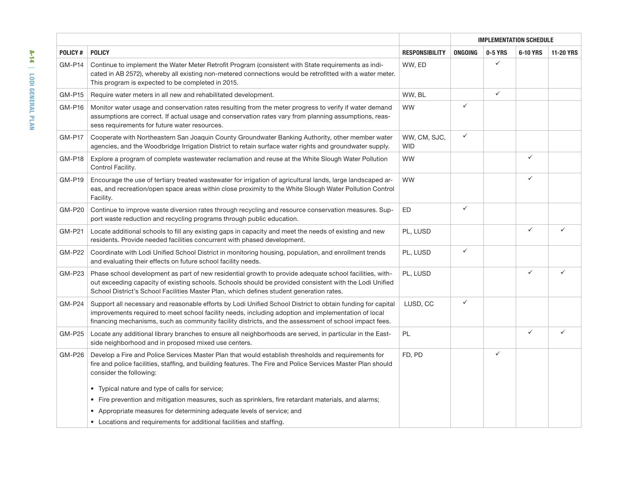|                |                                                                                                                                                                                                                                                                                                                            |                            | ONGOING<br>0-5 YRS<br>$\checkmark$<br>$\checkmark$<br>$\checkmark$<br>$\checkmark$<br>$\checkmark$<br>$\checkmark$<br>$\checkmark$ |              | <b>IMPLEMENTATION SCHEDULE</b> |                  |
|----------------|----------------------------------------------------------------------------------------------------------------------------------------------------------------------------------------------------------------------------------------------------------------------------------------------------------------------------|----------------------------|------------------------------------------------------------------------------------------------------------------------------------|--------------|--------------------------------|------------------|
| <b>POLICY#</b> | <b>POLICY</b>                                                                                                                                                                                                                                                                                                              | <b>RESPONSIBILITY</b>      |                                                                                                                                    |              | 6-10 YRS                       | <b>11-20 YRS</b> |
| <b>GM-P14</b>  | Continue to implement the Water Meter Retrofit Program (consistent with State requirements as indi-<br>cated in AB 2572), whereby all existing non-metered connections would be retrofitted with a water meter.<br>This program is expected to be completed in 2015.                                                       | WW, ED                     |                                                                                                                                    |              |                                |                  |
| <b>GM-P15</b>  | Require water meters in all new and rehabilitated development.                                                                                                                                                                                                                                                             | WW, BL                     |                                                                                                                                    |              |                                |                  |
| <b>GM-P16</b>  | Monitor water usage and conservation rates resulting from the meter progress to verify if water demand<br>assumptions are correct. If actual usage and conservation rates vary from planning assumptions, reas-<br>sess requirements for future water resources.                                                           | <b>WW</b>                  |                                                                                                                                    |              |                                |                  |
| <b>GM-P17</b>  | Cooperate with Northeastern San Joaquin County Groundwater Banking Authority, other member water<br>agencies, and the Woodbridge Irrigation District to retain surface water rights and groundwater supply.                                                                                                                | WW, CM, SJC,<br><b>WID</b> |                                                                                                                                    |              |                                |                  |
| <b>GM-P18</b>  | Explore a program of complete wastewater reclamation and reuse at the White Slough Water Pollution<br>Control Facility.                                                                                                                                                                                                    | WW                         |                                                                                                                                    |              | $\checkmark$                   |                  |
| <b>GM-P19</b>  | Encourage the use of tertiary treated wastewater for irrigation of agricultural lands, large landscaped ar-<br>eas, and recreation/open space areas within close proximity to the White Slough Water Pollution Control<br>Facility.                                                                                        | <b>WW</b>                  |                                                                                                                                    |              | $\checkmark$                   |                  |
| <b>GM-P20</b>  | Continue to improve waste diversion rates through recycling and resource conservation measures. Sup-<br>port waste reduction and recycling programs through public education.                                                                                                                                              | ED                         |                                                                                                                                    |              |                                |                  |
| <b>GM-P21</b>  | Locate additional schools to fill any existing gaps in capacity and meet the needs of existing and new<br>residents. Provide needed facilities concurrent with phased development.                                                                                                                                         | PL, LUSD                   |                                                                                                                                    |              | $\checkmark$                   |                  |
| <b>GM-P22</b>  | Coordinate with Lodi Unified School District in monitoring housing, population, and enrollment trends<br>and evaluating their effects on future school facility needs.                                                                                                                                                     | PL, LUSD                   |                                                                                                                                    |              |                                |                  |
| <b>GM-P23</b>  | Phase school development as part of new residential growth to provide adequate school facilities, with-<br>out exceeding capacity of existing schools. Schools should be provided consistent with the Lodi Unified<br>School District's School Facilities Master Plan, which defines student generation rates.             | PL, LUSD                   |                                                                                                                                    |              | $\checkmark$                   |                  |
| <b>GM-P24</b>  | Support all necessary and reasonable efforts by Lodi Unified School District to obtain funding for capital<br>improvements required to meet school facility needs, including adoption and implementation of local<br>financing mechanisms, such as community facility districts, and the assessment of school impact fees. | LUSD, CC                   |                                                                                                                                    |              |                                |                  |
| <b>GM-P25</b>  | Locate any additional library branches to ensure all neighborhoods are served, in particular in the East-<br>side neighborhood and in proposed mixed use centers.                                                                                                                                                          | PL                         |                                                                                                                                    |              | $\checkmark$                   | ✓                |
| <b>GM-P26</b>  | Develop a Fire and Police Services Master Plan that would establish thresholds and requirements for<br>fire and police facilities, staffing, and building features. The Fire and Police Services Master Plan should<br>consider the following:                                                                             | FD, PD                     |                                                                                                                                    | $\checkmark$ |                                |                  |
|                | • Typical nature and type of calls for service;                                                                                                                                                                                                                                                                            |                            |                                                                                                                                    |              |                                |                  |
|                | • Fire prevention and mitigation measures, such as sprinklers, fire retardant materials, and alarms;                                                                                                                                                                                                                       |                            |                                                                                                                                    |              |                                |                  |
|                | Appropriate measures for determining adequate levels of service; and<br>$\bullet$                                                                                                                                                                                                                                          |                            |                                                                                                                                    |              |                                |                  |
|                | • Locations and requirements for additional facilities and staffing.                                                                                                                                                                                                                                                       |                            |                                                                                                                                    |              |                                |                  |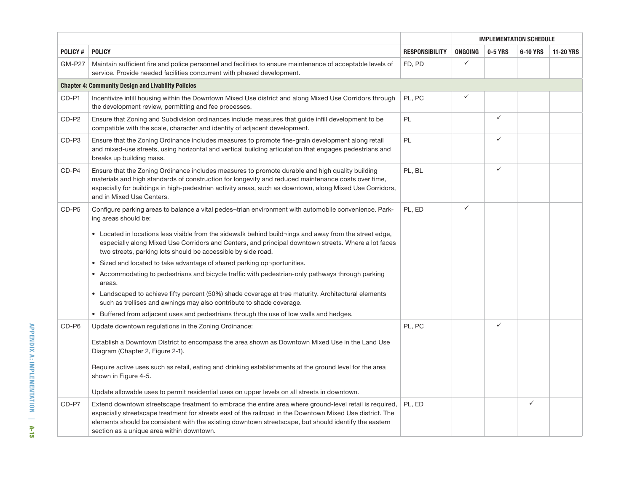|                |                                                                                                                                                                                                                                                                                                                                                                                                                                                                                                                                                                                                                                                                                                                                                                                                                                                                                |                       | <b>IMPLEMENTATION SCHEDULE</b> |  | 0-5 YRS<br>6-10 YRS<br>$\checkmark$<br>✓<br>$\checkmark$<br>✓<br>$\checkmark$<br>$\checkmark$<br>✓<br>$\checkmark$ |                  |
|----------------|--------------------------------------------------------------------------------------------------------------------------------------------------------------------------------------------------------------------------------------------------------------------------------------------------------------------------------------------------------------------------------------------------------------------------------------------------------------------------------------------------------------------------------------------------------------------------------------------------------------------------------------------------------------------------------------------------------------------------------------------------------------------------------------------------------------------------------------------------------------------------------|-----------------------|--------------------------------|--|--------------------------------------------------------------------------------------------------------------------|------------------|
| <b>POLICY#</b> | <b>POLICY</b>                                                                                                                                                                                                                                                                                                                                                                                                                                                                                                                                                                                                                                                                                                                                                                                                                                                                  | <b>RESPONSIBILITY</b> | ONGOING                        |  |                                                                                                                    | <b>11-20 YRS</b> |
| <b>GM-P27</b>  | Maintain sufficient fire and police personnel and facilities to ensure maintenance of acceptable levels of<br>service. Provide needed facilities concurrent with phased development.                                                                                                                                                                                                                                                                                                                                                                                                                                                                                                                                                                                                                                                                                           | FD, PD                |                                |  |                                                                                                                    |                  |
|                | <b>Chapter 4: Community Design and Livability Policies</b>                                                                                                                                                                                                                                                                                                                                                                                                                                                                                                                                                                                                                                                                                                                                                                                                                     |                       |                                |  |                                                                                                                    |                  |
| CD-P1          | Incentivize infill housing within the Downtown Mixed Use district and along Mixed Use Corridors through<br>the development review, permitting and fee processes.                                                                                                                                                                                                                                                                                                                                                                                                                                                                                                                                                                                                                                                                                                               | PL, PC                |                                |  |                                                                                                                    |                  |
| CD-P2          | Ensure that Zoning and Subdivision ordinances include measures that guide infill development to be<br>compatible with the scale, character and identity of adjacent development.                                                                                                                                                                                                                                                                                                                                                                                                                                                                                                                                                                                                                                                                                               | PL                    |                                |  |                                                                                                                    |                  |
| CD-P3          | Ensure that the Zoning Ordinance includes measures to promote fine-grain development along retail<br>and mixed-use streets, using horizontal and vertical building articulation that engages pedestrians and<br>breaks up building mass.                                                                                                                                                                                                                                                                                                                                                                                                                                                                                                                                                                                                                                       | PL                    |                                |  |                                                                                                                    |                  |
| CD-P4          | Ensure that the Zoning Ordinance includes measures to promote durable and high quality building<br>materials and high standards of construction for longevity and reduced maintenance costs over time,<br>especially for buildings in high-pedestrian activity areas, such as downtown, along Mixed Use Corridors,<br>and in Mixed Use Centers.                                                                                                                                                                                                                                                                                                                                                                                                                                                                                                                                | PL, BL                |                                |  |                                                                                                                    |                  |
| CD-P5          | Configure parking areas to balance a vital pedes-trian environment with automobile convenience. Park-<br>ing areas should be:<br>• Located in locations less visible from the sidewalk behind build¬ings and away from the street edge,<br>especially along Mixed Use Corridors and Centers, and principal downtown streets. Where a lot faces<br>two streets, parking lots should be accessible by side road.<br>• Sized and located to take advantage of shared parking op-portunities.<br>• Accommodating to pedestrians and bicycle traffic with pedestrian-only pathways through parking<br>areas.<br>Landscaped to achieve fifty percent (50%) shade coverage at tree maturity. Architectural elements<br>such as trellises and awnings may also contribute to shade coverage.<br>• Buffered from adjacent uses and pedestrians through the use of low walls and hedges. | PL, ED                |                                |  |                                                                                                                    |                  |
| CD-P6          | Update downtown regulations in the Zoning Ordinance:<br>Establish a Downtown District to encompass the area shown as Downtown Mixed Use in the Land Use<br>Diagram (Chapter 2, Figure 2-1).<br>Require active uses such as retail, eating and drinking establishments at the ground level for the area<br>shown in Figure 4-5.<br>Update allowable uses to permit residential uses on upper levels on all streets in downtown.                                                                                                                                                                                                                                                                                                                                                                                                                                                 | PL, PC                |                                |  |                                                                                                                    |                  |
| CD-P7          | Extend downtown streetscape treatment to embrace the entire area where ground-level retail is required,<br>especially streetscape treatment for streets east of the railroad in the Downtown Mixed Use district. The<br>elements should be consistent with the existing downtown streetscape, but should identify the eastern<br>section as a unique area within downtown.                                                                                                                                                                                                                                                                                                                                                                                                                                                                                                     | PL, ED                |                                |  |                                                                                                                    |                  |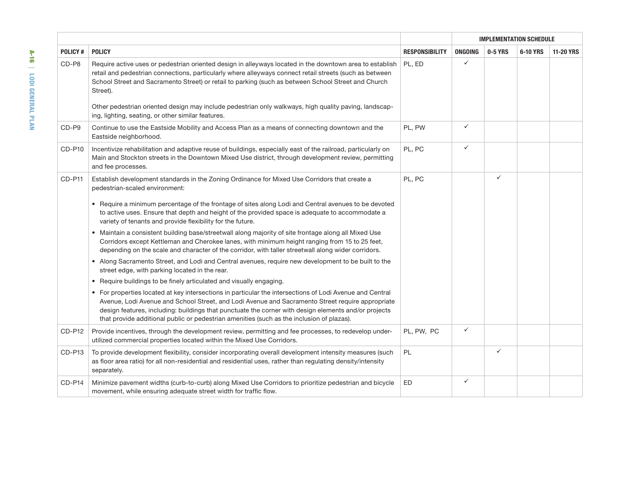|                |                                                                                                                                                                                                                                                                                                                                                                                                                                                                                                                                                                                                                                                                                                                                                                                                                                                                                                                                                                                                                                                                                                                                                                                                                                                                                                                                                                                |                       |         | <b>IMPLEMENTATION SCHEDULE</b><br>0-5 YRS<br>6-10 YRS<br>✓<br>✓<br>$\checkmark$<br>$\checkmark$<br>✓<br>$\checkmark$ |  |                  |
|----------------|--------------------------------------------------------------------------------------------------------------------------------------------------------------------------------------------------------------------------------------------------------------------------------------------------------------------------------------------------------------------------------------------------------------------------------------------------------------------------------------------------------------------------------------------------------------------------------------------------------------------------------------------------------------------------------------------------------------------------------------------------------------------------------------------------------------------------------------------------------------------------------------------------------------------------------------------------------------------------------------------------------------------------------------------------------------------------------------------------------------------------------------------------------------------------------------------------------------------------------------------------------------------------------------------------------------------------------------------------------------------------------|-----------------------|---------|----------------------------------------------------------------------------------------------------------------------|--|------------------|
| <b>POLICY#</b> | <b>POLICY</b>                                                                                                                                                                                                                                                                                                                                                                                                                                                                                                                                                                                                                                                                                                                                                                                                                                                                                                                                                                                                                                                                                                                                                                                                                                                                                                                                                                  | <b>RESPONSIBILITY</b> | ONGOING |                                                                                                                      |  | <b>11-20 YRS</b> |
| CD-P8          | Require active uses or pedestrian oriented design in alleyways located in the downtown area to establish<br>retail and pedestrian connections, particularly where alleyways connect retail streets (such as between<br>School Street and Sacramento Street) or retail to parking (such as between School Street and Church<br>Street).<br>Other pedestrian oriented design may include pedestrian only walkways, high quality paving, landscap-<br>ing, lighting, seating, or other similar features.                                                                                                                                                                                                                                                                                                                                                                                                                                                                                                                                                                                                                                                                                                                                                                                                                                                                          | PL, ED                |         |                                                                                                                      |  |                  |
| CD-P9          | Continue to use the Eastside Mobility and Access Plan as a means of connecting downtown and the<br>Eastside neighborhood.                                                                                                                                                                                                                                                                                                                                                                                                                                                                                                                                                                                                                                                                                                                                                                                                                                                                                                                                                                                                                                                                                                                                                                                                                                                      | PL, PW                |         |                                                                                                                      |  |                  |
| CD-P10         | Incentivize rehabilitation and adaptive reuse of buildings, especially east of the railroad, particularly on<br>Main and Stockton streets in the Downtown Mixed Use district, through development review, permitting<br>and fee processes.                                                                                                                                                                                                                                                                                                                                                                                                                                                                                                                                                                                                                                                                                                                                                                                                                                                                                                                                                                                                                                                                                                                                     | PL, PC                |         |                                                                                                                      |  |                  |
| CD-P11         | Establish development standards in the Zoning Ordinance for Mixed Use Corridors that create a<br>pedestrian-scaled environment:<br>• Require a minimum percentage of the frontage of sites along Lodi and Central avenues to be devoted<br>to active uses. Ensure that depth and height of the provided space is adequate to accommodate a<br>variety of tenants and provide flexibility for the future.<br>• Maintain a consistent building base/streetwall along majority of site frontage along all Mixed Use<br>Corridors except Kettleman and Cherokee lanes, with minimum height ranging from 15 to 25 feet,<br>depending on the scale and character of the corridor, with taller streetwall along wider corridors.<br>• Along Sacramento Street, and Lodi and Central avenues, require new development to be built to the<br>street edge, with parking located in the rear.<br>• Require buildings to be finely articulated and visually engaging.<br>• For properties located at key intersections in particular the intersections of Lodi Avenue and Central<br>Avenue, Lodi Avenue and School Street, and Lodi Avenue and Sacramento Street require appropriate<br>design features, including: buildings that punctuate the corner with design elements and/or projects<br>that provide additional public or pedestrian amenities (such as the inclusion of plazas). | PL, PC                |         |                                                                                                                      |  |                  |
| CD-P12         | Provide incentives, through the development review, permitting and fee processes, to redevelop under-<br>utilized commercial properties located within the Mixed Use Corridors.                                                                                                                                                                                                                                                                                                                                                                                                                                                                                                                                                                                                                                                                                                                                                                                                                                                                                                                                                                                                                                                                                                                                                                                                | PL, PW, PC            |         |                                                                                                                      |  |                  |
| CD-P13         | To provide development flexibility, consider incorporating overall development intensity measures (such<br>as floor area ratio) for all non-residential and residential uses, rather than regulating density/intensity<br>separately.                                                                                                                                                                                                                                                                                                                                                                                                                                                                                                                                                                                                                                                                                                                                                                                                                                                                                                                                                                                                                                                                                                                                          | PL                    |         |                                                                                                                      |  |                  |
| CD-P14         | Minimize pavement widths (curb-to-curb) along Mixed Use Corridors to prioritize pedestrian and bicycle<br>movement, while ensuring adequate street width for traffic flow.                                                                                                                                                                                                                                                                                                                                                                                                                                                                                                                                                                                                                                                                                                                                                                                                                                                                                                                                                                                                                                                                                                                                                                                                     | ED                    | ✓       |                                                                                                                      |  |                  |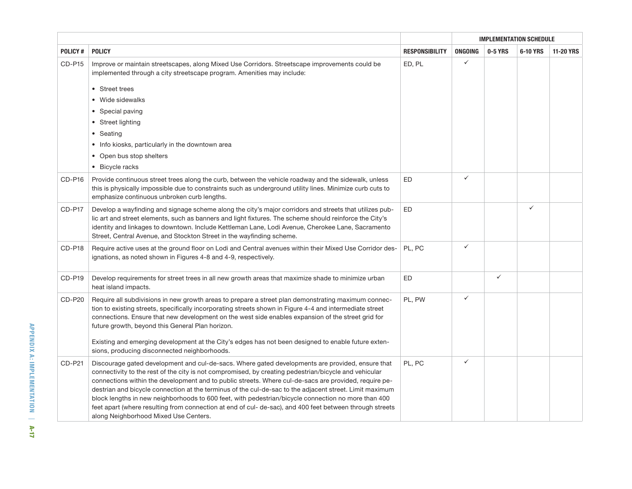|                |                                                                                                                                                                                                                                                                                                                                                                                                                                                                                                                                                                                                                                                                                           | <b>IMPLEMENTATION SCHEDULE</b> |              |              |              |                  |
|----------------|-------------------------------------------------------------------------------------------------------------------------------------------------------------------------------------------------------------------------------------------------------------------------------------------------------------------------------------------------------------------------------------------------------------------------------------------------------------------------------------------------------------------------------------------------------------------------------------------------------------------------------------------------------------------------------------------|--------------------------------|--------------|--------------|--------------|------------------|
| <b>POLICY#</b> | <b>POLICY</b>                                                                                                                                                                                                                                                                                                                                                                                                                                                                                                                                                                                                                                                                             | <b>RESPONSIBILITY</b>          | ONGOING      | 0-5 YRS      | 6-10 YRS     | <b>11-20 YRS</b> |
| <b>CD-P15</b>  | Improve or maintain streetscapes, along Mixed Use Corridors. Streetscape improvements could be<br>implemented through a city streetscape program. Amenities may include:                                                                                                                                                                                                                                                                                                                                                                                                                                                                                                                  | ED, PL                         | $\checkmark$ |              |              |                  |
|                | • Street trees                                                                                                                                                                                                                                                                                                                                                                                                                                                                                                                                                                                                                                                                            |                                |              |              |              |                  |
|                | Wide sidewalks                                                                                                                                                                                                                                                                                                                                                                                                                                                                                                                                                                                                                                                                            |                                |              |              |              |                  |
|                | • Special paving                                                                                                                                                                                                                                                                                                                                                                                                                                                                                                                                                                                                                                                                          |                                |              |              |              |                  |
|                | • Street lighting                                                                                                                                                                                                                                                                                                                                                                                                                                                                                                                                                                                                                                                                         |                                |              |              |              |                  |
|                | Seating<br>$\bullet$                                                                                                                                                                                                                                                                                                                                                                                                                                                                                                                                                                                                                                                                      |                                |              |              |              |                  |
|                | • Info kiosks, particularly in the downtown area                                                                                                                                                                                                                                                                                                                                                                                                                                                                                                                                                                                                                                          |                                |              |              |              |                  |
|                | Open bus stop shelters<br>$\bullet$                                                                                                                                                                                                                                                                                                                                                                                                                                                                                                                                                                                                                                                       |                                |              |              |              |                  |
|                | • Bicycle racks                                                                                                                                                                                                                                                                                                                                                                                                                                                                                                                                                                                                                                                                           |                                |              |              |              |                  |
| CD-P16         | Provide continuous street trees along the curb, between the vehicle roadway and the sidewalk, unless<br>this is physically impossible due to constraints such as underground utility lines. Minimize curb cuts to<br>emphasize continuous unbroken curb lengths.                                                                                                                                                                                                                                                                                                                                                                                                                          | ED                             | $\checkmark$ |              |              |                  |
| CD-P17         | Develop a wayfinding and signage scheme along the city's major corridors and streets that utilizes pub-<br>lic art and street elements, such as banners and light fixtures. The scheme should reinforce the City's<br>identity and linkages to downtown. Include Kettleman Lane, Lodi Avenue, Cherokee Lane, Sacramento<br>Street, Central Avenue, and Stockton Street in the wayfinding scheme.                                                                                                                                                                                                                                                                                          | ED                             |              |              | $\checkmark$ |                  |
| CD-P18         | Require active uses at the ground floor on Lodi and Central avenues within their Mixed Use Corridor des-<br>ignations, as noted shown in Figures 4-8 and 4-9, respectively.                                                                                                                                                                                                                                                                                                                                                                                                                                                                                                               | PL, PC                         | $\checkmark$ |              |              |                  |
| CD-P19         | Develop requirements for street trees in all new growth areas that maximize shade to minimize urban<br>heat island impacts.                                                                                                                                                                                                                                                                                                                                                                                                                                                                                                                                                               | ED                             |              | $\checkmark$ |              |                  |
| <b>CD-P20</b>  | Require all subdivisions in new growth areas to prepare a street plan demonstrating maximum connec-<br>tion to existing streets, specifically incorporating streets shown in Figure 4-4 and intermediate street<br>connections. Ensure that new development on the west side enables expansion of the street grid for<br>future growth, beyond this General Plan horizon.<br>Existing and emerging development at the City's edges has not been designed to enable future exten-                                                                                                                                                                                                          | PL, PW                         | $\checkmark$ |              |              |                  |
|                | sions, producing disconnected neighborhoods.                                                                                                                                                                                                                                                                                                                                                                                                                                                                                                                                                                                                                                              |                                |              |              |              |                  |
| <b>CD-P21</b>  | Discourage gated development and cul-de-sacs. Where gated developments are provided, ensure that<br>connectivity to the rest of the city is not compromised, by creating pedestrian/bicycle and vehicular<br>connections within the development and to public streets. Where cul-de-sacs are provided, require pe-<br>destrian and bicycle connection at the terminus of the cul-de-sac to the adjacent street. Limit maximum<br>block lengths in new neighborhoods to 600 feet, with pedestrian/bicycle connection no more than 400<br>feet apart (where resulting from connection at end of cul- de-sac), and 400 feet between through streets<br>along Neighborhood Mixed Use Centers. | PL, PC                         | $\checkmark$ |              |              |                  |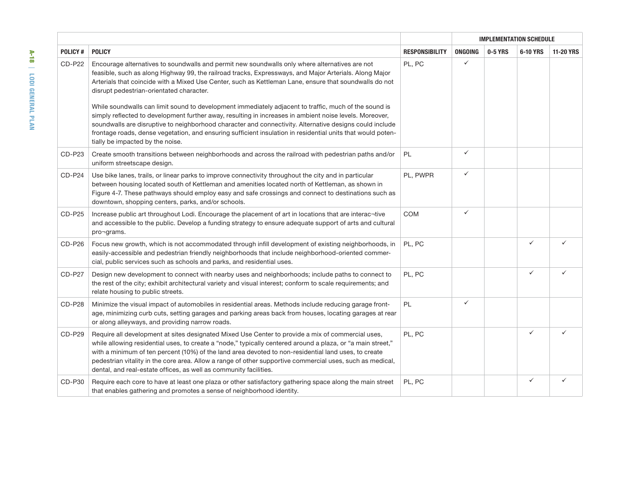|                |                                                                                                                                                                                                                                                                                                                                                                                                                                                                                                                                                                                                                                                                                                                                                                                                                                                  |                       | <b>IMPLEMENTATION SCHEDULE</b> |         |              |                  |
|----------------|--------------------------------------------------------------------------------------------------------------------------------------------------------------------------------------------------------------------------------------------------------------------------------------------------------------------------------------------------------------------------------------------------------------------------------------------------------------------------------------------------------------------------------------------------------------------------------------------------------------------------------------------------------------------------------------------------------------------------------------------------------------------------------------------------------------------------------------------------|-----------------------|--------------------------------|---------|--------------|------------------|
| <b>POLICY#</b> | <b>POLICY</b>                                                                                                                                                                                                                                                                                                                                                                                                                                                                                                                                                                                                                                                                                                                                                                                                                                    | <b>RESPONSIBILITY</b> | ONGOING                        | 0-5 YRS | 6-10 YRS     | <b>11-20 YRS</b> |
| CD-P22         | Encourage alternatives to soundwalls and permit new soundwalls only where alternatives are not<br>feasible, such as along Highway 99, the railroad tracks, Expressways, and Major Arterials. Along Major<br>Arterials that coincide with a Mixed Use Center, such as Kettleman Lane, ensure that soundwalls do not<br>disrupt pedestrian-orientated character.<br>While soundwalls can limit sound to development immediately adjacent to traffic, much of the sound is<br>simply reflected to development further away, resulting in increases in ambient noise levels. Moreover,<br>soundwalls are disruptive to neighborhood character and connectivity. Alternative designs could include<br>frontage roads, dense vegetation, and ensuring sufficient insulation in residential units that would poten-<br>tially be impacted by the noise. | PL, PC                | $\checkmark$                   |         |              |                  |
| CD-P23         | Create smooth transitions between neighborhoods and across the railroad with pedestrian paths and/or<br>uniform streetscape design.                                                                                                                                                                                                                                                                                                                                                                                                                                                                                                                                                                                                                                                                                                              | PL                    | $\checkmark$                   |         |              |                  |
| CD-P24         | Use bike lanes, trails, or linear parks to improve connectivity throughout the city and in particular<br>between housing located south of Kettleman and amenities located north of Kettleman, as shown in<br>Figure 4-7. These pathways should employ easy and safe crossings and connect to destinations such as<br>downtown, shopping centers, parks, and/or schools.                                                                                                                                                                                                                                                                                                                                                                                                                                                                          | PL, PWPR              | $\checkmark$                   |         |              |                  |
| CD-P25         | Increase public art throughout Lodi. Encourage the placement of art in locations that are interac-tive<br>and accessible to the public. Develop a funding strategy to ensure adequate support of arts and cultural<br>pro-grams.                                                                                                                                                                                                                                                                                                                                                                                                                                                                                                                                                                                                                 | COM                   | $\checkmark$                   |         |              |                  |
| CD-P26         | Focus new growth, which is not accommodated through infill development of existing neighborhoods, in<br>easily-accessible and pedestrian friendly neighborhoods that include neighborhood-oriented commer-<br>cial, public services such as schools and parks, and residential uses.                                                                                                                                                                                                                                                                                                                                                                                                                                                                                                                                                             | PL, PC                |                                |         | $\checkmark$ |                  |
| CD-P27         | Design new development to connect with nearby uses and neighborhoods; include paths to connect to<br>the rest of the city; exhibit architectural variety and visual interest; conform to scale requirements; and<br>relate housing to public streets.                                                                                                                                                                                                                                                                                                                                                                                                                                                                                                                                                                                            | PL, PC                |                                |         | $\checkmark$ | ✓                |
| <b>CD-P28</b>  | Minimize the visual impact of automobiles in residential areas. Methods include reducing garage front-<br>age, minimizing curb cuts, setting garages and parking areas back from houses, locating garages at rear<br>or along alleyways, and providing narrow roads.                                                                                                                                                                                                                                                                                                                                                                                                                                                                                                                                                                             | PL                    | $\checkmark$                   |         |              |                  |
| <b>CD-P29</b>  | Require all development at sites designated Mixed Use Center to provide a mix of commercial uses,<br>while allowing residential uses, to create a "node," typically centered around a plaza, or "a main street,"<br>with a minimum of ten percent (10%) of the land area devoted to non-residential land uses, to create<br>pedestrian vitality in the core area. Allow a range of other supportive commercial uses, such as medical,<br>dental, and real-estate offices, as well as community facilities.                                                                                                                                                                                                                                                                                                                                       | PL, PC                |                                |         | $\checkmark$ |                  |
| CD-P30         | Require each core to have at least one plaza or other satisfactory gathering space along the main street<br>that enables gathering and promotes a sense of neighborhood identity.                                                                                                                                                                                                                                                                                                                                                                                                                                                                                                                                                                                                                                                                | PL, PC                |                                |         | $\checkmark$ | ✓                |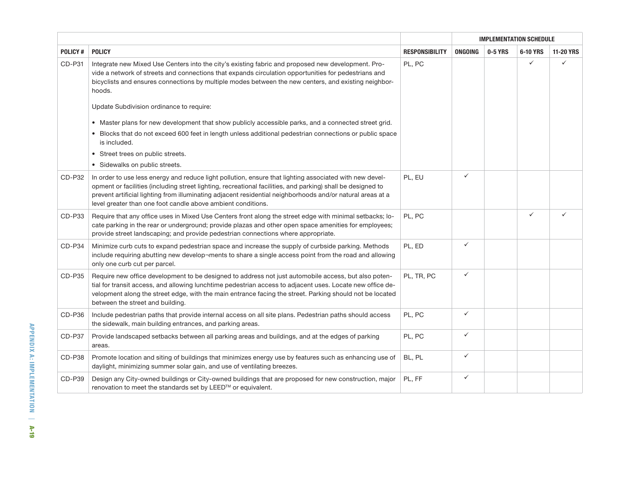|          |                                                                                                                                                                                                                                                                                                                                                                                                      |                       |                | <b>IMPLEMENTATION SCHEDULE</b><br>0-5 YRS<br>$\checkmark$<br>$\checkmark$<br>$\checkmark$<br>$\checkmark$<br>$\checkmark$<br>$\checkmark$<br>$\checkmark$<br>$\checkmark$ |          |                  |
|----------|------------------------------------------------------------------------------------------------------------------------------------------------------------------------------------------------------------------------------------------------------------------------------------------------------------------------------------------------------------------------------------------------------|-----------------------|----------------|---------------------------------------------------------------------------------------------------------------------------------------------------------------------------|----------|------------------|
| POLICY#  | <b>POLICY</b>                                                                                                                                                                                                                                                                                                                                                                                        | <b>RESPONSIBILITY</b> | <b>ONGOING</b> |                                                                                                                                                                           | 6-10 YRS | <b>11-20 YRS</b> |
| CD-P31   | Integrate new Mixed Use Centers into the city's existing fabric and proposed new development. Pro-<br>vide a network of streets and connections that expands circulation opportunities for pedestrians and<br>bicyclists and ensures connections by multiple modes between the new centers, and existing neighbor-<br>hoods.                                                                         | PL, PC                |                |                                                                                                                                                                           |          | ✓                |
|          | Update Subdivision ordinance to require:                                                                                                                                                                                                                                                                                                                                                             |                       |                |                                                                                                                                                                           |          |                  |
|          | • Master plans for new development that show publicly accessible parks, and a connected street grid.                                                                                                                                                                                                                                                                                                 |                       |                |                                                                                                                                                                           |          |                  |
|          | • Blocks that do not exceed 600 feet in length unless additional pedestrian connections or public space<br>is included.                                                                                                                                                                                                                                                                              |                       |                |                                                                                                                                                                           |          |                  |
|          | • Street trees on public streets.                                                                                                                                                                                                                                                                                                                                                                    |                       |                |                                                                                                                                                                           |          |                  |
|          | • Sidewalks on public streets.                                                                                                                                                                                                                                                                                                                                                                       |                       |                |                                                                                                                                                                           |          |                  |
| CD-P32   | In order to use less energy and reduce light pollution, ensure that lighting associated with new devel-<br>opment or facilities (including street lighting, recreational facilities, and parking) shall be designed to<br>prevent artificial lighting from illuminating adjacent residential neighborhoods and/or natural areas at a<br>level greater than one foot candle above ambient conditions. | PL, EU                |                |                                                                                                                                                                           |          |                  |
| CD-P33   | Require that any office uses in Mixed Use Centers front along the street edge with minimal setbacks; lo-<br>cate parking in the rear or underground; provide plazas and other open space amenities for employees;<br>provide street landscaping; and provide pedestrian connections where appropriate.                                                                                               | PL, PC                |                |                                                                                                                                                                           |          |                  |
| CD-P34   | Minimize curb cuts to expand pedestrian space and increase the supply of curbside parking. Methods<br>include requiring abutting new develop¬ments to share a single access point from the road and allowing<br>only one curb cut per parcel.                                                                                                                                                        | PL, ED                |                |                                                                                                                                                                           |          |                  |
| CD-P35   | Require new office development to be designed to address not just automobile access, but also poten-<br>tial for transit access, and allowing lunchtime pedestrian access to adjacent uses. Locate new office de-<br>velopment along the street edge, with the main entrance facing the street. Parking should not be located<br>between the street and building.                                    | PL, TR, PC            |                |                                                                                                                                                                           |          |                  |
| $CD-P36$ | Include pedestrian paths that provide internal access on all site plans. Pedestrian paths should access<br>the sidewalk, main building entrances, and parking areas.                                                                                                                                                                                                                                 | PL, PC                |                |                                                                                                                                                                           |          |                  |
| CD-P37   | Provide landscaped setbacks between all parking areas and buildings, and at the edges of parking<br>areas.                                                                                                                                                                                                                                                                                           | PL, PC                |                |                                                                                                                                                                           |          |                  |
| CD-P38   | Promote location and siting of buildings that minimizes energy use by features such as enhancing use of<br>daylight, minimizing summer solar gain, and use of ventilating breezes.                                                                                                                                                                                                                   | BL, PL                |                |                                                                                                                                                                           |          |                  |
| CD-P39   | Design any City-owned buildings or City-owned buildings that are proposed for new construction, major<br>renovation to meet the standards set by LEED™ or equivalent.                                                                                                                                                                                                                                | PL, FF                | $\checkmark$   |                                                                                                                                                                           |          |                  |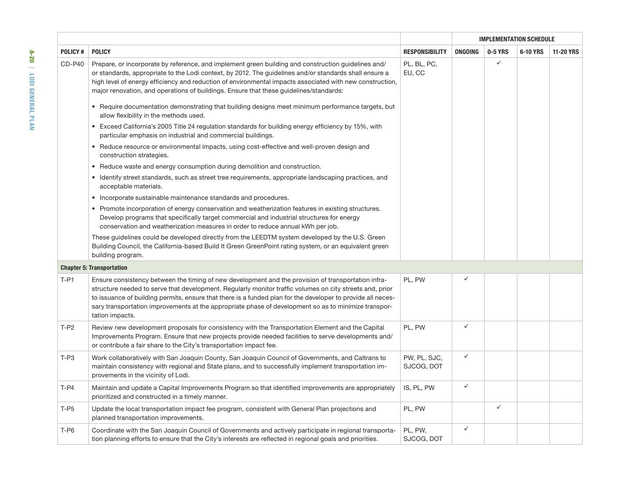|                |                                                                                                                                                                                                                                                                                                                                                                                                                                                           | <b>RESPONSIBILITY</b>      | <b>IMPLEMENTATION SCHEDULE</b> |              |          |                  |  |
|----------------|-----------------------------------------------------------------------------------------------------------------------------------------------------------------------------------------------------------------------------------------------------------------------------------------------------------------------------------------------------------------------------------------------------------------------------------------------------------|----------------------------|--------------------------------|--------------|----------|------------------|--|
| <b>POLICY#</b> | <b>POLICY</b>                                                                                                                                                                                                                                                                                                                                                                                                                                             |                            | ONGOING                        | 0-5 YRS      | 6-10 YRS | <b>11-20 YRS</b> |  |
| $CD P40$       | Prepare, or incorporate by reference, and implement green building and construction guidelines and/<br>or standards, appropriate to the Lodi context, by 2012. The guidelines and/or standards shall ensure a<br>high level of energy efficiency and reduction of environmental impacts associated with new construction,<br>major renovation, and operations of buildings. Ensure that these guidelines/standards:                                       | PL, BL, PC,<br>EU, CC      |                                | $\checkmark$ |          |                  |  |
|                | • Require documentation demonstrating that building designs meet minimum performance targets, but<br>allow flexibility in the methods used.                                                                                                                                                                                                                                                                                                               |                            |                                |              |          |                  |  |
|                | Exceed California's 2005 Title 24 regulation standards for building energy efficiency by 15%, with<br>$\bullet$<br>particular emphasis on industrial and commercial buildings.                                                                                                                                                                                                                                                                            |                            |                                |              |          |                  |  |
|                | • Reduce resource or environmental impacts, using cost-effective and well-proven design and<br>construction strategies.                                                                                                                                                                                                                                                                                                                                   |                            |                                |              |          |                  |  |
|                | • Reduce waste and energy consumption during demolition and construction.                                                                                                                                                                                                                                                                                                                                                                                 |                            |                                |              |          |                  |  |
|                | • Identify street standards, such as street tree requirements, appropriate landscaping practices, and<br>acceptable materials.                                                                                                                                                                                                                                                                                                                            |                            |                                |              |          |                  |  |
|                | • Incorporate sustainable maintenance standards and procedures.                                                                                                                                                                                                                                                                                                                                                                                           |                            |                                |              |          |                  |  |
|                | Promote incorporation of energy conservation and weatherization features in existing structures.<br>$\bullet$<br>Develop programs that specifically target commercial and industrial structures for energy<br>conservation and weatherization measures in order to reduce annual kWh per job.                                                                                                                                                             |                            |                                |              |          |                  |  |
|                | These guidelines could be developed directly from the LEEDTM system developed by the U.S. Green<br>Building Council, the California-based Build It Green GreenPoint rating system, or an equivalent green<br>building program.                                                                                                                                                                                                                            |                            |                                |              |          |                  |  |
|                | <b>Chapter 5: Transportation</b>                                                                                                                                                                                                                                                                                                                                                                                                                          |                            |                                |              |          |                  |  |
| $T- P1$        | Ensure consistency between the timing of new development and the provision of transportation infra-<br>structure needed to serve that development. Regularly monitor traffic volumes on city streets and, prior<br>to issuance of building permits, ensure that there is a funded plan for the developer to provide all neces-<br>sary transportation improvements at the appropriate phase of development so as to minimize transpor-<br>tation impacts. | PL, PW                     | ✓                              |              |          |                  |  |
| $T-P2$         | Review new development proposals for consistency with the Transportation Element and the Capital<br>Improvements Program. Ensure that new projects provide needed facilities to serve developments and/<br>or contribute a fair share to the City's transportation impact fee.                                                                                                                                                                            | PL, PW                     | $\checkmark$                   |              |          |                  |  |
| $T-P3$         | Work collaboratively with San Joaquin County, San Joaquin Council of Governments, and Caltrans to<br>maintain consistency with regional and State plans, and to successfully implement transportation im-<br>provements in the vicinity of Lodi.                                                                                                                                                                                                          | PW, PL, SJC,<br>SJCOG, DOT | $\checkmark$                   |              |          |                  |  |
| $T-P4$         | Maintain and update a Capital Improvements Program so that identified improvements are appropriately<br>prioritized and constructed in a timely manner.                                                                                                                                                                                                                                                                                                   | IS, PL, PW                 | $\checkmark$                   |              |          |                  |  |
| $T-P5$         | Update the local transportation impact fee program, consistent with General Plan projections and<br>planned transportation improvements.                                                                                                                                                                                                                                                                                                                  | PL, PW                     |                                | $\checkmark$ |          |                  |  |
| $T-P6$         | Coordinate with the San Joaquin Council of Governments and actively participate in regional transporta-<br>tion planning efforts to ensure that the City's interests are reflected in regional goals and priorities.                                                                                                                                                                                                                                      | PL, PW,<br>SJCOG, DOT      | $\checkmark$                   |              |          |                  |  |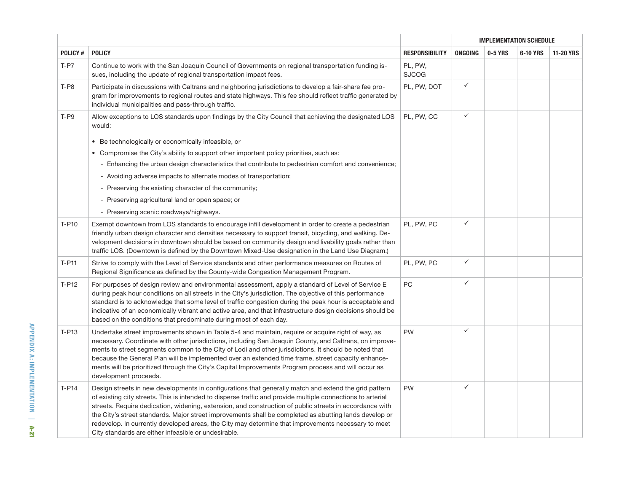|         |                                                                                                                                                                                                                                                                                                                                                                                                                                                                                                                                                                                                          |                         | <b>IMPLEMENTATION SCHEDULE</b> |         |          |                  |
|---------|----------------------------------------------------------------------------------------------------------------------------------------------------------------------------------------------------------------------------------------------------------------------------------------------------------------------------------------------------------------------------------------------------------------------------------------------------------------------------------------------------------------------------------------------------------------------------------------------------------|-------------------------|--------------------------------|---------|----------|------------------|
| POLICY# | <b>POLICY</b>                                                                                                                                                                                                                                                                                                                                                                                                                                                                                                                                                                                            | <b>RESPONSIBILITY</b>   | ONGOING                        | 0-5 YRS | 6-10 YRS | <b>11-20 YRS</b> |
| $T- P7$ | Continue to work with the San Joaquin Council of Governments on regional transportation funding is-<br>sues, including the update of regional transportation impact fees.                                                                                                                                                                                                                                                                                                                                                                                                                                | PL, PW,<br><b>SJCOG</b> |                                |         |          |                  |
| $T-P8$  | Participate in discussions with Caltrans and neighboring jurisdictions to develop a fair-share fee pro-<br>gram for improvements to regional routes and state highways. This fee should reflect traffic generated by<br>individual municipalities and pass-through traffic.                                                                                                                                                                                                                                                                                                                              | PL, PW, DOT             | ✓                              |         |          |                  |
| $T- P9$ | Allow exceptions to LOS standards upon findings by the City Council that achieving the designated LOS<br>would:                                                                                                                                                                                                                                                                                                                                                                                                                                                                                          | PL, PW, CC              | ✓                              |         |          |                  |
|         | • Be technologically or economically infeasible, or                                                                                                                                                                                                                                                                                                                                                                                                                                                                                                                                                      |                         |                                |         |          |                  |
|         | • Compromise the City's ability to support other important policy priorities, such as:                                                                                                                                                                                                                                                                                                                                                                                                                                                                                                                   |                         |                                |         |          |                  |
|         | - Enhancing the urban design characteristics that contribute to pedestrian comfort and convenience;                                                                                                                                                                                                                                                                                                                                                                                                                                                                                                      |                         |                                |         |          |                  |
|         | - Avoiding adverse impacts to alternate modes of transportation;                                                                                                                                                                                                                                                                                                                                                                                                                                                                                                                                         |                         |                                |         |          |                  |
|         | - Preserving the existing character of the community;                                                                                                                                                                                                                                                                                                                                                                                                                                                                                                                                                    |                         |                                |         |          |                  |
|         | Preserving agricultural land or open space; or                                                                                                                                                                                                                                                                                                                                                                                                                                                                                                                                                           |                         |                                |         |          |                  |
|         | - Preserving scenic roadways/highways.                                                                                                                                                                                                                                                                                                                                                                                                                                                                                                                                                                   |                         |                                |         |          |                  |
| T-P10   | Exempt downtown from LOS standards to encourage infill development in order to create a pedestrian<br>friendly urban design character and densities necessary to support transit, bicycling, and walking. De-<br>velopment decisions in downtown should be based on community design and livability goals rather than<br>traffic LOS. (Downtown is defined by the Downtown Mixed-Use designation in the Land Use Diagram.)                                                                                                                                                                               | PL, PW, PC              | ✓                              |         |          |                  |
| $T-P11$ | Strive to comply with the Level of Service standards and other performance measures on Routes of<br>Regional Significance as defined by the County-wide Congestion Management Program.                                                                                                                                                                                                                                                                                                                                                                                                                   | PL, PW, PC              | ✓                              |         |          |                  |
| $T-P12$ | For purposes of design review and environmental assessment, apply a standard of Level of Service E<br>during peak hour conditions on all streets in the City's jurisdiction. The objective of this performance<br>standard is to acknowledge that some level of traffic congestion during the peak hour is acceptable and<br>indicative of an economically vibrant and active area, and that infrastructure design decisions should be<br>based on the conditions that predominate during most of each day.                                                                                              | PC                      | ✓                              |         |          |                  |
| T-P13   | Undertake street improvements shown in Table 5-4 and maintain, require or acquire right of way, as<br>necessary. Coordinate with other jurisdictions, including San Joaquin County, and Caltrans, on improve-<br>ments to street segments common to the City of Lodi and other jurisdictions. It should be noted that<br>because the General Plan will be implemented over an extended time frame, street capacity enhance-<br>ments will be prioritized through the City's Capital Improvements Program process and will occur as<br>development proceeds.                                              | <b>PW</b>               | ✓                              |         |          |                  |
| $T-P14$ | Design streets in new developments in configurations that generally match and extend the grid pattern<br>of existing city streets. This is intended to disperse traffic and provide multiple connections to arterial<br>streets. Require dedication, widening, extension, and construction of public streets in accordance with<br>the City's street standards. Major street improvements shall be completed as abutting lands develop or<br>redevelop. In currently developed areas, the City may determine that improvements necessary to meet<br>City standards are either infeasible or undesirable. | <b>PW</b>               | ✓                              |         |          |                  |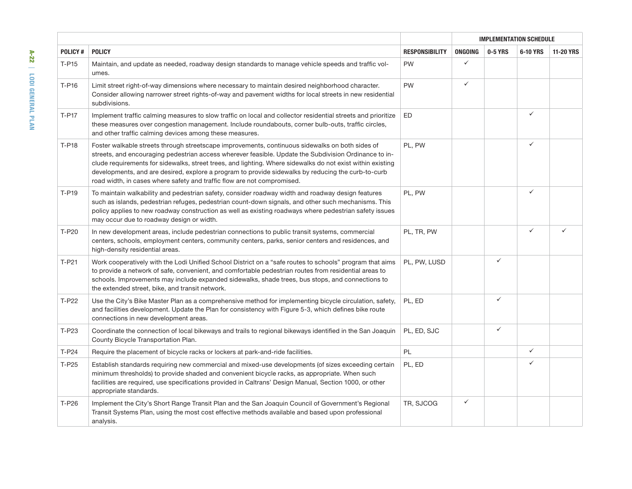|                      |                                                                                                                                                                                                                                                                                                                                                                                                                                                                                                         |                       | <b>IMPLEMENTATION SCHEDULE</b> |              |              |                  |  |
|----------------------|---------------------------------------------------------------------------------------------------------------------------------------------------------------------------------------------------------------------------------------------------------------------------------------------------------------------------------------------------------------------------------------------------------------------------------------------------------------------------------------------------------|-----------------------|--------------------------------|--------------|--------------|------------------|--|
| <b>POLICY#</b>       | <b>POLICY</b>                                                                                                                                                                                                                                                                                                                                                                                                                                                                                           | <b>RESPONSIBILITY</b> | <b>ONGOING</b>                 | 0-5 YRS      | 6-10 YRS     | <b>11-20 YRS</b> |  |
| $T-$ P <sub>15</sub> | Maintain, and update as needed, roadway design standards to manage vehicle speeds and traffic vol-<br>umes.                                                                                                                                                                                                                                                                                                                                                                                             | <b>PW</b>             | $\checkmark$                   |              |              |                  |  |
| T-P16                | Limit street right-of-way dimensions where necessary to maintain desired neighborhood character.<br>Consider allowing narrower street rights-of-way and pavement widths for local streets in new residential<br>subdivisions.                                                                                                                                                                                                                                                                           | <b>PW</b>             | $\checkmark$                   |              |              |                  |  |
| T-P17                | Implement traffic calming measures to slow traffic on local and collector residential streets and prioritize<br>these measures over congestion management. Include roundabouts, corner bulb-outs, traffic circles,<br>and other traffic calming devices among these measures.                                                                                                                                                                                                                           | <b>ED</b>             |                                |              | $\checkmark$ |                  |  |
| T-P18                | Foster walkable streets through streetscape improvements, continuous sidewalks on both sides of<br>streets, and encouraging pedestrian access wherever feasible. Update the Subdivision Ordinance to in-<br>clude requirements for sidewalks, street trees, and lighting. Where sidewalks do not exist within existing<br>developments, and are desired, explore a program to provide sidewalks by reducing the curb-to-curb<br>road width, in cases where safety and traffic flow are not compromised. | PL, PW                |                                |              | $\checkmark$ |                  |  |
| <b>T-P19</b>         | To maintain walkability and pedestrian safety, consider roadway width and roadway design features<br>such as islands, pedestrian refuges, pedestrian count-down signals, and other such mechanisms. This<br>policy applies to new roadway construction as well as existing roadways where pedestrian safety issues<br>may occur due to roadway design or width.                                                                                                                                         | PL, PW                |                                |              | $\checkmark$ |                  |  |
| T-P20                | In new development areas, include pedestrian connections to public transit systems, commercial<br>centers, schools, employment centers, community centers, parks, senior centers and residences, and<br>high-density residential areas.                                                                                                                                                                                                                                                                 | PL, TR, PW            |                                |              | $\checkmark$ | ✓                |  |
| $T-P21$              | Work cooperatively with the Lodi Unified School District on a "safe routes to schools" program that aims<br>to provide a network of safe, convenient, and comfortable pedestrian routes from residential areas to<br>schools. Improvements may include expanded sidewalks, shade trees, bus stops, and connections to<br>the extended street, bike, and transit network.                                                                                                                                | PL, PW, LUSD          |                                | $\checkmark$ |              |                  |  |
| T-P22                | Use the City's Bike Master Plan as a comprehensive method for implementing bicycle circulation, safety,<br>and facilities development. Update the Plan for consistency with Figure 5-3, which defines bike route<br>connections in new development areas.                                                                                                                                                                                                                                               | PL, ED                |                                | $\checkmark$ |              |                  |  |
| T-P23                | Coordinate the connection of local bikeways and trails to regional bikeways identified in the San Joaquin<br>County Bicycle Transportation Plan.                                                                                                                                                                                                                                                                                                                                                        | PL, ED, SJC           |                                | $\checkmark$ |              |                  |  |
| T-P24                | Require the placement of bicycle racks or lockers at park-and-ride facilities.                                                                                                                                                                                                                                                                                                                                                                                                                          | PL                    |                                |              | $\checkmark$ |                  |  |
| T-P25                | Establish standards requiring new commercial and mixed-use developments (of sizes exceeding certain<br>minimum thresholds) to provide shaded and convenient bicycle racks, as appropriate. When such<br>facilities are required, use specifications provided in Caltrans' Design Manual, Section 1000, or other<br>appropriate standards.                                                                                                                                                               | PL, ED                |                                |              | $\checkmark$ |                  |  |
| T-P26                | Implement the City's Short Range Transit Plan and the San Joaquin Council of Government's Regional<br>Transit Systems Plan, using the most cost effective methods available and based upon professional<br>analysis.                                                                                                                                                                                                                                                                                    | TR, SJCOG             | $\checkmark$                   |              |              |                  |  |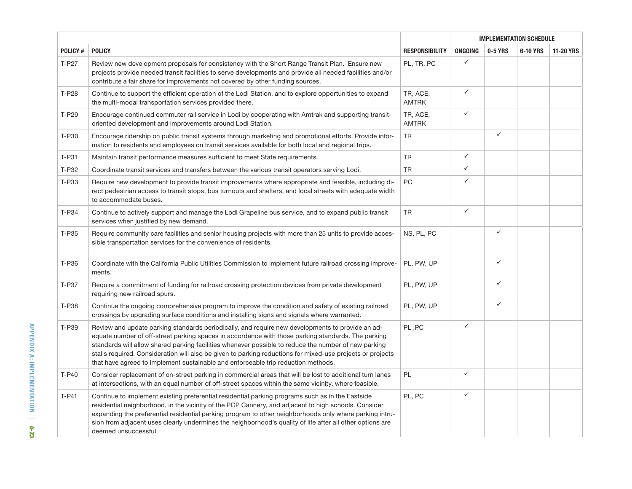|                | <b>POLICY</b>                                                                                                                                                                                                                                                                                                                                                                                                                                                                                                     | <b>RESPONSIBILITY</b>    | <b>IMPLEMENTATION SCHEDULE</b> |              |          |                  |  |
|----------------|-------------------------------------------------------------------------------------------------------------------------------------------------------------------------------------------------------------------------------------------------------------------------------------------------------------------------------------------------------------------------------------------------------------------------------------------------------------------------------------------------------------------|--------------------------|--------------------------------|--------------|----------|------------------|--|
| <b>POLICY#</b> |                                                                                                                                                                                                                                                                                                                                                                                                                                                                                                                   |                          | <b>ONGOING</b>                 | 0-5 YRS      | 6-10 YRS | <b>11-20 YRS</b> |  |
| T-P27          | Review new development proposals for consistency with the Short Range Transit Plan. Ensure new<br>projects provide needed transit facilities to serve developments and provide all needed facilities and/or<br>contribute a fair share for improvements not covered by other funding sources.                                                                                                                                                                                                                     | PL, TR, PC               | $\checkmark$                   |              |          |                  |  |
| T-P28          | Continue to support the efficient operation of the Lodi Station, and to explore opportunities to expand<br>the multi-modal transportation services provided there.                                                                                                                                                                                                                                                                                                                                                | TR, ACE,<br><b>AMTRK</b> | $\checkmark$                   |              |          |                  |  |
| T-P29          | Encourage continued commuter rail service in Lodi by cooperating with Amtrak and supporting transit-<br>oriented development and improvements around Lodi Station.                                                                                                                                                                                                                                                                                                                                                | TR, ACE,<br><b>AMTRK</b> | $\checkmark$                   |              |          |                  |  |
| T-P30          | Encourage ridership on public transit systems through marketing and promotional efforts. Provide infor-<br>mation to residents and employees on transit services available for both local and regional trips.                                                                                                                                                                                                                                                                                                     | <b>TR</b>                |                                | $\checkmark$ |          |                  |  |
| T-P31          | Maintain transit performance measures sufficient to meet State requirements.                                                                                                                                                                                                                                                                                                                                                                                                                                      | <b>TR</b>                | $\checkmark$                   |              |          |                  |  |
| T-P32          | Coordinate transit services and transfers between the various transit operators serving Lodi.                                                                                                                                                                                                                                                                                                                                                                                                                     | <b>TR</b>                | $\checkmark$                   |              |          |                  |  |
| T-P33          | Require new development to provide transit improvements where appropriate and feasible, including di-<br>rect pedestrian access to transit stops, bus turnouts and shelters, and local streets with adequate width<br>to accommodate buses.                                                                                                                                                                                                                                                                       | PC                       | $\checkmark$                   |              |          |                  |  |
| T-P34          | Continue to actively support and manage the Lodi Grapeline bus service, and to expand public transit<br>services when justified by new demand.                                                                                                                                                                                                                                                                                                                                                                    | <b>TR</b>                | $\checkmark$                   |              |          |                  |  |
| T-P35          | Require community care facilities and senior housing projects with more than 25 units to provide acces-<br>sible transportation services for the convenience of residents.                                                                                                                                                                                                                                                                                                                                        | NS, PL, PC               |                                | $\checkmark$ |          |                  |  |
| T-P36          | Coordinate with the California Public Utilities Commission to implement future railroad crossing improve-<br>ments.                                                                                                                                                                                                                                                                                                                                                                                               | PL, PW, UP               |                                | $\checkmark$ |          |                  |  |
| T-P37          | Require a commitment of funding for railroad crossing protection devices from private development<br>requiring new railroad spurs.                                                                                                                                                                                                                                                                                                                                                                                | PL, PW, UP               |                                | $\checkmark$ |          |                  |  |
| T-P38          | Continue the ongoing comprehensive program to improve the condition and safety of existing railroad<br>crossings by upgrading surface conditions and installing signs and signals where warranted.                                                                                                                                                                                                                                                                                                                | PL, PW, UP               |                                | $\checkmark$ |          |                  |  |
| T-P39          | Review and update parking standards periodically, and require new developments to provide an ad-<br>equate number of off-street parking spaces in accordance with those parking standards. The parking<br>standards will allow shared parking facilities whenever possible to reduce the number of new parking<br>stalls required. Consideration will also be given to parking reductions for mixed-use projects or projects<br>that have agreed to implement sustainable and enforceable trip reduction methods. | PL, PC                   | $\checkmark$                   |              |          |                  |  |
| T-P40          | Consider replacement of on-street parking in commercial areas that will be lost to additional turn lanes<br>at intersections, with an equal number of off-street spaces within the same vicinity, where feasible.                                                                                                                                                                                                                                                                                                 | <b>PL</b>                | $\checkmark$                   |              |          |                  |  |
| T-P41          | Continue to implement existing preferential residential parking programs such as in the Eastside<br>residential neighborhood, in the vicinity of the PCP Cannery, and adjacent to high schools. Consider<br>expanding the preferential residential parking program to other neighborhoods only where parking intru-<br>sion from adjacent uses clearly undermines the neighborhood's quality of life after all other options are<br>deemed unsuccessful.                                                          | PL, PC                   | $\checkmark$                   |              |          |                  |  |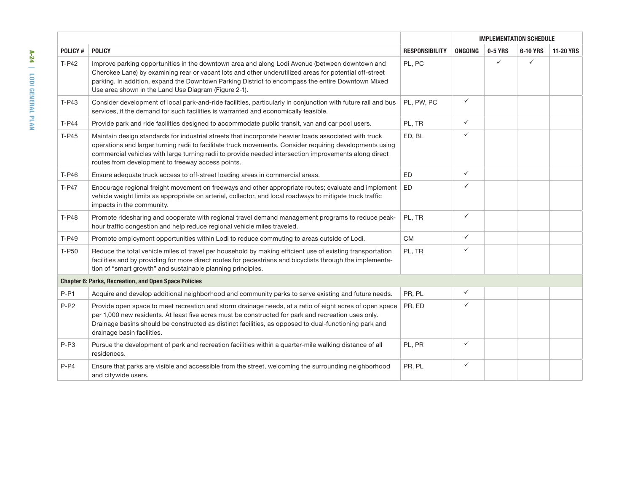|                |                                                                                                                                                                                                                                                                                                                                                                                 |                       | <b>IMPLEMENTATION SCHEDULE</b> |              |              |                  |  |
|----------------|---------------------------------------------------------------------------------------------------------------------------------------------------------------------------------------------------------------------------------------------------------------------------------------------------------------------------------------------------------------------------------|-----------------------|--------------------------------|--------------|--------------|------------------|--|
| <b>POLICY#</b> | <b>POLICY</b>                                                                                                                                                                                                                                                                                                                                                                   | <b>RESPONSIBILITY</b> | ONGOING                        | 0-5 YRS      | 6-10 YRS     | <b>11-20 YRS</b> |  |
| T-P42          | Improve parking opportunities in the downtown area and along Lodi Avenue (between downtown and<br>Cherokee Lane) by examining rear or vacant lots and other underutilized areas for potential off-street<br>parking. In addition, expand the Downtown Parking District to encompass the entire Downtown Mixed<br>Use area shown in the Land Use Diagram (Figure 2-1).           | PL, PC                |                                | $\checkmark$ | $\checkmark$ |                  |  |
| T-P43          | Consider development of local park-and-ride facilities, particularly in conjunction with future rail and bus<br>services, if the demand for such facilities is warranted and economically feasible.                                                                                                                                                                             | PL, PW, PC            | $\checkmark$                   |              |              |                  |  |
| T-P44          | Provide park and ride facilities designed to accommodate public transit, van and car pool users.                                                                                                                                                                                                                                                                                | PL, TR                | ✓                              |              |              |                  |  |
| $T-P45$        | Maintain design standards for industrial streets that incorporate heavier loads associated with truck<br>operations and larger turning radii to facilitate truck movements. Consider requiring developments using<br>commercial vehicles with large turning radii to provide needed intersection improvements along direct<br>routes from development to freeway access points. | ED, BL                | ✓                              |              |              |                  |  |
| T-P46          | Ensure adequate truck access to off-street loading areas in commercial areas.                                                                                                                                                                                                                                                                                                   | ED                    | $\checkmark$                   |              |              |                  |  |
| <b>T-P47</b>   | Encourage regional freight movement on freeways and other appropriate routes; evaluate and implement<br>vehicle weight limits as appropriate on arterial, collector, and local roadways to mitigate truck traffic<br>impacts in the community.                                                                                                                                  | ED                    | ✓                              |              |              |                  |  |
| <b>T-P48</b>   | Promote ridesharing and cooperate with regional travel demand management programs to reduce peak-<br>hour traffic congestion and help reduce regional vehicle miles traveled.                                                                                                                                                                                                   | PL, TR                | $\checkmark$                   |              |              |                  |  |
| T-P49          | Promote employment opportunities within Lodi to reduce commuting to areas outside of Lodi.                                                                                                                                                                                                                                                                                      | CM                    | $\checkmark$                   |              |              |                  |  |
| T-P50          | Reduce the total vehicle miles of travel per household by making efficient use of existing transportation<br>facilities and by providing for more direct routes for pedestrians and bicyclists through the implementa-<br>tion of "smart growth" and sustainable planning principles.                                                                                           | PL, TR                | ✓                              |              |              |                  |  |
|                | <b>Chapter 6: Parks, Recreation, and Open Space Policies</b>                                                                                                                                                                                                                                                                                                                    |                       |                                |              |              |                  |  |
| $P-P1$         | Acquire and develop additional neighborhood and community parks to serve existing and future needs.                                                                                                                                                                                                                                                                             | PR, PL                | ✓                              |              |              |                  |  |
| $P-P2$         | Provide open space to meet recreation and storm drainage needs, at a ratio of eight acres of open space<br>per 1,000 new residents. At least five acres must be constructed for park and recreation uses only.<br>Drainage basins should be constructed as distinct facilities, as opposed to dual-functioning park and<br>drainage basin facilities.                           | PR, ED                | ✓                              |              |              |                  |  |
| $P-P3$         | Pursue the development of park and recreation facilities within a quarter-mile walking distance of all<br>residences.                                                                                                                                                                                                                                                           | PL, PR                | ✓                              |              |              |                  |  |
| $P-P4$         | Ensure that parks are visible and accessible from the street, welcoming the surrounding neighborhood<br>and citywide users.                                                                                                                                                                                                                                                     | PR, PL                | ✓                              |              |              |                  |  |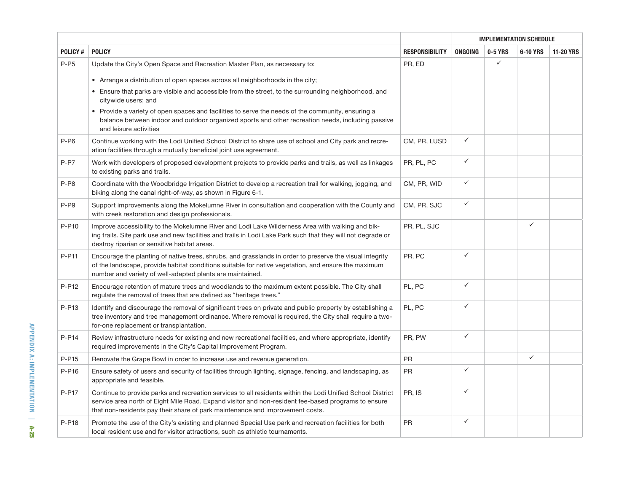|                |                                                                                                                                                                                                                                                                                                    |                       | <b>IMPLEMENTATION SCHEDULE</b> |              |              |                  |  |
|----------------|----------------------------------------------------------------------------------------------------------------------------------------------------------------------------------------------------------------------------------------------------------------------------------------------------|-----------------------|--------------------------------|--------------|--------------|------------------|--|
| <b>POLICY#</b> | <b>POLICY</b>                                                                                                                                                                                                                                                                                      | <b>RESPONSIBILITY</b> | ONGOING                        | 0-5 YRS      | 6-10 YRS     | <b>11-20 YRS</b> |  |
| $P-P5$         | Update the City's Open Space and Recreation Master Plan, as necessary to:                                                                                                                                                                                                                          | PR, ED                |                                | $\checkmark$ |              |                  |  |
|                | • Arrange a distribution of open spaces across all neighborhoods in the city;                                                                                                                                                                                                                      |                       |                                |              |              |                  |  |
|                | • Ensure that parks are visible and accessible from the street, to the surrounding neighborhood, and<br>citywide users; and                                                                                                                                                                        |                       |                                |              |              |                  |  |
|                | • Provide a variety of open spaces and facilities to serve the needs of the community, ensuring a<br>balance between indoor and outdoor organized sports and other recreation needs, including passive<br>and leisure activities                                                                   |                       |                                |              |              |                  |  |
| $P- P6$        | Continue working with the Lodi Unified School District to share use of school and City park and recre-<br>ation facilities through a mutually beneficial joint use agreement.                                                                                                                      | CM, PR, LUSD          | $\checkmark$                   |              |              |                  |  |
| $P- P7$        | Work with developers of proposed development projects to provide parks and trails, as well as linkages<br>to existing parks and trails.                                                                                                                                                            | PR, PL, PC            | $\checkmark$                   |              |              |                  |  |
| $P- P8$        | Coordinate with the Woodbridge Irrigation District to develop a recreation trail for walking, jogging, and<br>biking along the canal right-of-way, as shown in Figure 6-1.                                                                                                                         | CM, PR, WID           | $\checkmark$                   |              |              |                  |  |
| $P- P9$        | Support improvements along the Mokelumne River in consultation and cooperation with the County and<br>with creek restoration and design professionals.                                                                                                                                             | CM, PR, SJC           | $\checkmark$                   |              |              |                  |  |
| P-P10          | Improve accessibility to the Mokelumne River and Lodi Lake Wilderness Area with walking and bik-<br>ing trails. Site park use and new facilities and trails in Lodi Lake Park such that they will not degrade or<br>destroy riparian or sensitive habitat areas.                                   | PR, PL, SJC           |                                |              | $\checkmark$ |                  |  |
| P-P11          | Encourage the planting of native trees, shrubs, and grasslands in order to preserve the visual integrity<br>of the landscape, provide habitat conditions suitable for native vegetation, and ensure the maximum<br>number and variety of well-adapted plants are maintained.                       | PR, PC                | $\checkmark$                   |              |              |                  |  |
| P-P12          | Encourage retention of mature trees and woodlands to the maximum extent possible. The City shall<br>regulate the removal of trees that are defined as "heritage trees."                                                                                                                            | PL, PC                | $\checkmark$                   |              |              |                  |  |
| P-P13          | Identify and discourage the removal of significant trees on private and public property by establishing a<br>tree inventory and tree management ordinance. Where removal is required, the City shall require a two-<br>for-one replacement or transplantation.                                     | PL, PC                | $\checkmark$                   |              |              |                  |  |
| $P-P14$        | Review infrastructure needs for existing and new recreational facilities, and where appropriate, identify<br>required improvements in the City's Capital Improvement Program.                                                                                                                      | PR, PW                | $\checkmark$                   |              |              |                  |  |
| P-P15          | Renovate the Grape Bowl in order to increase use and revenue generation.                                                                                                                                                                                                                           | <b>PR</b>             |                                |              | $\checkmark$ |                  |  |
| $P-P16$        | Ensure safety of users and security of facilities through lighting, signage, fencing, and landscaping, as<br>appropriate and feasible.                                                                                                                                                             | <b>PR</b>             | $\checkmark$                   |              |              |                  |  |
| P-P17          | Continue to provide parks and recreation services to all residents within the Lodi Unified School District<br>service area north of Eight Mile Road. Expand visitor and non-resident fee-based programs to ensure<br>that non-residents pay their share of park maintenance and improvement costs. | PR, IS                | $\checkmark$                   |              |              |                  |  |
| P-P18          | Promote the use of the City's existing and planned Special Use park and recreation facilities for both<br>local resident use and for visitor attractions, such as athletic tournaments.                                                                                                            | <b>PR</b>             | $\checkmark$                   |              |              |                  |  |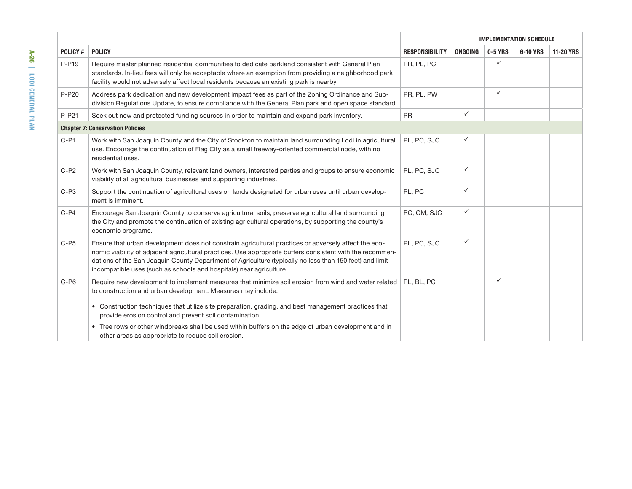|         |                                                                                                                                                                                                                                                                                                                                                                                                     |                       | <b>IMPLEMENTATION SCHEDULE</b> |              |          |                  |
|---------|-----------------------------------------------------------------------------------------------------------------------------------------------------------------------------------------------------------------------------------------------------------------------------------------------------------------------------------------------------------------------------------------------------|-----------------------|--------------------------------|--------------|----------|------------------|
| POLICY# | <b>POLICY</b>                                                                                                                                                                                                                                                                                                                                                                                       | <b>RESPONSIBILITY</b> | ONGOING                        | 0-5 YRS      | 6-10 YRS | <b>11-20 YRS</b> |
| P-P19   | Require master planned residential communities to dedicate parkland consistent with General Plan<br>standards. In-lieu fees will only be acceptable where an exemption from providing a neighborhood park<br>facility would not adversely affect local residents because an existing park is nearby.                                                                                                | PR, PL, PC            |                                | ✓            |          |                  |
| P-P20   | Address park dedication and new development impact fees as part of the Zoning Ordinance and Sub-<br>division Regulations Update, to ensure compliance with the General Plan park and open space standard.                                                                                                                                                                                           | PR, PL, PW            |                                | $\checkmark$ |          |                  |
| P-P21   | Seek out new and protected funding sources in order to maintain and expand park inventory.                                                                                                                                                                                                                                                                                                          | <b>PR</b>             | $\checkmark$                   |              |          |                  |
|         | <b>Chapter 7: Conservation Policies</b>                                                                                                                                                                                                                                                                                                                                                             |                       |                                |              |          |                  |
| $C-PI$  | Work with San Joaquin County and the City of Stockton to maintain land surrounding Lodi in agricultural<br>use. Encourage the continuation of Flag City as a small freeway-oriented commercial node, with no<br>residential uses.                                                                                                                                                                   | PL. PC. SJC           | ✓                              |              |          |                  |
| $C-P2$  | Work with San Joaquin County, relevant land owners, interested parties and groups to ensure economic<br>viability of all agricultural businesses and supporting industries.                                                                                                                                                                                                                         | PL, PC, SJC           | $\checkmark$                   |              |          |                  |
| $C-P3$  | Support the continuation of agricultural uses on lands designated for urban uses until urban develop-<br>ment is imminent.                                                                                                                                                                                                                                                                          | PL, PC                | ✓                              |              |          |                  |
| $C-P4$  | Encourage San Joaquin County to conserve agricultural soils, preserve agricultural land surrounding<br>the City and promote the continuation of existing agricultural operations, by supporting the county's<br>economic programs.                                                                                                                                                                  | PC, CM, SJC           | $\checkmark$                   |              |          |                  |
| $C-PS$  | Ensure that urban development does not constrain agricultural practices or adversely affect the eco-<br>nomic viability of adjacent agricultural practices. Use appropriate buffers consistent with the recommen-<br>dations of the San Joaquin County Department of Agriculture (typically no less than 150 feet) and limit<br>incompatible uses (such as schools and hospitals) near agriculture. | PL, PC, SJC           | ✓                              |              |          |                  |
| $C-P6$  | Require new development to implement measures that minimize soil erosion from wind and water related<br>to construction and urban development. Measures may include:<br>• Construction techniques that utilize site preparation, grading, and best management practices that                                                                                                                        | PL. BL. PC            |                                | $\checkmark$ |          |                  |
|         | provide erosion control and prevent soil contamination.                                                                                                                                                                                                                                                                                                                                             |                       |                                |              |          |                  |
|         | • Tree rows or other windbreaks shall be used within buffers on the edge of urban development and in<br>other areas as appropriate to reduce soil erosion.                                                                                                                                                                                                                                          |                       |                                |              |          |                  |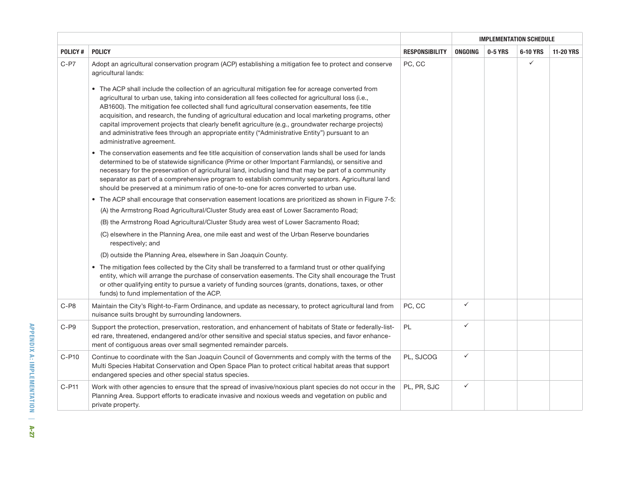|                |                                                                                                                                                                                                                                                                                                                                                                                                                                                                                                                                                                                                                                                              |                       | <b>IMPLEMENTATION SCHEDULE</b> |         |          |                  |  |
|----------------|--------------------------------------------------------------------------------------------------------------------------------------------------------------------------------------------------------------------------------------------------------------------------------------------------------------------------------------------------------------------------------------------------------------------------------------------------------------------------------------------------------------------------------------------------------------------------------------------------------------------------------------------------------------|-----------------------|--------------------------------|---------|----------|------------------|--|
| <b>POLICY#</b> | <b>POLICY</b>                                                                                                                                                                                                                                                                                                                                                                                                                                                                                                                                                                                                                                                | <b>RESPONSIBILITY</b> | <b>ONGOING</b>                 | 0-5 YRS | 6-10 YRS | <b>11-20 YRS</b> |  |
| $C-P7$         | Adopt an agricultural conservation program (ACP) establishing a mitigation fee to protect and conserve<br>agricultural lands:                                                                                                                                                                                                                                                                                                                                                                                                                                                                                                                                | PC, CC                |                                |         | ✓        |                  |  |
|                | • The ACP shall include the collection of an agricultural mitigation fee for acreage converted from<br>agricultural to urban use, taking into consideration all fees collected for agricultural loss (i.e.,<br>AB1600). The mitigation fee collected shall fund agricultural conservation easements, fee title<br>acquisition, and research, the funding of agricultural education and local marketing programs, other<br>capital improvement projects that clearly benefit agriculture (e.g., groundwater recharge projects)<br>and administrative fees through an appropriate entity ("Administrative Entity") pursuant to an<br>administrative agreement. |                       |                                |         |          |                  |  |
|                | • The conservation easements and fee title acquisition of conservation lands shall be used for lands<br>determined to be of statewide significance (Prime or other Important Farmlands), or sensitive and<br>necessary for the preservation of agricultural land, including land that may be part of a community<br>separator as part of a comprehensive program to establish community separators. Agricultural land<br>should be preserved at a minimum ratio of one-to-one for acres converted to urban use.                                                                                                                                              |                       |                                |         |          |                  |  |
|                | • The ACP shall encourage that conservation easement locations are prioritized as shown in Figure 7-5:                                                                                                                                                                                                                                                                                                                                                                                                                                                                                                                                                       |                       |                                |         |          |                  |  |
|                | (A) the Armstrong Road Agricultural/Cluster Study area east of Lower Sacramento Road;                                                                                                                                                                                                                                                                                                                                                                                                                                                                                                                                                                        |                       |                                |         |          |                  |  |
|                | (B) the Armstrong Road Agricultural/Cluster Study area west of Lower Sacramento Road;                                                                                                                                                                                                                                                                                                                                                                                                                                                                                                                                                                        |                       |                                |         |          |                  |  |
|                | (C) elsewhere in the Planning Area, one mile east and west of the Urban Reserve boundaries<br>respectively; and                                                                                                                                                                                                                                                                                                                                                                                                                                                                                                                                              |                       |                                |         |          |                  |  |
|                | (D) outside the Planning Area, elsewhere in San Joaquin County.                                                                                                                                                                                                                                                                                                                                                                                                                                                                                                                                                                                              |                       |                                |         |          |                  |  |
|                | The mitigation fees collected by the City shall be transferred to a farmland trust or other qualifying<br>$\bullet$<br>entity, which will arrange the purchase of conservation easements. The City shall encourage the Trust<br>or other qualifying entity to pursue a variety of funding sources (grants, donations, taxes, or other<br>funds) to fund implementation of the ACP.                                                                                                                                                                                                                                                                           |                       |                                |         |          |                  |  |
| $C-P8$         | Maintain the City's Right-to-Farm Ordinance, and update as necessary, to protect agricultural land from<br>nuisance suits brought by surrounding landowners.                                                                                                                                                                                                                                                                                                                                                                                                                                                                                                 | PC, CC                | $\checkmark$                   |         |          |                  |  |
| C-P9           | Support the protection, preservation, restoration, and enhancement of habitats of State or federally-list-<br>ed rare, threatened, endangered and/or other sensitive and special status species, and favor enhance-<br>ment of contiguous areas over small segmented remainder parcels.                                                                                                                                                                                                                                                                                                                                                                      | PL                    | $\checkmark$                   |         |          |                  |  |
| $C- P10$       | Continue to coordinate with the San Joaquin Council of Governments and comply with the terms of the<br>Multi Species Habitat Conservation and Open Space Plan to protect critical habitat areas that support<br>endangered species and other special status species.                                                                                                                                                                                                                                                                                                                                                                                         | PL, SJCOG             | $\checkmark$                   |         |          |                  |  |
| $C-P11$        | Work with other agencies to ensure that the spread of invasive/noxious plant species do not occur in the<br>Planning Area. Support efforts to eradicate invasive and noxious weeds and vegetation on public and<br>private property.                                                                                                                                                                                                                                                                                                                                                                                                                         | PL, PR, SJC           | $\checkmark$                   |         |          |                  |  |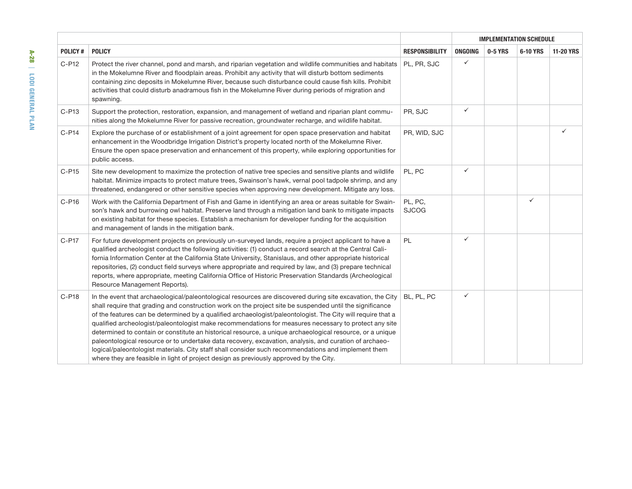|                | <b>POLICY</b>                                                                                                                                                                                                                                                                                                                                                                                                                                                                                                                                                                                                                                                                                                                                                                                                                                                          | <b>RESPONSIBILITY</b>   | <b>IMPLEMENTATION SCHEDULE</b> |         |              |                  |  |
|----------------|------------------------------------------------------------------------------------------------------------------------------------------------------------------------------------------------------------------------------------------------------------------------------------------------------------------------------------------------------------------------------------------------------------------------------------------------------------------------------------------------------------------------------------------------------------------------------------------------------------------------------------------------------------------------------------------------------------------------------------------------------------------------------------------------------------------------------------------------------------------------|-------------------------|--------------------------------|---------|--------------|------------------|--|
| <b>POLICY#</b> |                                                                                                                                                                                                                                                                                                                                                                                                                                                                                                                                                                                                                                                                                                                                                                                                                                                                        |                         | ONGOING                        | 0-5 YRS | 6-10 YRS     | <b>11-20 YRS</b> |  |
| C-P12          | Protect the river channel, pond and marsh, and riparian vegetation and wildlife communities and habitats<br>in the Mokelumne River and floodplain areas. Prohibit any activity that will disturb bottom sediments<br>containing zinc deposits in Mokelumne River, because such disturbance could cause fish kills. Prohibit<br>activities that could disturb anadramous fish in the Mokelumne River during periods of migration and<br>spawning.                                                                                                                                                                                                                                                                                                                                                                                                                       | PL, PR, SJC             | ✓                              |         |              |                  |  |
| $C-P13$        | Support the protection, restoration, expansion, and management of wetland and riparian plant commu-<br>nities along the Mokelumne River for passive recreation, groundwater recharge, and wildlife habitat.                                                                                                                                                                                                                                                                                                                                                                                                                                                                                                                                                                                                                                                            | PR, SJC                 | ✓                              |         |              |                  |  |
| $C- P14$       | Explore the purchase of or establishment of a joint agreement for open space preservation and habitat<br>enhancement in the Woodbridge Irrigation District's property located north of the Mokelumne River.<br>Ensure the open space preservation and enhancement of this property, while exploring opportunities for<br>public access.                                                                                                                                                                                                                                                                                                                                                                                                                                                                                                                                | PR, WID, SJC            |                                |         |              |                  |  |
| $C-P15$        | Site new development to maximize the protection of native tree species and sensitive plants and wildlife<br>habitat. Minimize impacts to protect mature trees, Swainson's hawk, vernal pool tadpole shrimp, and any<br>threatened, endangered or other sensitive species when approving new development. Mitigate any loss.                                                                                                                                                                                                                                                                                                                                                                                                                                                                                                                                            | PL, PC                  | ✓                              |         |              |                  |  |
| C-P16          | Work with the California Department of Fish and Game in identifying an area or areas suitable for Swain-<br>son's hawk and burrowing owl habitat. Preserve land through a mitigation land bank to mitigate impacts<br>on existing habitat for these species. Establish a mechanism for developer funding for the acquisition<br>and management of lands in the mitigation bank.                                                                                                                                                                                                                                                                                                                                                                                                                                                                                        | PL, PC,<br><b>SJCOG</b> |                                |         | $\checkmark$ |                  |  |
| C-P17          | For future development projects on previously un-surveyed lands, require a project applicant to have a<br>qualified archeologist conduct the following activities: (1) conduct a record search at the Central Cali-<br>fornia Information Center at the California State University, Stanislaus, and other appropriate historical<br>repositories, (2) conduct field surveys where appropriate and required by law, and (3) prepare technical<br>reports, where appropriate, meeting California Office of Historic Preservation Standards (Archeological<br>Resource Management Reports).                                                                                                                                                                                                                                                                              | PL                      | ✓                              |         |              |                  |  |
| $C-P18$        | In the event that archaeological/paleontological resources are discovered during site excavation, the City<br>shall require that grading and construction work on the project site be suspended until the significance<br>of the features can be determined by a qualified archaeologist/paleontologist. The City will require that a<br>qualified archeologist/paleontologist make recommendations for measures necessary to protect any site<br>determined to contain or constitute an historical resource, a unique archaeological resource, or a unique<br>paleontological resource or to undertake data recovery, excavation, analysis, and curation of archaeo-<br>logical/paleontologist materials. City staff shall consider such recommendations and implement them<br>where they are feasible in light of project design as previously approved by the City. | BL. PL. PC              | ✓                              |         |              |                  |  |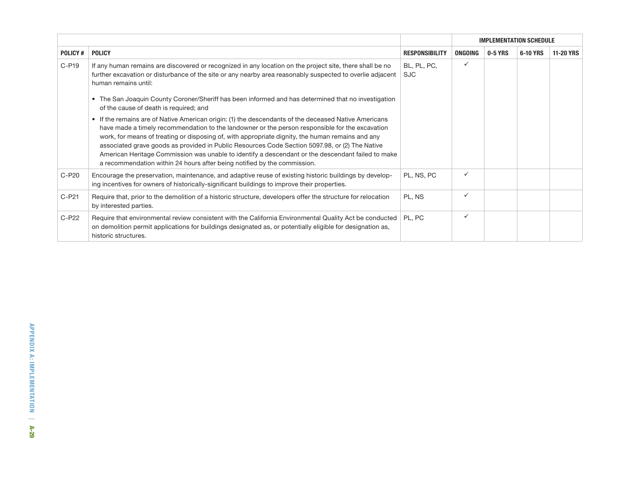|                |                                                                                                                                                                                                                                                                                                                                                                                                                                                                                                                                                                                                           |                       | <b>IMPLEMENTATION SCHEDULE</b> |         |          |                  |  |  |
|----------------|-----------------------------------------------------------------------------------------------------------------------------------------------------------------------------------------------------------------------------------------------------------------------------------------------------------------------------------------------------------------------------------------------------------------------------------------------------------------------------------------------------------------------------------------------------------------------------------------------------------|-----------------------|--------------------------------|---------|----------|------------------|--|--|
| <b>POLICY#</b> | <b>POLICY</b>                                                                                                                                                                                                                                                                                                                                                                                                                                                                                                                                                                                             | <b>RESPONSIBILITY</b> | <b>ONGOING</b>                 | 0-5 YRS | 6-10 YRS | <b>11-20 YRS</b> |  |  |
| $C- P19$       | If any human remains are discovered or recognized in any location on the project site, there shall be no<br>further excavation or disturbance of the site or any nearby area reasonably suspected to overlie adjacent<br>human remains until:                                                                                                                                                                                                                                                                                                                                                             | BL, PL, PC,<br>SJC.   | ✓                              |         |          |                  |  |  |
|                | • The San Joaquin County Coroner/Sheriff has been informed and has determined that no investigation<br>of the cause of death is required; and                                                                                                                                                                                                                                                                                                                                                                                                                                                             |                       |                                |         |          |                  |  |  |
|                | If the remains are of Native American origin: (1) the descendants of the deceased Native Americans<br>$\bullet$<br>have made a timely recommendation to the landowner or the person responsible for the excavation<br>work, for means of treating or disposing of, with appropriate dignity, the human remains and any<br>associated grave goods as provided in Public Resources Code Section 5097.98, or (2) The Native<br>American Heritage Commission was unable to identify a descendant or the descendant failed to make<br>a recommendation within 24 hours after being notified by the commission. |                       |                                |         |          |                  |  |  |
| $C-P20$        | Encourage the preservation, maintenance, and adaptive reuse of existing historic buildings by develop-<br>ing incentives for owners of historically-significant buildings to improve their properties.                                                                                                                                                                                                                                                                                                                                                                                                    | PL. NS. PC            | ✓                              |         |          |                  |  |  |
| $C-P21$        | Require that, prior to the demolition of a historic structure, developers offer the structure for relocation<br>by interested parties.                                                                                                                                                                                                                                                                                                                                                                                                                                                                    | PL, NS                | ✓                              |         |          |                  |  |  |
| $C-P22$        | Require that environmental review consistent with the California Environmental Quality Act be conducted<br>on demolition permit applications for buildings designated as, or potentially eligible for designation as,<br>historic structures.                                                                                                                                                                                                                                                                                                                                                             | PL, PC                | ✓                              |         |          |                  |  |  |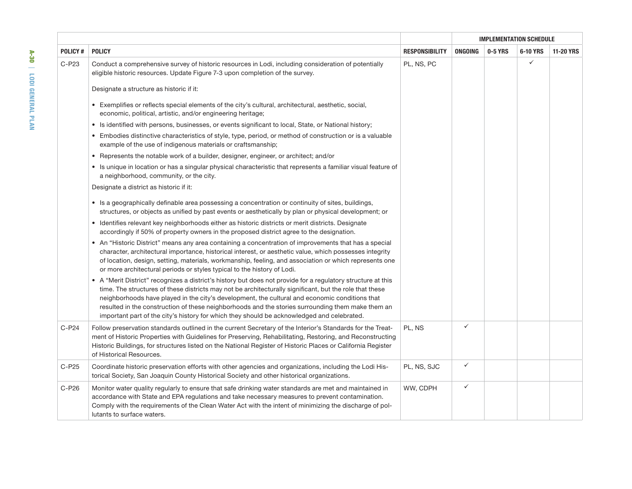|                |                                                                                                                                                                                                                                                                                                                                                                                                                                                                                                                              |                       | <b>IMPLEMENTATION SCHEDULE</b> |         |              |                  |  |  |
|----------------|------------------------------------------------------------------------------------------------------------------------------------------------------------------------------------------------------------------------------------------------------------------------------------------------------------------------------------------------------------------------------------------------------------------------------------------------------------------------------------------------------------------------------|-----------------------|--------------------------------|---------|--------------|------------------|--|--|
| <b>POLICY#</b> | <b>POLICY</b>                                                                                                                                                                                                                                                                                                                                                                                                                                                                                                                | <b>RESPONSIBILITY</b> | ONGOING                        | 0-5 YRS | 6-10 YRS     | <b>11-20 YRS</b> |  |  |
| C-P23          | Conduct a comprehensive survey of historic resources in Lodi, including consideration of potentially<br>eligible historic resources. Update Figure 7-3 upon completion of the survey.                                                                                                                                                                                                                                                                                                                                        | PL, NS, PC            |                                |         | $\checkmark$ |                  |  |  |
|                | Designate a structure as historic if it:                                                                                                                                                                                                                                                                                                                                                                                                                                                                                     |                       |                                |         |              |                  |  |  |
|                | • Exemplifies or reflects special elements of the city's cultural, architectural, aesthetic, social,<br>economic, political, artistic, and/or engineering heritage;                                                                                                                                                                                                                                                                                                                                                          |                       |                                |         |              |                  |  |  |
|                | • Is identified with persons, businesses, or events significant to local, State, or National history;                                                                                                                                                                                                                                                                                                                                                                                                                        |                       |                                |         |              |                  |  |  |
|                | • Embodies distinctive characteristics of style, type, period, or method of construction or is a valuable<br>example of the use of indigenous materials or craftsmanship;                                                                                                                                                                                                                                                                                                                                                    |                       |                                |         |              |                  |  |  |
|                | • Represents the notable work of a builder, designer, engineer, or architect; and/or                                                                                                                                                                                                                                                                                                                                                                                                                                         |                       |                                |         |              |                  |  |  |
|                | • Is unique in location or has a singular physical characteristic that represents a familiar visual feature of<br>a neighborhood, community, or the city.                                                                                                                                                                                                                                                                                                                                                                    |                       |                                |         |              |                  |  |  |
|                | Designate a district as historic if it:                                                                                                                                                                                                                                                                                                                                                                                                                                                                                      |                       |                                |         |              |                  |  |  |
|                | • Is a geographically definable area possessing a concentration or continuity of sites, buildings,<br>structures, or objects as unified by past events or aesthetically by plan or physical development; or                                                                                                                                                                                                                                                                                                                  |                       |                                |         |              |                  |  |  |
|                | • Identifies relevant key neighborhoods either as historic districts or merit districts. Designate<br>accordingly if 50% of property owners in the proposed district agree to the designation.                                                                                                                                                                                                                                                                                                                               |                       |                                |         |              |                  |  |  |
|                | • An "Historic District" means any area containing a concentration of improvements that has a special<br>character, architectural importance, historical interest, or aesthetic value, which possesses integrity<br>of location, design, setting, materials, workmanship, feeling, and association or which represents one<br>or more architectural periods or styles typical to the history of Lodi.                                                                                                                        |                       |                                |         |              |                  |  |  |
|                | • A "Merit District" recognizes a district's history but does not provide for a regulatory structure at this<br>time. The structures of these districts may not be architecturally significant, but the role that these<br>neighborhoods have played in the city's development, the cultural and economic conditions that<br>resulted in the construction of these neighborhoods and the stories surrounding them make them an<br>important part of the city's history for which they should be acknowledged and celebrated. |                       |                                |         |              |                  |  |  |
| $C-P24$        | Follow preservation standards outlined in the current Secretary of the Interior's Standards for the Treat-<br>ment of Historic Properties with Guidelines for Preserving, Rehabilitating, Restoring, and Reconstructing<br>Historic Buildings, for structures listed on the National Register of Historic Places or California Register<br>of Historical Resources.                                                                                                                                                          | PL, NS                | $\checkmark$                   |         |              |                  |  |  |
| $C-P25$        | Coordinate historic preservation efforts with other agencies and organizations, including the Lodi His-<br>torical Society, San Joaquin County Historical Society and other historical organizations.                                                                                                                                                                                                                                                                                                                        | PL, NS, SJC           | $\checkmark$                   |         |              |                  |  |  |
| C-P26          | Monitor water quality regularly to ensure that safe drinking water standards are met and maintained in<br>accordance with State and EPA regulations and take necessary measures to prevent contamination.<br>Comply with the requirements of the Clean Water Act with the intent of minimizing the discharge of pol-<br>lutants to surface waters.                                                                                                                                                                           | WW, CDPH              | $\checkmark$                   |         |              |                  |  |  |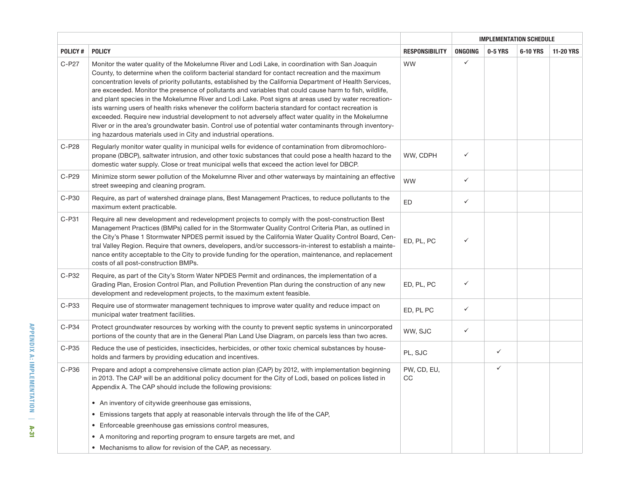|         |                                                                                                                                                                                                                                                                                                                                                                                                                                                                                                                                                                                                                                                                                                                                                                                                                                                                                                                                     |                       | <b>IMPLEMENTATION SCHEDULE</b> |              |          |                  |  |
|---------|-------------------------------------------------------------------------------------------------------------------------------------------------------------------------------------------------------------------------------------------------------------------------------------------------------------------------------------------------------------------------------------------------------------------------------------------------------------------------------------------------------------------------------------------------------------------------------------------------------------------------------------------------------------------------------------------------------------------------------------------------------------------------------------------------------------------------------------------------------------------------------------------------------------------------------------|-----------------------|--------------------------------|--------------|----------|------------------|--|
| POLICY# | <b>POLICY</b>                                                                                                                                                                                                                                                                                                                                                                                                                                                                                                                                                                                                                                                                                                                                                                                                                                                                                                                       | <b>RESPONSIBILITY</b> | <b>ONGOING</b>                 | 0-5 YRS      | 6-10 YRS | <b>11-20 YRS</b> |  |
| C-P27   | Monitor the water quality of the Mokelumne River and Lodi Lake, in coordination with San Joaquin<br>County, to determine when the coliform bacterial standard for contact recreation and the maximum<br>concentration levels of priority pollutants, established by the California Department of Health Services,<br>are exceeded. Monitor the presence of pollutants and variables that could cause harm to fish, wildlife,<br>and plant species in the Mokelumne River and Lodi Lake. Post signs at areas used by water recreation-<br>ists warning users of health risks whenever the coliform bacteria standard for contact recreation is<br>exceeded. Require new industrial development to not adversely affect water quality in the Mokelumne<br>River or in the area's groundwater basin. Control use of potential water contaminants through inventory-<br>ing hazardous materials used in City and industrial operations. | <b>WW</b>             | ✓                              |              |          |                  |  |
| C-P28   | Regularly monitor water quality in municipal wells for evidence of contamination from dibromochloro-<br>propane (DBCP), saltwater intrusion, and other toxic substances that could pose a health hazard to the<br>domestic water supply. Close or treat municipal wells that exceed the action level for DBCP.                                                                                                                                                                                                                                                                                                                                                                                                                                                                                                                                                                                                                      | WW, CDPH              | ✓                              |              |          |                  |  |
| C-P29   | Minimize storm sewer pollution of the Mokelumne River and other waterways by maintaining an effective<br>street sweeping and cleaning program.                                                                                                                                                                                                                                                                                                                                                                                                                                                                                                                                                                                                                                                                                                                                                                                      | <b>WW</b>             | ✓                              |              |          |                  |  |
| C-P30   | Require, as part of watershed drainage plans, Best Management Practices, to reduce pollutants to the<br>maximum extent practicable.                                                                                                                                                                                                                                                                                                                                                                                                                                                                                                                                                                                                                                                                                                                                                                                                 | ED                    | ✓                              |              |          |                  |  |
| C-P31   | Require all new development and redevelopment projects to comply with the post-construction Best<br>Management Practices (BMPs) called for in the Stormwater Quality Control Criteria Plan, as outlined in<br>the City's Phase 1 Stormwater NPDES permit issued by the California Water Quality Control Board, Cen-<br>tral Valley Region. Require that owners, developers, and/or successors-in-interest to establish a mainte-<br>nance entity acceptable to the City to provide funding for the operation, maintenance, and replacement<br>costs of all post-construction BMPs.                                                                                                                                                                                                                                                                                                                                                  | ED, PL, PC            | ✓                              |              |          |                  |  |
| C-P32   | Require, as part of the City's Storm Water NPDES Permit and ordinances, the implementation of a<br>Grading Plan, Erosion Control Plan, and Pollution Prevention Plan during the construction of any new<br>development and redevelopment projects, to the maximum extent feasible.                                                                                                                                                                                                                                                                                                                                                                                                                                                                                                                                                                                                                                                  | ED, PL, PC            | ✓                              |              |          |                  |  |
| C-P33   | Require use of stormwater management techniques to improve water quality and reduce impact on<br>municipal water treatment facilities.                                                                                                                                                                                                                                                                                                                                                                                                                                                                                                                                                                                                                                                                                                                                                                                              | ED, PL PC             | ✓                              |              |          |                  |  |
| $C-P34$ | Protect groundwater resources by working with the county to prevent septic systems in unincorporated<br>portions of the county that are in the General Plan Land Use Diagram, on parcels less than two acres.                                                                                                                                                                                                                                                                                                                                                                                                                                                                                                                                                                                                                                                                                                                       | WW, SJC               | ✓                              |              |          |                  |  |
| C-P35   | Reduce the use of pesticides, insecticides, herbicides, or other toxic chemical substances by house-<br>holds and farmers by providing education and incentives.                                                                                                                                                                                                                                                                                                                                                                                                                                                                                                                                                                                                                                                                                                                                                                    | PL, SJC               |                                | $\checkmark$ |          |                  |  |
| C-P36   | Prepare and adopt a comprehensive climate action plan (CAP) by 2012, with implementation beginning<br>in 2013. The CAP will be an additional policy document for the City of Lodi, based on polices listed in<br>Appendix A. The CAP should include the following provisions:<br>• An inventory of citywide greenhouse gas emissions,                                                                                                                                                                                                                                                                                                                                                                                                                                                                                                                                                                                               | PW, CD, EU,<br>CC     |                                | $\checkmark$ |          |                  |  |
|         | Emissions targets that apply at reasonable intervals through the life of the CAP,<br>$\bullet$                                                                                                                                                                                                                                                                                                                                                                                                                                                                                                                                                                                                                                                                                                                                                                                                                                      |                       |                                |              |          |                  |  |
|         | Enforceable greenhouse gas emissions control measures,<br>$\bullet$                                                                                                                                                                                                                                                                                                                                                                                                                                                                                                                                                                                                                                                                                                                                                                                                                                                                 |                       |                                |              |          |                  |  |
|         | A monitoring and reporting program to ensure targets are met, and<br>$\bullet$                                                                                                                                                                                                                                                                                                                                                                                                                                                                                                                                                                                                                                                                                                                                                                                                                                                      |                       |                                |              |          |                  |  |
|         | • Mechanisms to allow for revision of the CAP, as necessary.                                                                                                                                                                                                                                                                                                                                                                                                                                                                                                                                                                                                                                                                                                                                                                                                                                                                        |                       |                                |              |          |                  |  |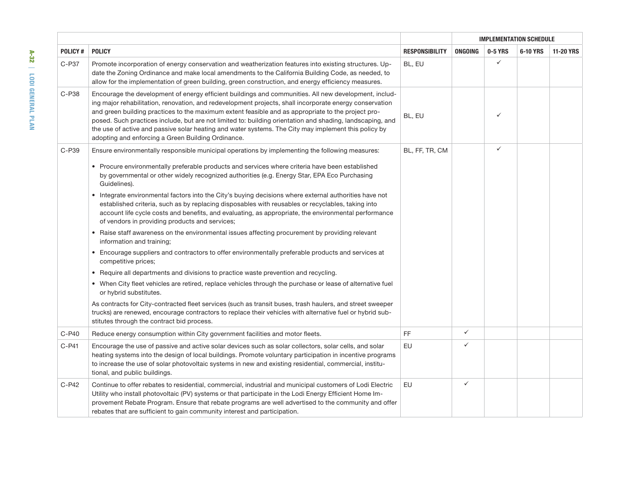|         |                                                                                                                                                                                                                                                                                                                                                                                                                                                                                                                                                                                                   |                       | <b>IMPLEMENTATION SCHEDULE</b> |              |          |                  |  |  |
|---------|---------------------------------------------------------------------------------------------------------------------------------------------------------------------------------------------------------------------------------------------------------------------------------------------------------------------------------------------------------------------------------------------------------------------------------------------------------------------------------------------------------------------------------------------------------------------------------------------------|-----------------------|--------------------------------|--------------|----------|------------------|--|--|
| POLICY# | <b>POLICY</b>                                                                                                                                                                                                                                                                                                                                                                                                                                                                                                                                                                                     | <b>RESPONSIBILITY</b> | <b>ONGOING</b>                 | 0-5 YRS      | 6-10 YRS | <b>11-20 YRS</b> |  |  |
| C-P37   | Promote incorporation of energy conservation and weatherization features into existing structures. Up-<br>date the Zoning Ordinance and make local amendments to the California Building Code, as needed, to<br>allow for the implementation of green building, green construction, and energy efficiency measures.                                                                                                                                                                                                                                                                               | BL, EU                |                                | $\checkmark$ |          |                  |  |  |
| C-P38   | Encourage the development of energy efficient buildings and communities. All new development, includ-<br>ing major rehabilitation, renovation, and redevelopment projects, shall incorporate energy conservation<br>and green building practices to the maximum extent feasible and as appropriate to the project pro-<br>posed. Such practices include, but are not limited to: building orientation and shading, landscaping, and<br>the use of active and passive solar heating and water systems. The City may implement this policy by<br>adopting and enforcing a Green Building Ordinance. | BL, EU                |                                | $\checkmark$ |          |                  |  |  |
| C-P39   | Ensure environmentally responsible municipal operations by implementing the following measures:                                                                                                                                                                                                                                                                                                                                                                                                                                                                                                   | BL, FF, TR, CM        |                                | ✓            |          |                  |  |  |
|         | • Procure environmentally preferable products and services where criteria have been established<br>by governmental or other widely recognized authorities (e.g. Energy Star, EPA Eco Purchasing<br>Guidelines).                                                                                                                                                                                                                                                                                                                                                                                   |                       |                                |              |          |                  |  |  |
|         | • Integrate environmental factors into the City's buying decisions where external authorities have not<br>established criteria, such as by replacing disposables with reusables or recyclables, taking into<br>account life cycle costs and benefits, and evaluating, as appropriate, the environmental performance<br>of vendors in providing products and services;                                                                                                                                                                                                                             |                       |                                |              |          |                  |  |  |
|         | • Raise staff awareness on the environmental issues affecting procurement by providing relevant<br>information and training;                                                                                                                                                                                                                                                                                                                                                                                                                                                                      |                       |                                |              |          |                  |  |  |
|         | • Encourage suppliers and contractors to offer environmentally preferable products and services at<br>competitive prices;                                                                                                                                                                                                                                                                                                                                                                                                                                                                         |                       |                                |              |          |                  |  |  |
|         | • Require all departments and divisions to practice waste prevention and recycling.                                                                                                                                                                                                                                                                                                                                                                                                                                                                                                               |                       |                                |              |          |                  |  |  |
|         | • When City fleet vehicles are retired, replace vehicles through the purchase or lease of alternative fuel<br>or hybrid substitutes.                                                                                                                                                                                                                                                                                                                                                                                                                                                              |                       |                                |              |          |                  |  |  |
|         | As contracts for City-contracted fleet services (such as transit buses, trash haulers, and street sweeper<br>trucks) are renewed, encourage contractors to replace their vehicles with alternative fuel or hybrid sub-<br>stitutes through the contract bid process.                                                                                                                                                                                                                                                                                                                              |                       |                                |              |          |                  |  |  |
| $C-P40$ | Reduce energy consumption within City government facilities and motor fleets.                                                                                                                                                                                                                                                                                                                                                                                                                                                                                                                     | FF                    | ✓                              |              |          |                  |  |  |
| $C-P41$ | Encourage the use of passive and active solar devices such as solar collectors, solar cells, and solar<br>heating systems into the design of local buildings. Promote voluntary participation in incentive programs<br>to increase the use of solar photovoltaic systems in new and existing residential, commercial, institu-<br>tional, and public buildings.                                                                                                                                                                                                                                   | EU                    | ✓                              |              |          |                  |  |  |
| $C-P42$ | Continue to offer rebates to residential, commercial, industrial and municipal customers of Lodi Electric<br>Utility who install photovoltaic (PV) systems or that participate in the Lodi Energy Efficient Home Im-<br>provement Rebate Program. Ensure that rebate programs are well advertised to the community and offer<br>rebates that are sufficient to gain community interest and participation.                                                                                                                                                                                         | <b>EU</b>             | ✓                              |              |          |                  |  |  |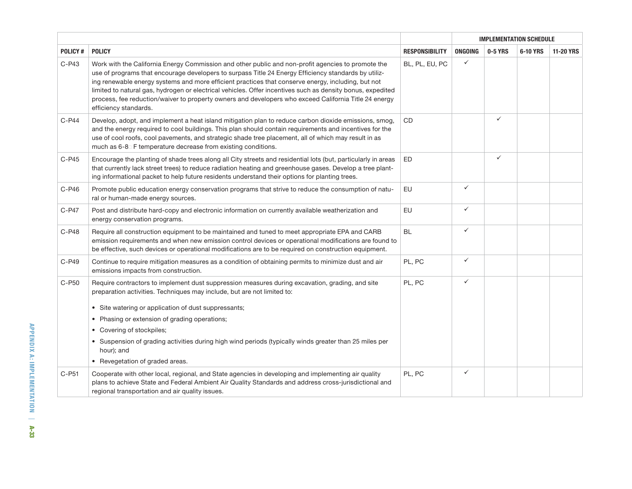|          |                                                                                                                                                                                                                                                                                                                                                                                                                                                                                                                                                                  |                       | <b>IMPLEMENTATION SCHEDULE</b> |              |          |                  |  |  |  |
|----------|------------------------------------------------------------------------------------------------------------------------------------------------------------------------------------------------------------------------------------------------------------------------------------------------------------------------------------------------------------------------------------------------------------------------------------------------------------------------------------------------------------------------------------------------------------------|-----------------------|--------------------------------|--------------|----------|------------------|--|--|--|
| POLICY#  | <b>POLICY</b>                                                                                                                                                                                                                                                                                                                                                                                                                                                                                                                                                    | <b>RESPONSIBILITY</b> | ONGOING                        | 0-5 YRS      | 6-10 YRS | <b>11-20 YRS</b> |  |  |  |
| $C-P43$  | Work with the California Energy Commission and other public and non-profit agencies to promote the<br>use of programs that encourage developers to surpass Title 24 Energy Efficiency standards by utiliz-<br>ing renewable energy systems and more efficient practices that conserve energy, including, but not<br>limited to natural gas, hydrogen or electrical vehicles. Offer incentives such as density bonus, expedited<br>process, fee reduction/waiver to property owners and developers who exceed California Title 24 energy<br>efficiency standards. | BL, PL, EU, PC        | $\checkmark$                   |              |          |                  |  |  |  |
| $C-P44$  | Develop, adopt, and implement a heat island mitigation plan to reduce carbon dioxide emissions, smog,<br>and the energy required to cool buildings. This plan should contain requirements and incentives for the<br>use of cool roofs, cool pavements, and strategic shade tree placement, all of which may result in as<br>much as 6-8 F temperature decrease from existing conditions.                                                                                                                                                                         | CD                    |                                | $\checkmark$ |          |                  |  |  |  |
| $C-P45$  | Encourage the planting of shade trees along all City streets and residential lots (but, particularly in areas<br>that currently lack street trees) to reduce radiation heating and greenhouse gases. Develop a tree plant-<br>ing informational packet to help future residents understand their options for planting trees.                                                                                                                                                                                                                                     | <b>ED</b>             |                                | $\checkmark$ |          |                  |  |  |  |
| $C-P46$  | Promote public education energy conservation programs that strive to reduce the consumption of natu-<br>ral or human-made energy sources.                                                                                                                                                                                                                                                                                                                                                                                                                        | <b>EU</b>             | $\checkmark$                   |              |          |                  |  |  |  |
| $C-P47$  | Post and distribute hard-copy and electronic information on currently available weatherization and<br>energy conservation programs.                                                                                                                                                                                                                                                                                                                                                                                                                              | EU                    | $\checkmark$                   |              |          |                  |  |  |  |
| C-P48    | Require all construction equipment to be maintained and tuned to meet appropriate EPA and CARB<br>emission requirements and when new emission control devices or operational modifications are found to<br>be effective, such devices or operational modifications are to be required on construction equipment.                                                                                                                                                                                                                                                 | <b>BL</b>             | $\checkmark$                   |              |          |                  |  |  |  |
| C-P49    | Continue to require mitigation measures as a condition of obtaining permits to minimize dust and air<br>emissions impacts from construction.                                                                                                                                                                                                                                                                                                                                                                                                                     | PL, PC                | $\checkmark$                   |              |          |                  |  |  |  |
| C-P50    | Require contractors to implement dust suppression measures during excavation, grading, and site<br>preparation activities. Techniques may include, but are not limited to:<br>• Site watering or application of dust suppressants;<br>Phasing or extension of grading operations;<br>$\bullet$<br>• Covering of stockpiles;<br>• Suspension of grading activities during high wind periods (typically winds greater than 25 miles per<br>hour); and<br>• Revegetation of graded areas.                                                                           | PL, PC                | $\checkmark$                   |              |          |                  |  |  |  |
| $C-$ P51 | Cooperate with other local, regional, and State agencies in developing and implementing air quality<br>plans to achieve State and Federal Ambient Air Quality Standards and address cross-jurisdictional and<br>regional transportation and air quality issues.                                                                                                                                                                                                                                                                                                  | PL, PC                | $\checkmark$                   |              |          |                  |  |  |  |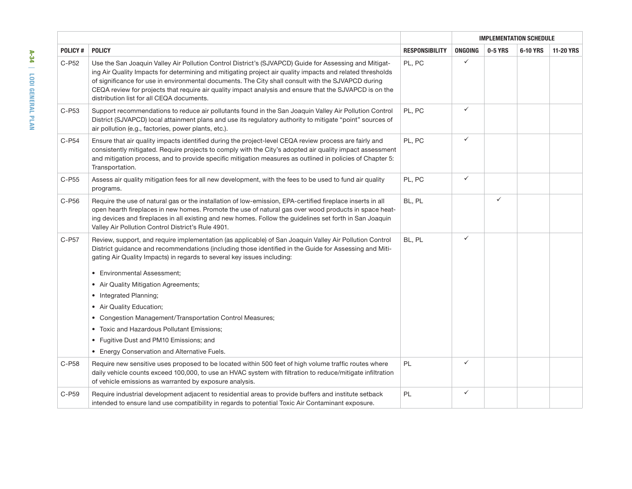|                |                                                                                                                                                                                                                                                                                                                                                                                                                                                                                   |                       | <b>IMPLEMENTATION SCHEDULE</b> |              |          |                  |  |
|----------------|-----------------------------------------------------------------------------------------------------------------------------------------------------------------------------------------------------------------------------------------------------------------------------------------------------------------------------------------------------------------------------------------------------------------------------------------------------------------------------------|-----------------------|--------------------------------|--------------|----------|------------------|--|
| <b>POLICY#</b> | <b>POLICY</b>                                                                                                                                                                                                                                                                                                                                                                                                                                                                     | <b>RESPONSIBILITY</b> | <b>ONGOING</b>                 | 0-5 YRS      | 6-10 YRS | <b>11-20 YRS</b> |  |
| C-P52          | Use the San Joaquin Valley Air Pollution Control District's (SJVAPCD) Guide for Assessing and Mitigat-<br>ing Air Quality Impacts for determining and mitigating project air quality impacts and related thresholds<br>of significance for use in environmental documents. The City shall consult with the SJVAPCD during<br>CEQA review for projects that require air quality impact analysis and ensure that the SJVAPCD is on the<br>distribution list for all CEQA documents. | PL, PC                | ✓                              |              |          |                  |  |
| C-P53          | Support recommendations to reduce air pollutants found in the San Joaquin Valley Air Pollution Control<br>District (SJVAPCD) local attainment plans and use its regulatory authority to mitigate "point" sources of<br>air pollution (e.g., factories, power plants, etc.).                                                                                                                                                                                                       | PL, PC                | $\checkmark$                   |              |          |                  |  |
| C-P54          | Ensure that air quality impacts identified during the project-level CEQA review process are fairly and<br>consistently mitigated. Require projects to comply with the City's adopted air quality impact assessment<br>and mitigation process, and to provide specific mitigation measures as outlined in policies of Chapter 5:<br>Transportation.                                                                                                                                | PL, PC                | $\checkmark$                   |              |          |                  |  |
| C-P55          | Assess air quality mitigation fees for all new development, with the fees to be used to fund air quality<br>programs.                                                                                                                                                                                                                                                                                                                                                             | PL, PC                | ✓                              |              |          |                  |  |
| C-P56          | Require the use of natural gas or the installation of low-emission, EPA-certified fireplace inserts in all<br>open hearth fireplaces in new homes. Promote the use of natural gas over wood products in space heat-<br>ing devices and fireplaces in all existing and new homes. Follow the guidelines set forth in San Joaquin<br>Valley Air Pollution Control District's Rule 4901.                                                                                             | BL, PL                |                                | $\checkmark$ |          |                  |  |
| C-P57          | Review, support, and require implementation (as applicable) of San Joaquin Valley Air Pollution Control<br>District guidance and recommendations (including those identified in the Guide for Assessing and Miti-<br>gating Air Quality Impacts) in regards to several key issues including:                                                                                                                                                                                      | BL, PL                | $\checkmark$                   |              |          |                  |  |
|                | • Environmental Assessment;                                                                                                                                                                                                                                                                                                                                                                                                                                                       |                       |                                |              |          |                  |  |
|                | • Air Quality Mitigation Agreements;                                                                                                                                                                                                                                                                                                                                                                                                                                              |                       |                                |              |          |                  |  |
|                | • Integrated Planning;                                                                                                                                                                                                                                                                                                                                                                                                                                                            |                       |                                |              |          |                  |  |
|                | • Air Quality Education;                                                                                                                                                                                                                                                                                                                                                                                                                                                          |                       |                                |              |          |                  |  |
|                | • Congestion Management/Transportation Control Measures;                                                                                                                                                                                                                                                                                                                                                                                                                          |                       |                                |              |          |                  |  |
|                | Toxic and Hazardous Pollutant Emissions;                                                                                                                                                                                                                                                                                                                                                                                                                                          |                       |                                |              |          |                  |  |
|                | • Fugitive Dust and PM10 Emissions; and                                                                                                                                                                                                                                                                                                                                                                                                                                           |                       |                                |              |          |                  |  |
|                | • Energy Conservation and Alternative Fuels.                                                                                                                                                                                                                                                                                                                                                                                                                                      |                       |                                |              |          |                  |  |
| C-P58          | Require new sensitive uses proposed to be located within 500 feet of high volume traffic routes where<br>daily vehicle counts exceed 100,000, to use an HVAC system with filtration to reduce/mitigate infiltration<br>of vehicle emissions as warranted by exposure analysis.                                                                                                                                                                                                    | PL                    | $\checkmark$                   |              |          |                  |  |
| C-P59          | Require industrial development adjacent to residential areas to provide buffers and institute setback<br>intended to ensure land use compatibility in regards to potential Toxic Air Contaminant exposure.                                                                                                                                                                                                                                                                        | PL                    | $\checkmark$                   |              |          |                  |  |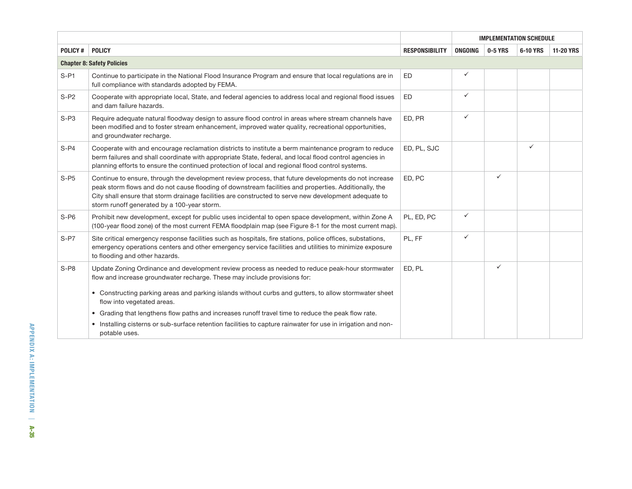|         |                                                                                                                                                                                                                                                                                                                                                                       |                       | <b>IMPLEMENTATION SCHEDULE</b> |              |              |                  |
|---------|-----------------------------------------------------------------------------------------------------------------------------------------------------------------------------------------------------------------------------------------------------------------------------------------------------------------------------------------------------------------------|-----------------------|--------------------------------|--------------|--------------|------------------|
| POLICY# | <b>POLICY</b>                                                                                                                                                                                                                                                                                                                                                         | <b>RESPONSIBILITY</b> | ONGOING                        | 0-5 YRS      | 6-10 YRS     | <b>11-20 YRS</b> |
|         | <b>Chapter 8: Safety Policies</b>                                                                                                                                                                                                                                                                                                                                     |                       |                                |              |              |                  |
| $S-PI$  | ED<br>Continue to participate in the National Flood Insurance Program and ensure that local regulations are in<br>full compliance with standards adopted by FEMA.                                                                                                                                                                                                     |                       | ✓                              |              |              |                  |
| $S- P2$ | Cooperate with appropriate local, State, and federal agencies to address local and regional flood issues<br>and dam failure hazards.                                                                                                                                                                                                                                  | ED                    | ✓                              |              |              |                  |
| $S- P3$ | ED, PR<br>Require adequate natural floodway design to assure flood control in areas where stream channels have<br>been modified and to foster stream enhancement, improved water quality, recreational opportunities,<br>and groundwater recharge.                                                                                                                    |                       | $\checkmark$                   |              |              |                  |
| $S- P4$ | Cooperate with and encourage reclamation districts to institute a berm maintenance program to reduce<br>berm failures and shall coordinate with appropriate State, federal, and local flood control agencies in<br>planning efforts to ensure the continued protection of local and regional flood control systems.                                                   | ED, PL, SJC           |                                |              | $\checkmark$ |                  |
| $S-PS$  | Continue to ensure, through the development review process, that future developments do not increase<br>peak storm flows and do not cause flooding of downstream facilities and properties. Additionally, the<br>City shall ensure that storm drainage facilities are constructed to serve new development adequate to<br>storm runoff generated by a 100-year storm. | ED, PC                |                                | $\checkmark$ |              |                  |
| $S-P6$  | Prohibit new development, except for public uses incidental to open space development, within Zone A<br>(100-year flood zone) of the most current FEMA floodplain map (see Figure 8-1 for the most current map).                                                                                                                                                      | PL, ED, PC            | ✓                              |              |              |                  |
| $S-PT$  | Site critical emergency response facilities such as hospitals, fire stations, police offices, substations,<br>emergency operations centers and other emergency service facilities and utilities to minimize exposure<br>to flooding and other hazards.                                                                                                                | PL, FF                | ✓                              |              |              |                  |
| $S-PS$  | Update Zoning Ordinance and development review process as needed to reduce peak-hour stormwater<br>flow and increase groundwater recharge. These may include provisions for:                                                                                                                                                                                          | ED, PL                |                                | $\checkmark$ |              |                  |
|         | • Constructing parking areas and parking islands without curbs and gutters, to allow stormwater sheet<br>flow into vegetated areas.                                                                                                                                                                                                                                   |                       |                                |              |              |                  |
|         | • Grading that lengthens flow paths and increases runoff travel time to reduce the peak flow rate.                                                                                                                                                                                                                                                                    |                       |                                |              |              |                  |
|         | • Installing cisterns or sub-surface retention facilities to capture rainwater for use in irrigation and non-<br>potable uses.                                                                                                                                                                                                                                        |                       |                                |              |              |                  |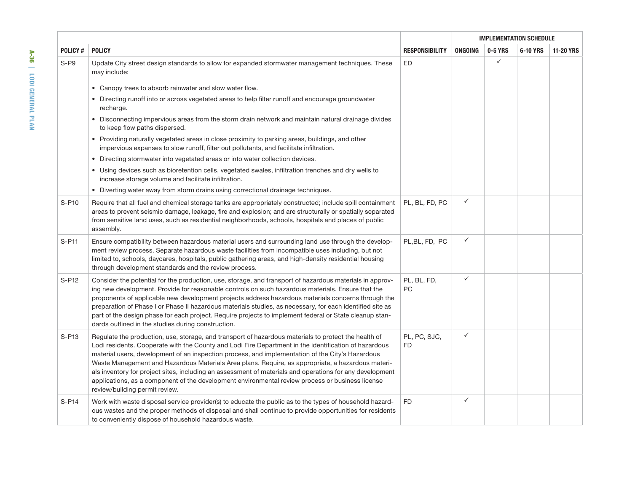|                |                                                                                                                                                                                                                                                                                                                                                                                                                                                                                                                                                                                                                                                                          |                           | <b>IMPLEMENTATION SCHEDULE</b> |              |          |                  |
|----------------|--------------------------------------------------------------------------------------------------------------------------------------------------------------------------------------------------------------------------------------------------------------------------------------------------------------------------------------------------------------------------------------------------------------------------------------------------------------------------------------------------------------------------------------------------------------------------------------------------------------------------------------------------------------------------|---------------------------|--------------------------------|--------------|----------|------------------|
| <b>POLICY#</b> | <b>POLICY</b>                                                                                                                                                                                                                                                                                                                                                                                                                                                                                                                                                                                                                                                            | <b>RESPONSIBILITY</b>     | ONGOING                        | 0-5 YRS      | 6-10 YRS | <b>11-20 YRS</b> |
| $S- P9$        | Update City street design standards to allow for expanded stormwater management techniques. These<br>may include:                                                                                                                                                                                                                                                                                                                                                                                                                                                                                                                                                        | ED                        |                                | $\checkmark$ |          |                  |
|                | • Canopy trees to absorb rainwater and slow water flow.                                                                                                                                                                                                                                                                                                                                                                                                                                                                                                                                                                                                                  |                           |                                |              |          |                  |
|                | • Directing runoff into or across vegetated areas to help filter runoff and encourage groundwater<br>recharge.                                                                                                                                                                                                                                                                                                                                                                                                                                                                                                                                                           |                           |                                |              |          |                  |
|                | • Disconnecting impervious areas from the storm drain network and maintain natural drainage divides<br>to keep flow paths dispersed.                                                                                                                                                                                                                                                                                                                                                                                                                                                                                                                                     |                           |                                |              |          |                  |
|                | • Providing naturally vegetated areas in close proximity to parking areas, buildings, and other<br>impervious expanses to slow runoff, filter out pollutants, and facilitate infiltration.                                                                                                                                                                                                                                                                                                                                                                                                                                                                               |                           |                                |              |          |                  |
|                | • Directing stormwater into vegetated areas or into water collection devices.                                                                                                                                                                                                                                                                                                                                                                                                                                                                                                                                                                                            |                           |                                |              |          |                  |
|                | • Using devices such as bioretention cells, vegetated swales, infiltration trenches and dry wells to<br>increase storage volume and facilitate infiltration.                                                                                                                                                                                                                                                                                                                                                                                                                                                                                                             |                           |                                |              |          |                  |
|                | • Diverting water away from storm drains using correctional drainage techniques.                                                                                                                                                                                                                                                                                                                                                                                                                                                                                                                                                                                         |                           |                                |              |          |                  |
| S-P10          | Require that all fuel and chemical storage tanks are appropriately constructed; include spill containment<br>areas to prevent seismic damage, leakage, fire and explosion; and are structurally or spatially separated<br>from sensitive land uses, such as residential neighborhoods, schools, hospitals and places of public<br>assembly.                                                                                                                                                                                                                                                                                                                              | PL, BL, FD, PC            | ✓                              |              |          |                  |
| S-P11          | Ensure compatibility between hazardous material users and surrounding land use through the develop-<br>ment review process. Separate hazardous waste facilities from incompatible uses including, but not<br>limited to, schools, daycares, hospitals, public gathering areas, and high-density residential housing<br>through development standards and the review process.                                                                                                                                                                                                                                                                                             | PL, BL, FD, PC            | $\checkmark$                   |              |          |                  |
| S-P12          | Consider the potential for the production, use, storage, and transport of hazardous materials in approv-<br>ing new development. Provide for reasonable controls on such hazardous materials. Ensure that the<br>proponents of applicable new development projects address hazardous materials concerns through the<br>preparation of Phase I or Phase II hazardous materials studies, as necessary, for each identified site as<br>part of the design phase for each project. Require projects to implement federal or State cleanup stan-<br>dards outlined in the studies during construction.                                                                        | PL, BL, FD,<br>PC         | $\checkmark$                   |              |          |                  |
| $S- P13$       | Regulate the production, use, storage, and transport of hazardous materials to protect the health of<br>Lodi residents. Cooperate with the County and Lodi Fire Department in the identification of hazardous<br>material users, development of an inspection process, and implementation of the City's Hazardous<br>Waste Management and Hazardous Materials Area plans. Require, as appropriate, a hazardous materi-<br>als inventory for project sites, including an assessment of materials and operations for any development<br>applications, as a component of the development environmental review process or business license<br>review/building permit review. | PL, PC, SJC,<br><b>FD</b> | $\checkmark$                   |              |          |                  |
| S-P14          | Work with waste disposal service provider(s) to educate the public as to the types of household hazard-<br>ous wastes and the proper methods of disposal and shall continue to provide opportunities for residents<br>to conveniently dispose of household hazardous waste.                                                                                                                                                                                                                                                                                                                                                                                              | <b>FD</b>                 | $\checkmark$                   |              |          |                  |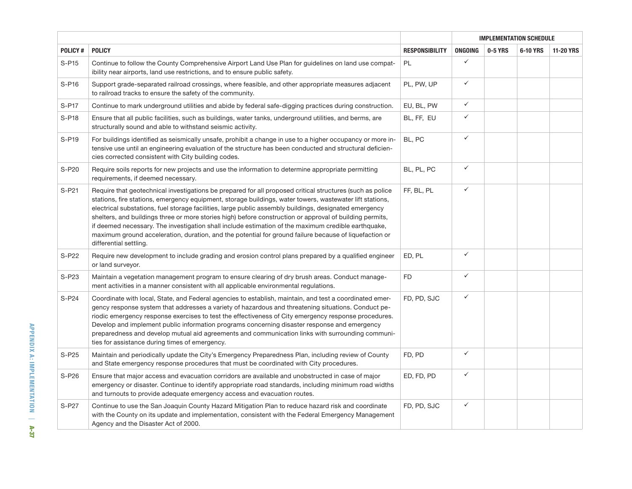|                |                                                                                                                                                                                                                                                                                                                                                                                                                                                                                                                                                                                                                                                                                        |                       | <b>IMPLEMENTATION SCHEDULE</b> |         |          |                  |
|----------------|----------------------------------------------------------------------------------------------------------------------------------------------------------------------------------------------------------------------------------------------------------------------------------------------------------------------------------------------------------------------------------------------------------------------------------------------------------------------------------------------------------------------------------------------------------------------------------------------------------------------------------------------------------------------------------------|-----------------------|--------------------------------|---------|----------|------------------|
| <b>POLICY#</b> | <b>POLICY</b>                                                                                                                                                                                                                                                                                                                                                                                                                                                                                                                                                                                                                                                                          | <b>RESPONSIBILITY</b> | ONGOING                        | 0-5 YRS | 6-10 YRS | <b>11-20 YRS</b> |
| $S-PI5$        | Continue to follow the County Comprehensive Airport Land Use Plan for guidelines on land use compat-<br>ibility near airports, land use restrictions, and to ensure public safety.                                                                                                                                                                                                                                                                                                                                                                                                                                                                                                     | PL                    | $\checkmark$                   |         |          |                  |
| S-P16          | Support grade-separated railroad crossings, where feasible, and other appropriate measures adjacent<br>to railroad tracks to ensure the safety of the community.                                                                                                                                                                                                                                                                                                                                                                                                                                                                                                                       | PL, PW, UP            | $\checkmark$                   |         |          |                  |
| S-P17          | Continue to mark underground utilities and abide by federal safe-digging practices during construction.                                                                                                                                                                                                                                                                                                                                                                                                                                                                                                                                                                                | EU, BL, PW            | $\checkmark$                   |         |          |                  |
| S-P18          | Ensure that all public facilities, such as buildings, water tanks, underground utilities, and berms, are<br>structurally sound and able to withstand seismic activity.                                                                                                                                                                                                                                                                                                                                                                                                                                                                                                                 | BL, FF, EU            | ✓                              |         |          |                  |
| S-P19          | BL, PC<br>For buildings identified as seismically unsafe, prohibit a change in use to a higher occupancy or more in-<br>tensive use until an engineering evaluation of the structure has been conducted and structural deficien-<br>cies corrected consistent with City building codes.                                                                                                                                                                                                                                                                                                                                                                                                |                       | $\checkmark$                   |         |          |                  |
| S-P20          | Require soils reports for new projects and use the information to determine appropriate permitting<br>requirements, if deemed necessary.                                                                                                                                                                                                                                                                                                                                                                                                                                                                                                                                               | BL, PL, PC            | $\checkmark$                   |         |          |                  |
| $S- P21$       | Require that geotechnical investigations be prepared for all proposed critical structures (such as police<br>stations, fire stations, emergency equipment, storage buildings, water towers, wastewater lift stations,<br>electrical substations, fuel storage facilities, large public assembly buildings, designated emergency<br>shelters, and buildings three or more stories high) before construction or approval of building permits,<br>if deemed necessary. The investigation shall include estimation of the maximum credible earthquake,<br>maximum ground acceleration, duration, and the potential for ground failure because of liquefaction or<br>differential settling. | FF, BL, PL            | $\checkmark$                   |         |          |                  |
| S-P22          | Require new development to include grading and erosion control plans prepared by a qualified engineer<br>or land surveyor.                                                                                                                                                                                                                                                                                                                                                                                                                                                                                                                                                             | ED, PL                | $\checkmark$                   |         |          |                  |
| S-P23          | Maintain a vegetation management program to ensure clearing of dry brush areas. Conduct manage-<br>ment activities in a manner consistent with all applicable environmental regulations.                                                                                                                                                                                                                                                                                                                                                                                                                                                                                               | ${\sf FD}$            | $\checkmark$                   |         |          |                  |
| S-P24          | Coordinate with local, State, and Federal agencies to establish, maintain, and test a coordinated emer-<br>gency response system that addresses a variety of hazardous and threatening situations. Conduct pe-<br>riodic emergency response exercises to test the effectiveness of City emergency response procedures.<br>Develop and implement public information programs concerning disaster response and emergency<br>preparedness and develop mutual aid agreements and communication links with surrounding communi-<br>ties for assistance during times of emergency.                                                                                                           | FD, PD, SJC           | ✓                              |         |          |                  |
| S-P25          | Maintain and periodically update the City's Emergency Preparedness Plan, including review of County<br>and State emergency response procedures that must be coordinated with City procedures.                                                                                                                                                                                                                                                                                                                                                                                                                                                                                          | FD, PD                | $\checkmark$                   |         |          |                  |
| S-P26          | Ensure that major access and evacuation corridors are available and unobstructed in case of major<br>emergency or disaster. Continue to identify appropriate road standards, including minimum road widths<br>and turnouts to provide adequate emergency access and evacuation routes.                                                                                                                                                                                                                                                                                                                                                                                                 | ED, FD, PD            | $\checkmark$                   |         |          |                  |
| S-P27          | Continue to use the San Joaquin County Hazard Mitigation Plan to reduce hazard risk and coordinate<br>with the County on its update and implementation, consistent with the Federal Emergency Management<br>Agency and the Disaster Act of 2000.                                                                                                                                                                                                                                                                                                                                                                                                                                       | FD, PD, SJC           | $\checkmark$                   |         |          |                  |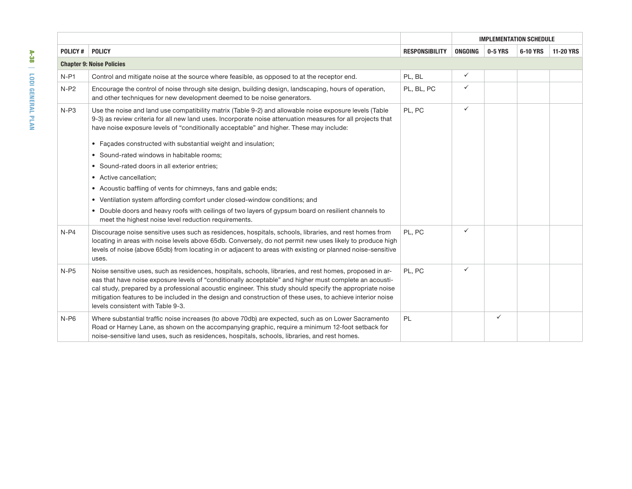|                |                                                                                                                                                                                                                                                                                                                                                                                                                                                                                   |                       | <b>IMPLEMENTATION SCHEDULE</b> |         |          |                  |
|----------------|-----------------------------------------------------------------------------------------------------------------------------------------------------------------------------------------------------------------------------------------------------------------------------------------------------------------------------------------------------------------------------------------------------------------------------------------------------------------------------------|-----------------------|--------------------------------|---------|----------|------------------|
| <b>POLICY#</b> | <b>POLICY</b>                                                                                                                                                                                                                                                                                                                                                                                                                                                                     | <b>RESPONSIBILITY</b> | ONGOING                        | 0-5 YRS | 6-10 YRS | <b>11-20 YRS</b> |
|                | <b>Chapter 9: Noise Policies</b>                                                                                                                                                                                                                                                                                                                                                                                                                                                  |                       |                                |         |          |                  |
| $N-P1$         | Control and mitigate noise at the source where feasible, as opposed to at the receptor end.                                                                                                                                                                                                                                                                                                                                                                                       | PL, BL                | $\checkmark$                   |         |          |                  |
| $N-P2$         | Encourage the control of noise through site design, building design, landscaping, hours of operation,<br>PL, BL, PC<br>and other techniques for new development deemed to be noise generators.                                                                                                                                                                                                                                                                                    |                       | ✓                              |         |          |                  |
| $N-P3$         | Use the noise and land use compatibility matrix (Table 9-2) and allowable noise exposure levels (Table<br>9-3) as review criteria for all new land uses. Incorporate noise attenuation measures for all projects that<br>have noise exposure levels of "conditionally acceptable" and higher. These may include:<br>• Facades constructed with substantial weight and insulation;                                                                                                 | PL, PC                | ✓                              |         |          |                  |
|                | • Sound-rated windows in habitable rooms;                                                                                                                                                                                                                                                                                                                                                                                                                                         |                       |                                |         |          |                  |
|                | • Sound-rated doors in all exterior entries;                                                                                                                                                                                                                                                                                                                                                                                                                                      |                       |                                |         |          |                  |
|                | • Active cancellation:                                                                                                                                                                                                                                                                                                                                                                                                                                                            |                       |                                |         |          |                  |
|                | • Acoustic baffling of vents for chimneys, fans and gable ends;                                                                                                                                                                                                                                                                                                                                                                                                                   |                       |                                |         |          |                  |
|                | • Ventilation system affording comfort under closed-window conditions; and                                                                                                                                                                                                                                                                                                                                                                                                        |                       |                                |         |          |                  |
|                | • Double doors and heavy roofs with ceilings of two layers of gypsum board on resilient channels to<br>meet the highest noise level reduction requirements.                                                                                                                                                                                                                                                                                                                       |                       |                                |         |          |                  |
| $N-P4$         | Discourage noise sensitive uses such as residences, hospitals, schools, libraries, and rest homes from<br>locating in areas with noise levels above 65db. Conversely, do not permit new uses likely to produce high<br>levels of noise (above 65db) from locating in or adjacent to areas with existing or planned noise-sensitive<br>uses.                                                                                                                                       | PL. PC                | ✓                              |         |          |                  |
| $N-P5$         | Noise sensitive uses, such as residences, hospitals, schools, libraries, and rest homes, proposed in ar-<br>eas that have noise exposure levels of "conditionally acceptable" and higher must complete an acousti-<br>cal study, prepared by a professional acoustic engineer. This study should specify the appropriate noise<br>mitigation features to be included in the design and construction of these uses, to achieve interior noise<br>levels consistent with Table 9-3. | PL, PC                | ✓                              |         |          |                  |
| $N-P6$         | Where substantial traffic noise increases (to above 70db) are expected, such as on Lower Sacramento<br>Road or Harney Lane, as shown on the accompanying graphic, require a minimum 12-foot setback for<br>noise-sensitive land uses, such as residences, hospitals, schools, libraries, and rest homes.                                                                                                                                                                          | <b>PL</b>             |                                | ✓       |          |                  |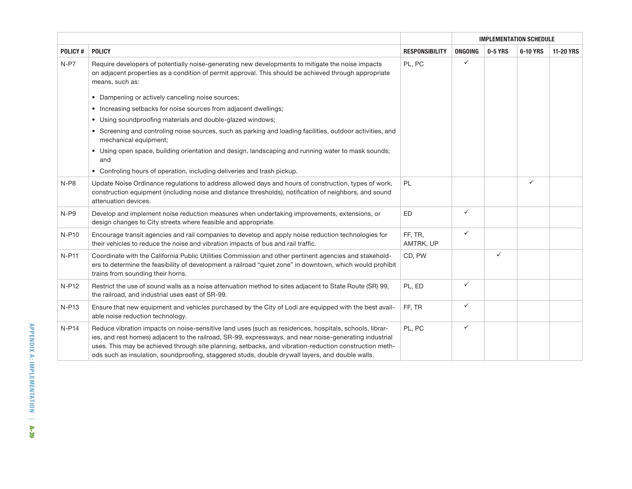|                |                                                                                                                                                                                                                                                                                                                                                                                                                                 |                       | <b>IMPLEMENTATION SCHEDULE</b> |              |              |                  |
|----------------|---------------------------------------------------------------------------------------------------------------------------------------------------------------------------------------------------------------------------------------------------------------------------------------------------------------------------------------------------------------------------------------------------------------------------------|-----------------------|--------------------------------|--------------|--------------|------------------|
| <b>POLICY#</b> | <b>POLICY</b>                                                                                                                                                                                                                                                                                                                                                                                                                   | <b>RESPONSIBILITY</b> | <b>ONGOING</b>                 | 0-5 YRS      | 6-10 YRS     | <b>11-20 YRS</b> |
| $N-P7$         | Require developers of potentially noise-generating new developments to mitigate the noise impacts<br>on adjacent properties as a condition of permit approval. This should be achieved through appropriate<br>means, such as:                                                                                                                                                                                                   | PL, PC                | $\checkmark$                   |              |              |                  |
|                | • Dampening or actively canceling noise sources;                                                                                                                                                                                                                                                                                                                                                                                |                       |                                |              |              |                  |
|                | • Increasing setbacks for noise sources from adjacent dwellings;                                                                                                                                                                                                                                                                                                                                                                |                       |                                |              |              |                  |
|                | • Using soundproofing materials and double-glazed windows;                                                                                                                                                                                                                                                                                                                                                                      |                       |                                |              |              |                  |
|                | • Screening and controling noise sources, such as parking and loading facilities, outdoor activities, and<br>mechanical equipment;                                                                                                                                                                                                                                                                                              |                       |                                |              |              |                  |
|                | • Using open space, building orientation and design, landscaping and running water to mask sounds;<br>and                                                                                                                                                                                                                                                                                                                       |                       |                                |              |              |                  |
|                | • Controling hours of operation, including deliveries and trash pickup.                                                                                                                                                                                                                                                                                                                                                         |                       |                                |              |              |                  |
| $N-P8$         | Update Noise Ordinance regulations to address allowed days and hours of construction, types of work,<br>construction equipment (including noise and distance thresholds), notification of neighbors, and sound<br>attenuation devices.                                                                                                                                                                                          | <b>PL</b>             |                                |              | $\checkmark$ |                  |
| $N-P9$         | Develop and implement noise reduction measures when undertaking improvements, extensions, or<br>design changes to City streets where feasible and appropriate.                                                                                                                                                                                                                                                                  | <b>ED</b>             | $\checkmark$                   |              |              |                  |
| N-P10          | Encourage transit agencies and rail companies to develop and apply noise reduction technologies for<br>their vehicles to reduce the noise and vibration impacts of bus and rail traffic.                                                                                                                                                                                                                                        | FF, TR,<br>AMTRK, UP  | $\checkmark$                   |              |              |                  |
| <b>N-P11</b>   | Coordinate with the California Public Utilities Commission and other pertinent agencies and stakehold-<br>ers to determine the feasibility of development a railroad "quiet zone" in downtown, which would prohibit<br>trains from sounding their horns.                                                                                                                                                                        | CD, PW                |                                | $\checkmark$ |              |                  |
| N-P12          | Restrict the use of sound walls as a noise attenuation method to sites adjacent to State Route (SR) 99,<br>the railroad, and industrial uses east of SR-99.                                                                                                                                                                                                                                                                     | PL, ED                | $\checkmark$                   |              |              |                  |
| <b>N-P13</b>   | Ensure that new equipment and vehicles purchased by the City of Lodi are equipped with the best avail-<br>able noise reduction technology.                                                                                                                                                                                                                                                                                      | FF, TR                | $\checkmark$                   |              |              |                  |
| $N-P14$        | Reduce vibration impacts on noise-sensitive land uses (such as residences, hospitals, schools, librar-<br>ies, and rest homes) adjacent to the railroad, SR-99, expressways, and near noise-generating industrial<br>uses. This may be achieved through site planning, setbacks, and vibration-reduction construction meth-<br>ods such as insulation, soundproofing, staggered studs, double drywall layers, and double walls. | PL, PC                | $\checkmark$                   |              |              |                  |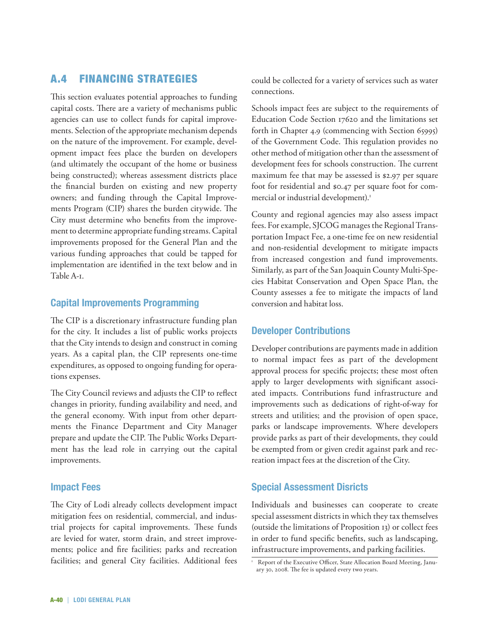# A.4 Financing Strategies

This section evaluates potential approaches to funding capital costs. There are a variety of mechanisms public agencies can use to collect funds for capital improvements. Selection of the appropriate mechanism depends on the nature of the improvement. For example, development impact fees place the burden on developers (and ultimately the occupant of the home or business being constructed); whereas assessment districts place the financial burden on existing and new property owners; and funding through the Capital Improvements Program (CIP) shares the burden citywide. The City must determine who benefits from the improvement to determine appropriate funding streams. Capital improvements proposed for the General Plan and the various funding approaches that could be tapped for implementation are identified in the text below and in Table A-1.

# **Capital Improvements Programming**

The CIP is a discretionary infrastructure funding plan for the city. It includes a list of public works projects that the City intends to design and construct in coming years. As a capital plan, the CIP represents one-time expenditures, as opposed to ongoing funding for operations expenses.

The City Council reviews and adjusts the CIP to reflect changes in priority, funding availability and need, and the general economy. With input from other departments the Finance Department and City Manager prepare and update the CIP. The Public Works Department has the lead role in carrying out the capital improvements.

# **Impact Fees**

The City of Lodi already collects development impact mitigation fees on residential, commercial, and industrial projects for capital improvements. These funds are levied for water, storm drain, and street improvements; police and fire facilities; parks and recreation facilities; and general City facilities. Additional fees

could be collected for a variety of services such as water connections.

Schools impact fees are subject to the requirements of Education Code Section 17620 and the limitations set forth in Chapter 4.9 (commencing with Section 65995) of the Government Code. This regulation provides no other method of mitigation other than the assessment of development fees for schools construction. The current maximum fee that may be assessed is \$2.97 per square foot for residential and \$0.47 per square foot for commercial or industrial development).<sup>1</sup>

County and regional agencies may also assess impact fees. For example, SJCOG manages the Regional Transportation Impact Fee, a one-time fee on new residential and non-residential development to mitigate impacts from increased congestion and fund improvements. Similarly, as part of the San Joaquin County Multi-Species Habitat Conservation and Open Space Plan, the County assesses a fee to mitigate the impacts of land conversion and habitat loss.

# **Developer Contributions**

Developer contributions are payments made in addition to normal impact fees as part of the development approval process for specific projects; these most often apply to larger developments with significant associated impacts. Contributions fund infrastructure and improvements such as dedications of right-of-way for streets and utilities; and the provision of open space, parks or landscape improvements. Where developers provide parks as part of their developments, they could be exempted from or given credit against park and recreation impact fees at the discretion of the City.

# **Special Assessment Disricts**

Individuals and businesses can cooperate to create special assessment districts in which they tax themselves (outside the limitations of Proposition 13) or collect fees in order to fund specific benefits, such as landscaping, infrastructure improvements, and parking facilities.

<sup>&</sup>lt;sup>1</sup> Report of the Executive Officer, State Allocation Board Meeting, January 30, 2008. The fee is updated every two years.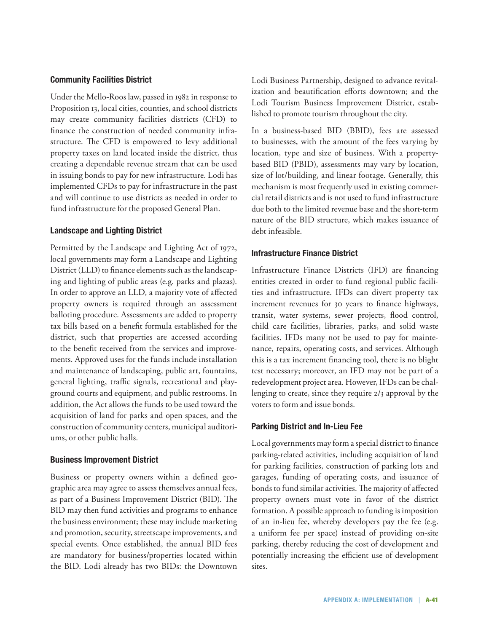#### **Community Facilities District**

Under the Mello-Roos law, passed in 1982 in response to Proposition 13, local cities, counties, and school districts may create community facilities districts (CFD) to finance the construction of needed community infrastructure. The CFD is empowered to levy additional property taxes on land located inside the district, thus creating a dependable revenue stream that can be used in issuing bonds to pay for new infrastructure. Lodi has implemented CFDs to pay for infrastructure in the past and will continue to use districts as needed in order to fund infrastructure for the proposed General Plan.

#### **Landscape and Lighting District**

Permitted by the Landscape and Lighting Act of 1972, local governments may form a Landscape and Lighting District (LLD) to finance elements such as the landscaping and lighting of public areas (e.g. parks and plazas). In order to approve an LLD, a majority vote of affected property owners is required through an assessment balloting procedure. Assessments are added to property tax bills based on a benefit formula established for the district, such that properties are accessed according to the benefit received from the services and improvements. Approved uses for the funds include installation and maintenance of landscaping, public art, fountains, general lighting, traffic signals, recreational and playground courts and equipment, and public restrooms. In addition, the Act allows the funds to be used toward the acquisition of land for parks and open spaces, and the construction of community centers, municipal auditoriums, or other public halls.

#### **Business Improvement District**

Business or property owners within a defined geographic area may agree to assess themselves annual fees, as part of a Business Improvement District (BID). The BID may then fund activities and programs to enhance the business environment; these may include marketing and promotion, security, streetscape improvements, and special events. Once established, the annual BID fees are mandatory for business/properties located within the BID. Lodi already has two BIDs: the Downtown

Lodi Business Partnership, designed to advance revitalization and beautification efforts downtown; and the Lodi Tourism Business Improvement District, established to promote tourism throughout the city.

In a business-based BID (BBID), fees are assessed to businesses, with the amount of the fees varying by location, type and size of business. With a propertybased BID (PBID), assessments may vary by location, size of lot/building, and linear footage. Generally, this mechanism is most frequently used in existing commercial retail districts and is not used to fund infrastructure due both to the limited revenue base and the short-term nature of the BID structure, which makes issuance of debt infeasible.

#### **Infrastructure Finance District**

Infrastructure Finance Districts (IFD) are financing entities created in order to fund regional public facilities and infrastructure. IFDs can divert property tax increment revenues for 30 years to finance highways, transit, water systems, sewer projects, flood control, child care facilities, libraries, parks, and solid waste facilities. IFDs many not be used to pay for maintenance, repairs, operating costs, and services. Although this is a tax increment financing tool, there is no blight test necessary; moreover, an IFD may not be part of a redevelopment project area. However, IFDs can be challenging to create, since they require 2/3 approval by the voters to form and issue bonds.

#### **Parking District and In-Lieu Fee**

Local governments may form a special district to finance parking-related activities, including acquisition of land for parking facilities, construction of parking lots and garages, funding of operating costs, and issuance of bonds to fund similar activities. The majority of affected property owners must vote in favor of the district formation. A possible approach to funding is imposition of an in-lieu fee, whereby developers pay the fee (e.g. a uniform fee per space) instead of providing on-site parking, thereby reducing the cost of development and potentially increasing the efficient use of development sites.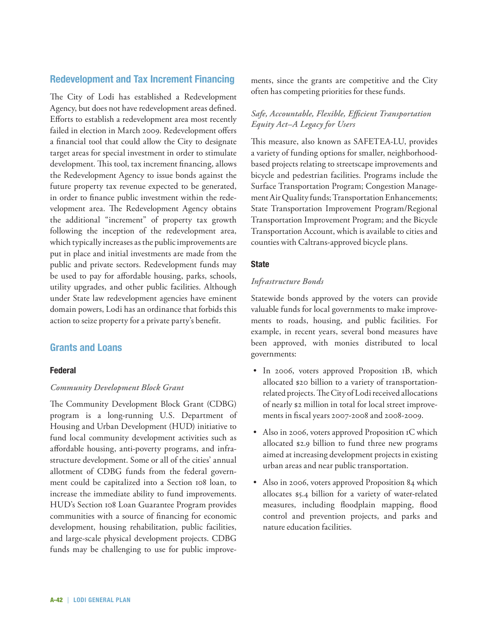# **Redevelopment and Tax Increment Financing**

The City of Lodi has established a Redevelopment Agency, but does not have redevelopment areas defined. Efforts to establish a redevelopment area most recently failed in election in March 2009. Redevelopment offers a financial tool that could allow the City to designate target areas for special investment in order to stimulate development. This tool, tax increment financing, allows the Redevelopment Agency to issue bonds against the future property tax revenue expected to be generated, in order to finance public investment within the redevelopment area. The Redevelopment Agency obtains the additional "increment" of property tax growth following the inception of the redevelopment area, which typically increases as the public improvements are put in place and initial investments are made from the public and private sectors. Redevelopment funds may be used to pay for affordable housing, parks, schools, utility upgrades, and other public facilities. Although under State law redevelopment agencies have eminent domain powers, Lodi has an ordinance that forbids this action to seize property for a private party's benefit.

# **Grants and Loans**

# **Federal**

# *Community Development Block Grant*

The Community Development Block Grant (CDBG) program is a long-running U.S. Department of Housing and Urban Development (HUD) initiative to fund local community development activities such as affordable housing, anti-poverty programs, and infrastructure development. Some or all of the cities' annual allotment of CDBG funds from the federal government could be capitalized into a Section 108 loan, to increase the immediate ability to fund improvements. HUD's Section 108 Loan Guarantee Program provides communities with a source of financing for economic development, housing rehabilitation, public facilities, and large-scale physical development projects. CDBG funds may be challenging to use for public improvements, since the grants are competitive and the City often has competing priorities for these funds.

# *Safe, Accountable, Flexible, Efficient Transportation Equity Act–A Legacy for Users*

This measure, also known as SAFETEA-LU, provides a variety of funding options for smaller, neighborhoodbased projects relating to streetscape improvements and bicycle and pedestrian facilities. Programs include the Surface Transportation Program; Congestion Management Air Quality funds; Transportation Enhancements; State Transportation Improvement Program/Regional Transportation Improvement Program; and the Bicycle Transportation Account, which is available to cities and counties with Caltrans-approved bicycle plans.

#### **State**

#### *Infrastructure Bonds*

Statewide bonds approved by the voters can provide valuable funds for local governments to make improvements to roads, housing, and public facilities. For example, in recent years, several bond measures have been approved, with monies distributed to local governments:

- In 2006, voters approved Proposition 1B, which allocated \$20 billion to a variety of transportationrelated projects. The City of Lodi received allocations of nearly \$2 million in total for local street improvements in fiscal years 2007-2008 and 2008-2009.
- Also in 2006, voters approved Proposition 1C which allocated \$2.9 billion to fund three new programs aimed at increasing development projects in existing urban areas and near public transportation.
- Also in 2006, voters approved Proposition 84 which allocates \$5.4 billion for a variety of water-related measures, including floodplain mapping, flood control and prevention projects, and parks and nature education facilities.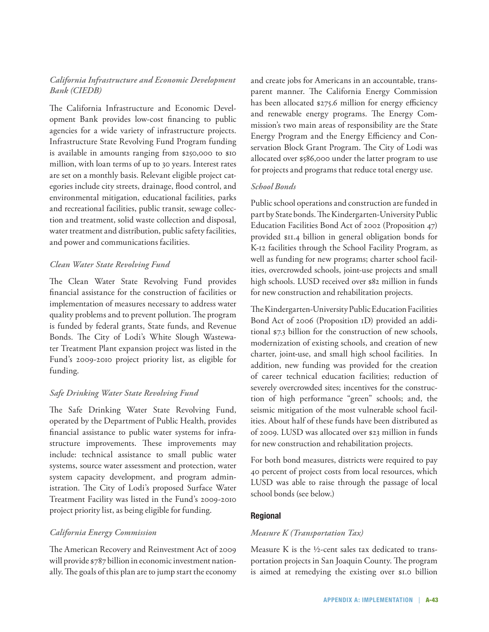# *California Infrastructure and Economic Development Bank (CIEDB)*

The California Infrastructure and Economic Development Bank provides low-cost financing to public agencies for a wide variety of infrastructure projects. Infrastructure State Revolving Fund Program funding is available in amounts ranging from \$250,000 to \$10 million, with loan terms of up to 30 years. Interest rates are set on a monthly basis. Relevant eligible project categories include city streets, drainage, flood control, and environmental mitigation, educational facilities, parks and recreational facilities, public transit, sewage collection and treatment, solid waste collection and disposal, water treatment and distribution, public safety facilities, and power and communications facilities.

# *Clean Water State Revolving Fund*

The Clean Water State Revolving Fund provides financial assistance for the construction of facilities or implementation of measures necessary to address water quality problems and to prevent pollution. The program is funded by federal grants, State funds, and Revenue Bonds. The City of Lodi's White Slough Wastewater Treatment Plant expansion project was listed in the Fund's 2009-2010 project priority list, as eligible for funding.

# *Safe Drinking Water State Revolving Fund*

The Safe Drinking Water State Revolving Fund, operated by the Department of Public Health, provides financial assistance to public water systems for infrastructure improvements. These improvements may include: technical assistance to small public water systems, source water assessment and protection, water system capacity development, and program administration. The City of Lodi's proposed Surface Water Treatment Facility was listed in the Fund's 2009-2010 project priority list, as being eligible for funding.

# *California Energy Commission*

The American Recovery and Reinvestment Act of 2009 will provide \$787 billion in economic investment nationally. The goals of this plan are to jump start the economy and create jobs for Americans in an accountable, transparent manner. The California Energy Commission has been allocated \$275.6 million for energy efficiency and renewable energy programs. The Energy Commission's two main areas of responsibility are the State Energy Program and the Energy Efficiency and Conservation Block Grant Program. The City of Lodi was allocated over \$586,000 under the latter program to use for projects and programs that reduce total energy use.

#### *School Bonds*

Public school operations and construction are funded in part by State bonds. The Kindergarten-University Public Education Facilities Bond Act of 2002 (Proposition 47) provided \$11.4 billion in general obligation bonds for K-12 facilities through the School Facility Program, as well as funding for new programs; charter school facilities, overcrowded schools, joint-use projects and small high schools. LUSD received over \$82 million in funds for new construction and rehabilitation projects.

The Kindergarten-University Public Education Facilities Bond Act of 2006 (Proposition 1D) provided an additional \$7.3 billion for the construction of new schools, modernization of existing schools, and creation of new charter, joint-use, and small high school facilities. In addition, new funding was provided for the creation of career technical education facilities; reduction of severely overcrowded sites; incentives for the construction of high performance "green" schools; and, the seismic mitigation of the most vulnerable school facilities. About half of these funds have been distributed as of 2009. LUSD was allocated over \$23 million in funds for new construction and rehabilitation projects.

For both bond measures, districts were required to pay 40 percent of project costs from local resources, which LUSD was able to raise through the passage of local school bonds (see below.)

# **Regional**

#### *Measure K (Transportation Tax)*

Measure K is the ½-cent sales tax dedicated to transportation projects in San Joaquin County. The program is aimed at remedying the existing over \$1.0 billion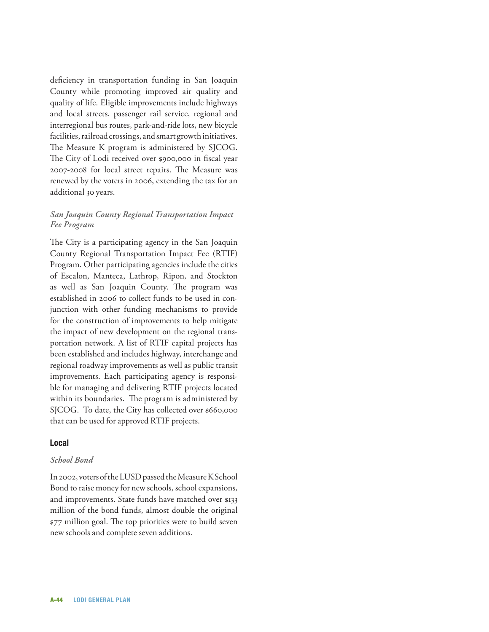deficiency in transportation funding in San Joaquin County while promoting improved air quality and quality of life. Eligible improvements include highways and local streets, passenger rail service, regional and interregional bus routes, park-and-ride lots, new bicycle facilities, railroad crossings, and smart growth initiatives. The Measure K program is administered by SJCOG. The City of Lodi received over \$900,000 in fiscal year 2007-2008 for local street repairs. The Measure was renewed by the voters in 2006, extending the tax for an additional 30 years.

#### *San Joaquin County Regional Transportation Impact Fee Program*

The City is a participating agency in the San Joaquin County Regional Transportation Impact Fee (RTIF) Program. Other participating agencies include the cities of Escalon, Manteca, Lathrop, Ripon, and Stockton as well as San Joaquin County. The program was established in 2006 to collect funds to be used in conjunction with other funding mechanisms to provide for the construction of improvements to help mitigate the impact of new development on the regional transportation network. A list of RTIF capital projects has been established and includes highway, interchange and regional roadway improvements as well as public transit improvements. Each participating agency is responsible for managing and delivering RTIF projects located within its boundaries. The program is administered by SJCOG. To date, the City has collected over \$660,000 that can be used for approved RTIF projects.

#### **Local**

#### *School Bond*

In 2002, voters of the LUSD passed the Measure K School Bond to raise money for new schools, school expansions, and improvements. State funds have matched over \$133 million of the bond funds, almost double the original \$77 million goal. The top priorities were to build seven new schools and complete seven additions.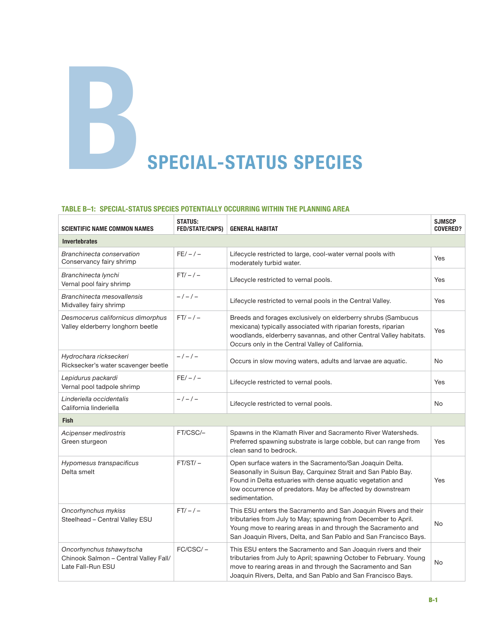# **BSPECIAL-STATUS SPECIES**

#### **Table B–1: Special-Status Species Potentially Occurring within the Planning Area**

| <b>SCIENTIFIC NAME COMMON NAMES</b>                                                    | <b>STATUS:</b><br><b>FED/STATE/CNPS)</b> | <b>GENERAL HABITAT</b>                                                                                                                                                                                                                                                  | <b>SJMSCP</b><br><b>COVERED?</b> |
|----------------------------------------------------------------------------------------|------------------------------------------|-------------------------------------------------------------------------------------------------------------------------------------------------------------------------------------------------------------------------------------------------------------------------|----------------------------------|
| <b>Invertebrates</b>                                                                   |                                          |                                                                                                                                                                                                                                                                         |                                  |
| Branchinecta conservation<br>Conservancy fairy shrimp                                  | $FE/-/-$                                 | Lifecycle restricted to large, cool-water vernal pools with<br>moderately turbid water.                                                                                                                                                                                 | Yes                              |
| Branchinecta lynchi<br>Vernal pool fairy shrimp                                        | $FT/-/-$                                 | Lifecycle restricted to vernal pools.                                                                                                                                                                                                                                   | <b>Yes</b>                       |
| Branchinecta mesovallensis<br>Midvalley fairy shrimp                                   | $-/-/-/$                                 | Lifecycle restricted to vernal pools in the Central Valley.                                                                                                                                                                                                             | Yes                              |
| Desmocerus californicus dimorphus<br>Valley elderberry longhorn beetle                 | $FT/-/-$                                 | Breeds and forages exclusively on elderberry shrubs (Sambucus<br>mexicana) typically associated with riparian forests, riparian<br>woodlands, elderberry savannas, and other Central Valley habitats.<br>Occurs only in the Central Valley of California.               | Yes                              |
| Hydrochara rickseckeri<br>Ricksecker's water scavenger beetle                          | $-/-/-$                                  | Occurs in slow moving waters, adults and larvae are aquatic.                                                                                                                                                                                                            | No                               |
| Lepidurus packardi<br>Vernal pool tadpole shrimp                                       | $FE/-/-$                                 | Lifecycle restricted to vernal pools.                                                                                                                                                                                                                                   | Yes                              |
| Linderiella occidentalis<br>California linderiella                                     | $-/-/-/$                                 | Lifecycle restricted to vernal pools.                                                                                                                                                                                                                                   | No                               |
| <b>Fish</b>                                                                            |                                          |                                                                                                                                                                                                                                                                         |                                  |
| Acipenser medirostris<br>Green sturgeon                                                | FT/CSC/-                                 | Spawns in the Klamath River and Sacramento River Watersheds.<br>Preferred spawning substrate is large cobble, but can range from<br>clean sand to bedrock.                                                                                                              | Yes                              |
| Hypomesus transpacificus<br>Delta smelt                                                | $FT/ST/-$                                | Open surface waters in the Sacramento/San Joaquin Delta.<br>Seasonally in Suisun Bay, Carquinez Strait and San Pablo Bay.<br>Found in Delta estuaries with dense aquatic vegetation and<br>low occurrence of predators. May be affected by downstream<br>sedimentation. | Yes                              |
| Oncorhynchus mykiss<br>Steelhead - Central Valley ESU                                  | $FT/-/-$                                 | This ESU enters the Sacramento and San Joaquin Rivers and their<br>tributaries from July to May; spawning from December to April.<br>Young move to rearing areas in and through the Sacramento and<br>San Joaquin Rivers, Delta, and San Pablo and San Francisco Bays.  | <b>No</b>                        |
| Oncorhynchus tshawytscha<br>Chinook Salmon - Central Valley Fall/<br>Late Fall-Run ESU | $FC/CSC/-$                               | This ESU enters the Sacramento and San Joaquin rivers and their<br>tributaries from July to April; spawning October to February. Young<br>move to rearing areas in and through the Sacramento and San<br>Joaquin Rivers, Delta, and San Pablo and San Francisco Bays.   | No                               |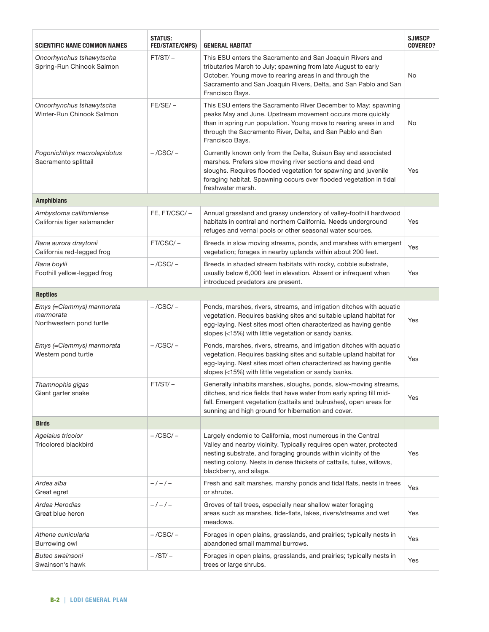| <b>SCIENTIFIC NAME COMMON NAMES</b>                                | <b>STATUS:</b><br><b>FED/STATE/CNPS)</b> | <b>GENERAL HABITAT</b>                                                                                                                                                                                                                                                                                   | <b>SJMSCP</b><br><b>COVERED?</b> |
|--------------------------------------------------------------------|------------------------------------------|----------------------------------------------------------------------------------------------------------------------------------------------------------------------------------------------------------------------------------------------------------------------------------------------------------|----------------------------------|
| Oncorhynchus tshawytscha<br>Spring-Run Chinook Salmon              | $FT/ST/-$                                | This ESU enters the Sacramento and San Joaquin Rivers and<br>tributaries March to July; spawning from late August to early<br>October. Young move to rearing areas in and through the<br>Sacramento and San Joaquin Rivers, Delta, and San Pablo and San<br>Francisco Bays.                              | No                               |
| Oncorhynchus tshawytscha<br>Winter-Run Chinook Salmon              | $FE/SE/-$                                | This ESU enters the Sacramento River December to May; spawning<br>peaks May and June. Upstream movement occurs more quickly<br>than in spring run population. Young move to rearing areas in and<br>through the Sacramento River, Delta, and San Pablo and San<br>Francisco Bays.                        | No                               |
| Pogonichthys macrolepidotus<br>Sacramento splittail                | $-$ /CSC/ $-$                            | Currently known only from the Delta, Suisun Bay and associated<br>marshes. Prefers slow moving river sections and dead end<br>sloughs. Requires flooded vegetation for spawning and juvenile<br>foraging habitat. Spawning occurs over flooded vegetation in tidal<br>freshwater marsh.                  | Yes                              |
| <b>Amphibians</b>                                                  |                                          |                                                                                                                                                                                                                                                                                                          |                                  |
| Ambystoma californiense<br>California tiger salamander             | FE, FT/CSC/-                             | Annual grassland and grassy understory of valley-foothill hardwood<br>habitats in central and northern California. Needs underground<br>refuges and vernal pools or other seasonal water sources.                                                                                                        | Yes                              |
| Rana aurora draytonii<br>California red-legged frog                | FT/CSC/-                                 | Breeds in slow moving streams, ponds, and marshes with emergent<br>vegetation; forages in nearby uplands within about 200 feet.                                                                                                                                                                          | Yes                              |
| Rana boylii<br>Foothill yellow-legged frog                         | $-$ /CSC/ $-$                            | Breeds in shaded stream habitats with rocky, cobble substrate,<br>usually below 6,000 feet in elevation. Absent or infrequent when<br>introduced predators are present.                                                                                                                                  | Yes                              |
| <b>Reptiles</b>                                                    |                                          |                                                                                                                                                                                                                                                                                                          |                                  |
| Emys (=Clemmys) marmorata<br>marmorata<br>Northwestern pond turtle | $-$ /CSC/ $-$                            | Ponds, marshes, rivers, streams, and irrigation ditches with aquatic<br>vegetation. Requires basking sites and suitable upland habitat for<br>egg-laying. Nest sites most often characterized as having gentle<br>slopes (<15%) with little vegetation or sandy banks.                                   | Yes                              |
| Emys (=Clemmys) marmorata<br>Western pond turtle                   | $-$ /CSC/ $-$                            | Ponds, marshes, rivers, streams, and irrigation ditches with aquatic<br>vegetation. Requires basking sites and suitable upland habitat for<br>egg-laying. Nest sites most often characterized as having gentle<br>slopes (<15%) with little vegetation or sandy banks.                                   | Yes                              |
| Thamnophis gigas<br>Giant garter snake                             | FT/ST/ –                                 | Generally inhabits marshes, sloughs, ponds, slow-moving streams,<br>ditches, and rice fields that have water from early spring till mid-<br>fall. Emergent vegetation (cattails and bulrushes), open areas for<br>sunning and high ground for hibernation and cover.                                     | Yes                              |
| <b>Birds</b>                                                       |                                          |                                                                                                                                                                                                                                                                                                          |                                  |
| Agelaius tricolor<br><b>Tricolored blackbird</b>                   | $-$ /CSC/ $-$                            | Largely endemic to California, most numerous in the Central<br>Valley and nearby vicinity. Typically requires open water, protected<br>nesting substrate, and foraging grounds within vicinity of the<br>nesting colony. Nests in dense thickets of cattails, tules, willows,<br>blackberry, and silage. | Yes                              |
| Ardea alba<br>Great egret                                          | $-/-/-$                                  | Fresh and salt marshes, marshy ponds and tidal flats, nests in trees<br>or shrubs.                                                                                                                                                                                                                       | Yes                              |
| Ardea Herodias<br>Great blue heron                                 | $-/-/-$                                  | Groves of tall trees, especially near shallow water foraging<br>areas such as marshes, tide-flats, lakes, rivers/streams and wet<br>meadows.                                                                                                                                                             | Yes                              |
| Athene cunicularia<br>Burrowing owl                                | $-$ /CSC/ $-$                            | Forages in open plains, grasslands, and prairies; typically nests in<br>abandoned small mammal burrows.                                                                                                                                                                                                  | Yes                              |
| Buteo swainsoni<br>Swainson's hawk                                 | $-$ /ST/ $-$                             | Forages in open plains, grasslands, and prairies; typically nests in<br>trees or large shrubs.                                                                                                                                                                                                           | Yes                              |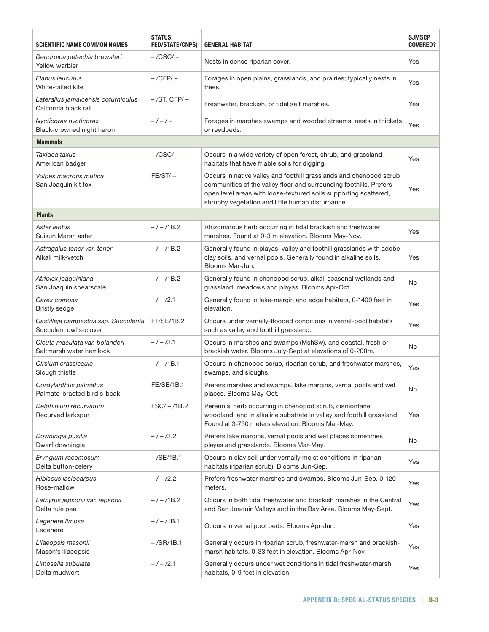| Scientific name common names                                    | <b>STATUS:</b><br><b>FED/STATE/CNPS)</b> | <b>GENERAL HABITAT</b>                                                                                                                                                                                                                                           | <b>SJMSCP</b><br><b>COVERED?</b> |
|-----------------------------------------------------------------|------------------------------------------|------------------------------------------------------------------------------------------------------------------------------------------------------------------------------------------------------------------------------------------------------------------|----------------------------------|
| Dendroica petechia brewsteri<br>Yellow warbler                  | $-$ /CSC/ $-$                            | Nests in dense riparian cover.                                                                                                                                                                                                                                   | Yes                              |
| Elanus leucurus<br>White-tailed kite                            | $-$ /CFP/ $-$                            | Forages in open plains, grasslands, and prairies; typically nests in<br>trees.                                                                                                                                                                                   | Yes                              |
| Laterallus jamaicensis coturniculus<br>California black rail    | $-$ /ST, CFP/ $-$                        | Freshwater, brackish, or tidal salt marshes.                                                                                                                                                                                                                     | Yes                              |
| Nycticorax nycticorax<br>Black-crowned night heron              | $-/-/-$                                  | Forages in marshes swamps and wooded streams; nests in thickets<br>or reedbeds.                                                                                                                                                                                  | Yes                              |
| <b>Mammals</b>                                                  |                                          |                                                                                                                                                                                                                                                                  |                                  |
| Taxidea taxus<br>American badger                                | $-$ /CSC/ $-$                            | Occurs in a wide variety of open forest, shrub, and grassland<br>habitats that have friable soils for digging.                                                                                                                                                   | Yes                              |
| Vulpes macrotis mutica<br>San Joaquin kit fox                   | $FE/ST/-$                                | Occurs in native valley and foothill grasslands and chenopod scrub<br>communities of the valley floor and surrounding foothills. Prefers<br>open level areas with loose-textured soils supporting scattered,<br>shrubby vegetation and little human disturbance. | Yes                              |
| <b>Plants</b>                                                   |                                          |                                                                                                                                                                                                                                                                  |                                  |
| Aster lentus<br>Suisun Marsh aster                              | $-/-/1B.2$                               | Rhizomatous herb occurring in tidal brackish and freshwater<br>marshes. Found at 0-3 m elevation. Blooms May-Nov.                                                                                                                                                | Yes                              |
| Astragalus tener var. tener<br>Alkali milk-vetch                | $-/-/1B.2$                               | Generally found in playas, valley and foothill grasslands with adobe<br>clay soils, and vernal pools. Generally found in alkaline soils.<br>Blooms Mar-Jun.                                                                                                      | Yes                              |
| Atriplex joaquiniana<br>San Joaquin spearscale                  | $-/-/1B.2$                               | Generally found in chenopod scrub, alkali seasonal wetlands and<br>grassland, meadows and playas. Blooms Apr-Oct.                                                                                                                                                | No                               |
| Carex comosa<br><b>Bristly sedge</b>                            | $-/-/2.1$                                | Generally found in lake-margin and edge habitats, 0-1400 feet in<br>elevation.                                                                                                                                                                                   | Yes                              |
| Castilleja campestris ssp. Succulenta<br>Succulent owl's-clover | <b>FT/SE/1B.2</b>                        | Occurs under vernally-flooded conditions in vernal-pool habitats<br>such as valley and foothill grassland.                                                                                                                                                       | Yes                              |
| Cicuta maculata var, bolanderi<br>Saltmarsh water hemlock       | $-/-/2.1$                                | Occurs in marshes and swamps (MshSw), and coastal, fresh or<br>brackish water. Blooms July-Sept at elevations of 0-200m.                                                                                                                                         | No                               |
| Cirsium crassicaule<br>Slough thistle                           | $-/-/1B.1$                               | Occurs in chenopod scrub, riparian scrub, and freshwater marshes,<br>swamps, and sloughs.                                                                                                                                                                        | Yes                              |
| Cordylanthus palmatus<br>Palmate-bracted bird's-beak            | FE/SE/1B.1                               | Prefers marshes and swamps, lake margins, vernal pools and wet<br>places. Blooms May-Oct.                                                                                                                                                                        | No                               |
| Delphinium recurvatum<br>Recurved larkspur                      | $FSC/-/1B.2$                             | Perennial herb occurring in chenopod scrub, cismontane<br>woodland, and in alkaline substrate in valley and foothill grassland.<br>Found at 3-750 meters elevation. Blooms Mar-May.                                                                              | Yes                              |
| Downingia pusilla<br>Dwarf downingia                            | $-/-/2.2$                                | Prefers lake margins, vernal pools and wet places sometimes<br>playas and grasslands. Blooms Mar-May.                                                                                                                                                            | No                               |
| Eryngium racemosum<br>Delta button-celery                       | $-$ /SE/1B.1                             | Occurs in clay soil under vernally moist conditions in riparian<br>habitats (riparian scrub). Blooms Jun-Sep.                                                                                                                                                    | Yes                              |
| Hibiscus lasiocarpus<br>Rose-mallow                             | $-/-/2.2$                                | Prefers freshwater marshes and swamps. Blooms Jun-Sep. 0-120<br>meters.                                                                                                                                                                                          | Yes                              |
| Lathyrus jepsonii var. jepsonii<br>Delta tule pea               | $-/-/1B.2$                               | Occurs in both tidal freshwater and brackish marshes in the Central<br>and San Joaquin Valleys and in the Bay Area. Blooms May-Sept.                                                                                                                             | Yes                              |
| Legenere limosa<br>Legenere                                     | $-/-/1B.1$                               | Occurs in vernal pool beds. Blooms Apr-Jun.                                                                                                                                                                                                                      | Yes                              |
| Lilaeopsis masonii<br>Mason's lilaeopsis                        | $-$ /SR/1B.1                             | Generally occurs in riparian scrub, freshwater-marsh and brackish-<br>marsh habitats, 0-33 feet in elevation. Blooms Apr-Nov.                                                                                                                                    | Yes                              |
| Limosella subulata<br>Delta mudwort                             | $-/-/2.1$                                | Generally occurs under wet conditions in tidal freshwater-marsh<br>habitats, 0-9 feet in elevation.                                                                                                                                                              | Yes                              |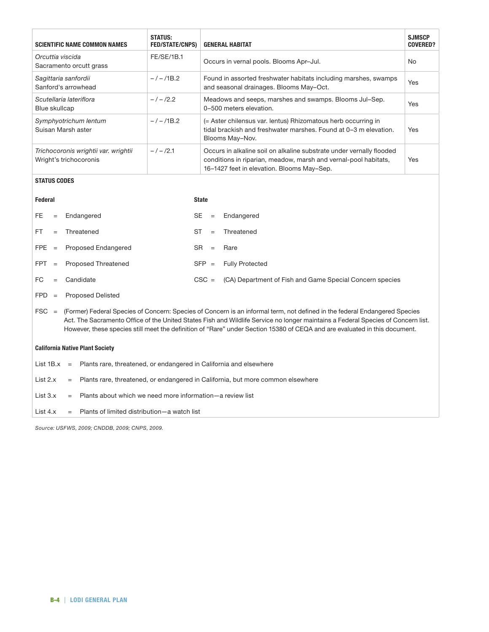| <b>SCIENTIFIC NAME COMMON NAMES</b>                            | <b>STATUS:</b><br><b>FED/STATE/CNPS)</b> | <b>GENERAL HABITAT</b>                                                                                                                                                                | <b>SJMSCP</b><br><b>COVERED?</b> |
|----------------------------------------------------------------|------------------------------------------|---------------------------------------------------------------------------------------------------------------------------------------------------------------------------------------|----------------------------------|
| Orcuttia viscida<br>Sacramento orcutt grass                    | <b>FE/SE/1B.1</b>                        | Occurs in vernal pools. Blooms Apr-Jul.                                                                                                                                               | No.                              |
| Sagittaria sanfordii<br>Sanford's arrowhead                    | $-/-/1B.2$                               | Found in assorted freshwater habitats including marshes, swamps<br>and seasonal drainages. Blooms May-Oct.                                                                            | <b>Yes</b>                       |
| Scutellaria lateriflora<br>Blue skullcap                       | $-1 - 12.2$                              | Meadows and seeps, marshes and swamps. Blooms Jul-Sep.<br>0-500 meters elevation.                                                                                                     | <b>Yes</b>                       |
| Symphyotrichum lentum<br>Suisan Marsh aster                    | $-/-/1B.2$                               | (= Aster chilensus var. lentus) Rhizomatous herb occurring in<br>tidal brackish and freshwater marshes. Found at 0-3 m elevation.<br>Blooms May-Nov.                                  | <b>Yes</b>                       |
| Trichocoronis wrightii var. wrightii<br>Wright's trichocoronis | $-1 - 12.1$                              | Occurs in alkaline soil on alkaline substrate under vernally flooded<br>conditions in riparian, meadow, marsh and vernal-pool habitats,<br>16-1427 feet in elevation. Blooms May-Sep. | Yes                              |

# **STATUS CODES**

| Federal    |     |                                                                                                                                                                                                                                                                                                                                                                                              | <b>State</b> |     |                                                          |  |
|------------|-----|----------------------------------------------------------------------------------------------------------------------------------------------------------------------------------------------------------------------------------------------------------------------------------------------------------------------------------------------------------------------------------------------|--------------|-----|----------------------------------------------------------|--|
| FE.        | $=$ | Endangered                                                                                                                                                                                                                                                                                                                                                                                   | SE.          | $=$ | Endangered                                               |  |
| <b>FT</b>  | $=$ | Threatened                                                                                                                                                                                                                                                                                                                                                                                   | ST           | $=$ | Threatened                                               |  |
| FPE        | $=$ | Proposed Endangered                                                                                                                                                                                                                                                                                                                                                                          | SR.          | $=$ | Rare                                                     |  |
| <b>FPT</b> | $=$ | Proposed Threatened                                                                                                                                                                                                                                                                                                                                                                          | $SFP =$      |     | <b>Fully Protected</b>                                   |  |
| FC.        | $=$ | Candidate                                                                                                                                                                                                                                                                                                                                                                                    | $CSC =$      |     | (CA) Department of Fish and Game Special Concern species |  |
| <b>FPD</b> | $=$ | <b>Proposed Delisted</b>                                                                                                                                                                                                                                                                                                                                                                     |              |     |                                                          |  |
| $FSC =$    |     | (Former) Federal Species of Concern: Species of Concern is an informal term, not defined in the federal Endangered Species<br>Act. The Sacramento Office of the United States Fish and Wildlife Service no longer maintains a Federal Species of Concern list.<br>However, these species still meet the definition of "Rare" under Section 15380 of CEQA and are evaluated in this document. |              |     |                                                          |  |

# **California Native Plant Society**

|  | List $1B.x =$ Plants rare, threatened, or endangered in California and elsewhere             |
|--|----------------------------------------------------------------------------------------------|
|  | List $2.x =$ Plants rare, threatened, or endangered in California, but more common elsewhere |
|  | List $3.x =$ Plants about which we need more information - a review list                     |
|  | List $4x =$ Plants of limited distribution—a watch list                                      |

*Source: USFWS, 2009; CNDDB, 2009; CNPS, 2009.*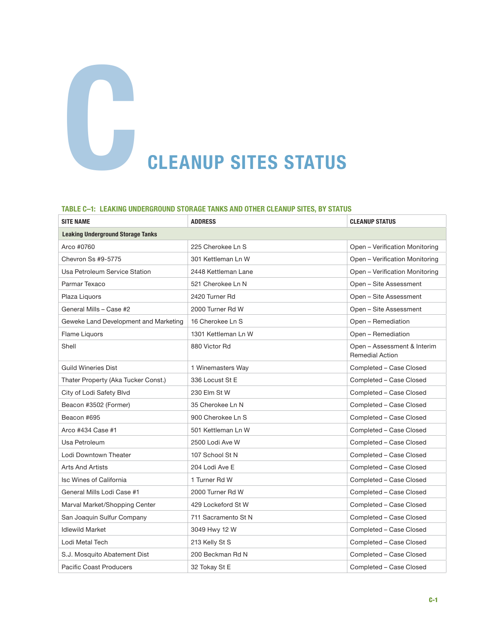# **CLEANUP SITES STATUS**

#### **Table C–1: Leaking Underground Storage Tanks and Other Cleanup Sites, by Status**

| <b>SITE NAME</b>                         | <b>ADDRESS</b>      | <b>CLEANUP STATUS</b>                                 |
|------------------------------------------|---------------------|-------------------------------------------------------|
| <b>Leaking Underground Storage Tanks</b> |                     |                                                       |
| Arco #0760                               | 225 Cherokee Ln S   | Open - Verification Monitoring                        |
| Chevron Ss #9-5775                       | 301 Kettleman Ln W  | Open - Verification Monitoring                        |
| Usa Petroleum Service Station            | 2448 Kettleman Lane | Open - Verification Monitoring                        |
| Parmar Texaco                            | 521 Cherokee Ln N   | Open - Site Assessment                                |
| Plaza Liquors                            | 2420 Turner Rd      | Open – Site Assessment                                |
| General Mills - Case #2                  | 2000 Turner Rd W    | Open - Site Assessment                                |
| Geweke Land Development and Marketing    | 16 Cherokee Ln S    | Open - Remediation                                    |
| Flame Liquors                            | 1301 Kettleman Ln W | Open - Remediation                                    |
| Shell                                    | 880 Victor Rd       | Open - Assessment & Interim<br><b>Remedial Action</b> |
| <b>Guild Wineries Dist</b>               | 1 Winemasters Way   | Completed - Case Closed                               |
| Thater Property (Aka Tucker Const.)      | 336 Locust St E     | Completed - Case Closed                               |
| City of Lodi Safety Blvd                 | 230 Elm St W        | Completed - Case Closed                               |
| Beacon #3502 (Former)                    | 35 Cherokee Ln N    | Completed - Case Closed                               |
| Beacon #695                              | 900 Cherokee Ln S   | Completed - Case Closed                               |
| Arco #434 Case #1                        | 501 Kettleman Ln W  | Completed - Case Closed                               |
| Usa Petroleum                            | 2500 Lodi Ave W     | Completed - Case Closed                               |
| Lodi Downtown Theater                    | 107 School St N     | Completed - Case Closed                               |
| <b>Arts And Artists</b>                  | 204 Lodi Ave E      | Completed - Case Closed                               |
| Isc Wines of California                  | 1 Turner Rd W       | Completed - Case Closed                               |
| General Mills Lodi Case #1               | 2000 Turner Rd W    | Completed - Case Closed                               |
| Marval Market/Shopping Center            | 429 Lockeford St W  | Completed - Case Closed                               |
| San Joaquin Sulfur Company               | 711 Sacramento St N | Completed - Case Closed                               |
| <b>Idlewild Market</b>                   | 3049 Hwy 12 W       | Completed - Case Closed                               |
| Lodi Metal Tech                          | 213 Kelly St S      | Completed - Case Closed                               |
| S.J. Mosquito Abatement Dist             | 200 Beckman Rd N    | Completed - Case Closed                               |
| Pacific Coast Producers                  | 32 Tokay St E       | Completed - Case Closed                               |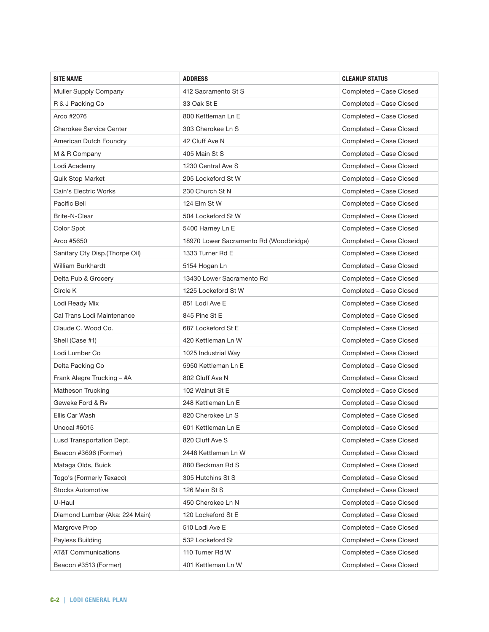| <b>SITE NAME</b>               | <b>ADDRESS</b>                         | <b>CLEANUP STATUS</b>   |
|--------------------------------|----------------------------------------|-------------------------|
| Muller Supply Company          | 412 Sacramento St S                    | Completed - Case Closed |
| R & J Packing Co               | 33 Oak St E                            | Completed - Case Closed |
| Arco #2076                     | 800 Kettleman Ln E                     | Completed - Case Closed |
| Cherokee Service Center        | 303 Cherokee Ln S                      | Completed - Case Closed |
| American Dutch Foundry         | 42 Cluff Ave N                         | Completed - Case Closed |
| M & R Company                  | 405 Main St S                          | Completed - Case Closed |
| Lodi Academy                   | 1230 Central Ave S                     | Completed - Case Closed |
| Quik Stop Market               | 205 Lockeford St W                     | Completed - Case Closed |
| Cain's Electric Works          | 230 Church St N                        | Completed - Case Closed |
| Pacific Bell                   | 124 Elm St W                           | Completed - Case Closed |
| Brite-N-Clear                  | 504 Lockeford St W                     | Completed - Case Closed |
| Color Spot                     | 5400 Harney Ln E                       | Completed - Case Closed |
| Arco #5650                     | 18970 Lower Sacramento Rd (Woodbridge) | Completed - Case Closed |
| Sanitary Cty Disp.(Thorpe Oil) | 1333 Turner Rd E                       | Completed - Case Closed |
| William Burkhardt              | 5154 Hogan Ln                          | Completed - Case Closed |
| Delta Pub & Grocery            | 13430 Lower Sacramento Rd              | Completed - Case Closed |
| Circle K                       | 1225 Lockeford St W                    | Completed - Case Closed |
| Lodi Ready Mix                 | 851 Lodi Ave E                         | Completed - Case Closed |
| Cal Trans Lodi Maintenance     | 845 Pine St E                          | Completed - Case Closed |
| Claude C. Wood Co.             | 687 Lockeford St E                     | Completed - Case Closed |
| Shell (Case #1)                | 420 Kettleman Ln W                     | Completed - Case Closed |
| Lodi Lumber Co                 | 1025 Industrial Way                    | Completed - Case Closed |
| Delta Packing Co               | 5950 Kettleman Ln E                    | Completed - Case Closed |
| Frank Alegre Trucking - #A     | 802 Cluff Ave N                        | Completed - Case Closed |
| Matheson Trucking              | 102 Walnut St E                        | Completed - Case Closed |
| Geweke Ford & Rv               | 248 Kettleman Ln E                     | Completed - Case Closed |
| Ellis Car Wash                 | 820 Cherokee Ln S                      | Completed - Case Closed |
| Unocal #6015                   | 601 Kettleman Ln E                     | Completed - Case Closed |
| Lusd Transportation Dept.      | 820 Cluff Ave S                        | Completed - Case Closed |
| Beacon #3696 (Former)          | 2448 Kettleman Ln W                    | Completed - Case Closed |
| Mataga Olds, Buick             | 880 Beckman Rd S                       | Completed - Case Closed |
| Togo's (Formerly Texaco)       | 305 Hutchins St S                      | Completed - Case Closed |
| <b>Stocks Automotive</b>       | 126 Main St S                          | Completed - Case Closed |
| U-Haul                         | 450 Cherokee Ln N                      | Completed - Case Closed |
| Diamond Lumber (Aka: 224 Main) | 120 Lockeford St E                     | Completed - Case Closed |
| Margrove Prop                  | 510 Lodi Ave E                         | Completed - Case Closed |
| Payless Building               | 532 Lockeford St                       | Completed - Case Closed |
| <b>AT&amp;T Communications</b> | 110 Turner Rd W                        | Completed - Case Closed |
| Beacon #3513 (Former)          | 401 Kettleman Ln W                     | Completed - Case Closed |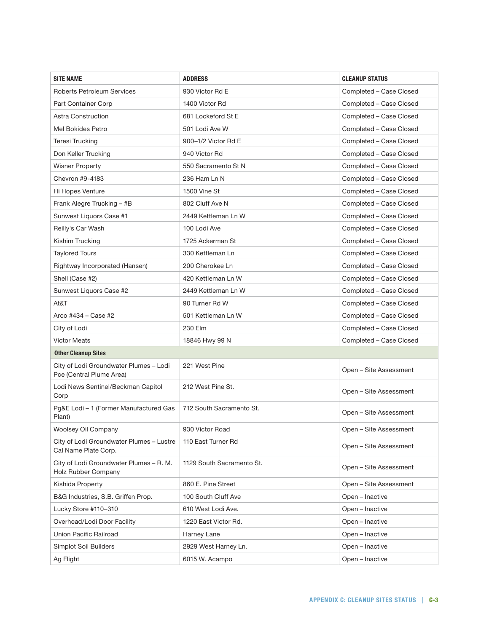| <b>SITE NAME</b>                                                   | <b>ADDRESS</b>            | <b>CLEANUP STATUS</b>   |
|--------------------------------------------------------------------|---------------------------|-------------------------|
| Roberts Petroleum Services                                         | 930 Victor Rd E           | Completed - Case Closed |
| Part Container Corp                                                | 1400 Victor Rd            | Completed - Case Closed |
| <b>Astra Construction</b>                                          | 681 Lockeford St E        | Completed - Case Closed |
| Mel Bokides Petro                                                  | 501 Lodi Ave W            | Completed - Case Closed |
| <b>Teresi Trucking</b>                                             | 900-1/2 Victor Rd E       | Completed - Case Closed |
| Don Keller Trucking                                                | 940 Victor Rd             | Completed - Case Closed |
| <b>Wisner Property</b>                                             | 550 Sacramento St N       | Completed - Case Closed |
| Chevron #9-4183                                                    | 236 Ham Ln N              | Completed - Case Closed |
| Hi Hopes Venture                                                   | 1500 Vine St              | Completed - Case Closed |
| Frank Alegre Trucking - #B                                         | 802 Cluff Ave N           | Completed - Case Closed |
| Sunwest Liquors Case #1                                            | 2449 Kettleman Ln W       | Completed - Case Closed |
| Reilly's Car Wash                                                  | 100 Lodi Ave              | Completed - Case Closed |
| Kishim Trucking                                                    | 1725 Ackerman St          | Completed - Case Closed |
| <b>Taylored Tours</b>                                              | 330 Kettleman Ln          | Completed - Case Closed |
| Rightway Incorporated (Hansen)                                     | 200 Cherokee Ln           | Completed - Case Closed |
| Shell (Case #2)                                                    | 420 Kettleman Ln W        | Completed - Case Closed |
| Sunwest Liquors Case #2                                            | 2449 Kettleman Ln W       | Completed - Case Closed |
| At&T                                                               | 90 Turner Rd W            | Completed - Case Closed |
| Arco #434 – Case #2                                                | 501 Kettleman Ln W        | Completed - Case Closed |
| City of Lodi                                                       | 230 Elm                   | Completed - Case Closed |
| <b>Victor Meats</b>                                                | 18846 Hwy 99 N            | Completed - Case Closed |
| <b>Other Cleanup Sites</b>                                         |                           |                         |
| City of Lodi Groundwater Plumes - Lodi<br>Pce (Central Plume Area) | 221 West Pine             | Open - Site Assessment  |
| Lodi News Sentinel/Beckman Capitol<br>Corp                         | 212 West Pine St.         | Open - Site Assessment  |
| Pg&E Lodi - 1 (Former Manufactured Gas<br>Plant)                   | 712 South Sacramento St.  | Open - Site Assessment  |
| Woolsey Oil Company                                                | 930 Victor Road           | Open - Site Assessment  |
| City of Lodi Groundwater Plumes - Lustre<br>Cal Name Plate Corp.   | 110 East Turner Rd        | Open - Site Assessment  |
| City of Lodi Groundwater Plumes - R. M.<br>Holz Rubber Company     | 1129 South Sacramento St. | Open - Site Assessment  |
| Kishida Property                                                   | 860 E. Pine Street        | Open - Site Assessment  |
| B&G Industries, S.B. Griffen Prop.                                 | 100 South Cluff Ave       | Open - Inactive         |
| Lucky Store #110-310                                               | 610 West Lodi Ave.        | Open - Inactive         |
| Overhead/Lodi Door Facility                                        | 1220 East Victor Rd.      | Open - Inactive         |
| Union Pacific Railroad                                             | Harney Lane               | Open - Inactive         |
| Simplot Soil Builders                                              | 2929 West Harney Ln.      | Open - Inactive         |
| Ag Flight                                                          | 6015 W. Acampo            | Open - Inactive         |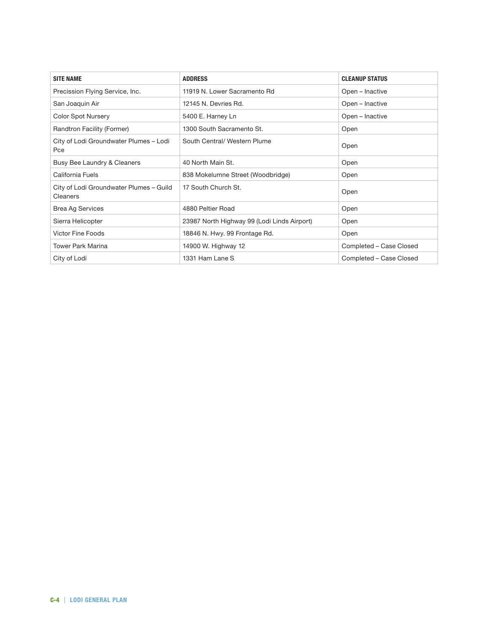| <b>SITE NAME</b>                                    | <b>ADDRESS</b>                              | <b>CLEANUP STATUS</b>   |
|-----------------------------------------------------|---------------------------------------------|-------------------------|
| Precission Flying Service, Inc.                     | 11919 N. Lower Sacramento Rd                | Open - Inactive         |
| San Joaquin Air                                     | 12145 N. Devries Rd.                        | Open - Inactive         |
| <b>Color Spot Nursery</b>                           | 5400 E. Harney Ln                           | Open - Inactive         |
| Randtron Facility (Former)                          | 1300 South Sacramento St.                   | Open                    |
| City of Lodi Groundwater Plumes - Lodi<br>Pce       | South Central/ Western Plume                | Open                    |
| Busy Bee Laundry & Cleaners                         | 40 North Main St.                           | Open                    |
| California Fuels                                    | 838 Mokelumne Street (Woodbridge)           | Open                    |
| City of Lodi Groundwater Plumes - Guild<br>Cleaners | 17 South Church St.                         | Open                    |
| <b>Brea Ag Services</b>                             | 4880 Peltier Road                           | Open                    |
| Sierra Helicopter                                   | 23987 North Highway 99 (Lodi Linds Airport) | Open                    |
| <b>Victor Fine Foods</b>                            | 18846 N. Hwy. 99 Frontage Rd.               | Open                    |
| <b>Tower Park Marina</b>                            | 14900 W. Highway 12                         | Completed - Case Closed |
| City of Lodi                                        | 1331 Ham Lane S                             | Completed – Case Closed |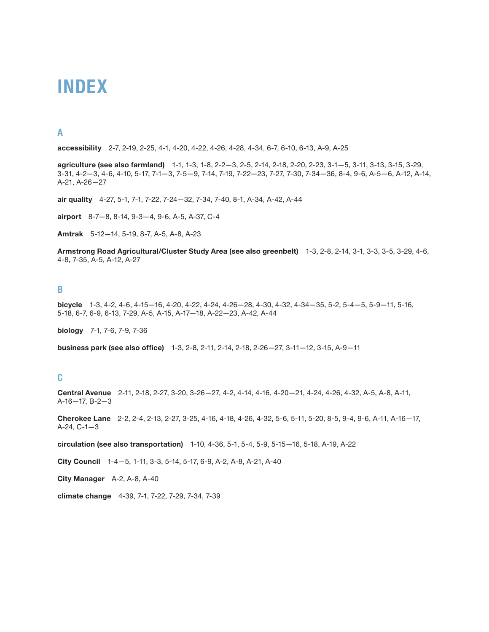# **Index**

# **A**

**accessibility** 2-7, 2-19, 2-25, 4-1, 4-20, 4-22, 4-26, 4-28, 4-34, 6-7, 6-10, 6-13, A-9, A-25

**agriculture (see also farmland)** 1-1, 1-3, 1-8, 2-2—3, 2-5, 2-14, 2-18, 2-20, 2-23, 3-1—5, 3-11, 3-13, 3-15, 3-29, 3-31, 4-2—3, 4-6, 4-10, 5-17, 7-1—3, 7-5—9, 7-14, 7-19, 7-22—23, 7-27, 7-30, 7-34—36, 8-4, 9-6, A-5—6, A-12, A-14, A-21, A-26—27

**air quality** 4-27, 5-1, 7-1, 7-22, 7-24—32, 7-34, 7-40, 8-1, A-34, A-42, A-44

**airport** 8-7—8, 8-14, 9-3—4, 9-6, A-5, A-37, C-4

**Amtrak** 5-12—14, 5-19, 8-7, A-5, A-8, A-23

**Armstrong Road Agricultural/Cluster Study Area (see also greenbelt)** 1-3, 2-8, 2-14, 3-1, 3-3, 3-5, 3-29, 4-6, 4-8, 7-35, A-5, A-12, A-27

#### **B**

**bicycle** 1-3, 4-2, 4-6, 4-15—16, 4-20, 4-22, 4-24, 4-26—28, 4-30, 4-32, 4-34—35, 5-2, 5-4—5, 5-9—11, 5-16, 5-18, 6-7, 6-9, 6-13, 7-29, A-5, A-15, A-17—18, A-22—23, A-42, A-44

**biology** 7-1, 7-6, 7-9, 7-36

**business park (see also office)** 1-3, 2-8, 2-11, 2-14, 2-18, 2-26—27, 3-11—12, 3-15, A-9—11

#### **C**

**Central Avenue** 2-11, 2-18, 2-27, 3-20, 3-26—27, 4-2, 4-14, 4-16, 4-20—21, 4-24, 4-26, 4-32, A-5, A-8, A-11, A-16—17, B-2—3

**Cherokee Lane** 2-2, 2-4, 2-13, 2-27, 3-25, 4-16, 4-18, 4-26, 4-32, 5-6, 5-11, 5-20, 8-5, 9-4, 9-6, A-11, A-16—17, A-24, C-1—3

**circulation (see also transportation)** 1-10, 4-36, 5-1, 5-4, 5-9, 5-15—16, 5-18, A-19, A-22

**City Council** 1-4—5, 1-11, 3-3, 5-14, 5-17, 6-9, A-2, A-8, A-21, A-40

**City Manager** A-2, A-8, A-40

**climate change** 4-39, 7-1, 7-22, 7-29, 7-34, 7-39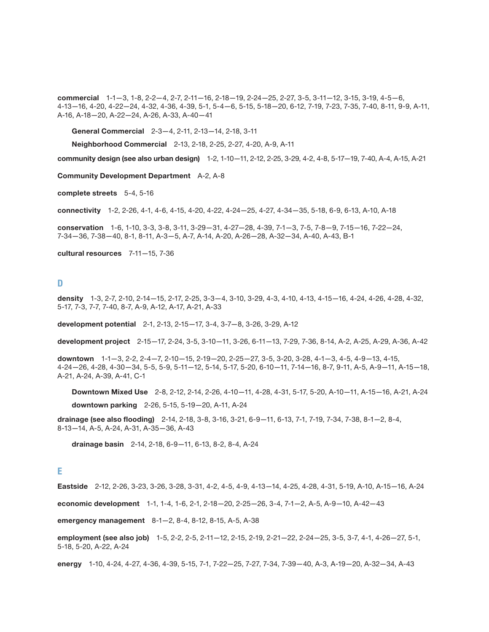**commercial** 1-1—3, 1-8, 2-2—4, 2-7, 2-11—16, 2-18—19, 2-24—25, 2-27, 3-5, 3-11—12, 3-15, 3-19, 4-5—6, 4-13—16, 4-20, 4-22—24, 4-32, 4-36, 4-39, 5-1, 5-4—6, 5-15, 5-18—20, 6-12, 7-19, 7-23, 7-35, 7-40, 8-11, 9-9, A-11, A-16, A-18—20, A-22—24, A-26, A-33, A-40—41

**General Commercial** 2-3—4, 2-11, 2-13—14, 2-18, 3-11

**Neighborhood Commercial** 2-13, 2-18, 2-25, 2-27, 4-20, A-9, A-11

**community design (see also urban design)** 1-2, 1-10—11, 2-12, 2-25, 3-29, 4-2, 4-8, 5-17—19, 7-40, A-4, A-15, A-21

**Community Development Department** A-2, A-8

**complete streets** 5-4, 5-16

**connectivity** 1-2, 2-26, 4-1, 4-6, 4-15, 4-20, 4-22, 4-24—25, 4-27, 4-34—35, 5-18, 6-9, 6-13, A-10, A-18

**conservation** 1-6, 1-10, 3-3, 3-8, 3-11, 3-29—31, 4-27—28, 4-39, 7-1—3, 7-5, 7-8—9, 7-15—16, 7-22—24, 7-34—36, 7-38—40, 8-1, 8-11, A-3—5, A-7, A-14, A-20, A-26—28, A-32—34, A-40, A-43, B-1

**cultural resources** 7-11—15, 7-36

**D**

**density** 1-3, 2-7, 2-10, 2-14—15, 2-17, 2-25, 3-3—4, 3-10, 3-29, 4-3, 4-10, 4-13, 4-15—16, 4-24, 4-26, 4-28, 4-32, 5-17, 7-3, 7-7, 7-40, 8-7, A-9, A-12, A-17, A-21, A-33

**development potential** 2-1, 2-13, 2-15—17, 3-4, 3-7—8, 3-26, 3-29, A-12

**development project** 2-15—17, 2-24, 3-5, 3-10—11, 3-26, 6-11—13, 7-29, 7-36, 8-14, A-2, A-25, A-29, A-36, A-42

**downtown** 1-1—3, 2-2, 2-4—7, 2-10—15, 2-19—20, 2-25—27, 3-5, 3-20, 3-28, 4-1—3, 4-5, 4-9—13, 4-15, 4-24—26, 4-28, 4-30—34, 5-5, 5-9, 5-11—12, 5-14, 5-17, 5-20, 6-10—11, 7-14—16, 8-7, 9-11, A-5, A-9—11, A-15—18, A-21, A-24, A-39, A-41, C-1

**Downtown Mixed Use** 2-8, 2-12, 2-14, 2-26, 4-10—11, 4-28, 4-31, 5-17, 5-20, A-10—11, A-15—16, A-21, A-24 **downtown parking** 2-26, 5-15, 5-19—20, A-11, A-24

**drainage (see also flooding)** 2-14, 2-18, 3-8, 3-16, 3-21, 6-9—11, 6-13, 7-1, 7-19, 7-34, 7-38, 8-1—2, 8-4, 8-13—14, A-5, A-24, A-31, A-35—36, A-43

**drainage basin** 2-14, 2-18, 6-9—11, 6-13, 8-2, 8-4, A-24

#### **E**

**Eastside** 2-12, 2-26, 3-23, 3-26, 3-28, 3-31, 4-2, 4-5, 4-9, 4-13—14, 4-25, 4-28, 4-31, 5-19, A-10, A-15—16, A-24

**economic development** 1-1, 1-4, 1-6, 2-1, 2-18—20, 2-25—26, 3-4, 7-1—2, A-5, A-9—10, A-42—43

**emergency management** 8-1—2, 8-4, 8-12, 8-15, A-5, A-38

**employment (see also job)** 1-5, 2-2, 2-5, 2-11—12, 2-15, 2-19, 2-21—22, 2-24—25, 3-5, 3-7, 4-1, 4-26—27, 5-1, 5-18, 5-20, A-22, A-24

**energy** 1-10, 4-24, 4-27, 4-36, 4-39, 5-15, 7-1, 7-22—25, 7-27, 7-34, 7-39—40, A-3, A-19—20, A-32—34, A-43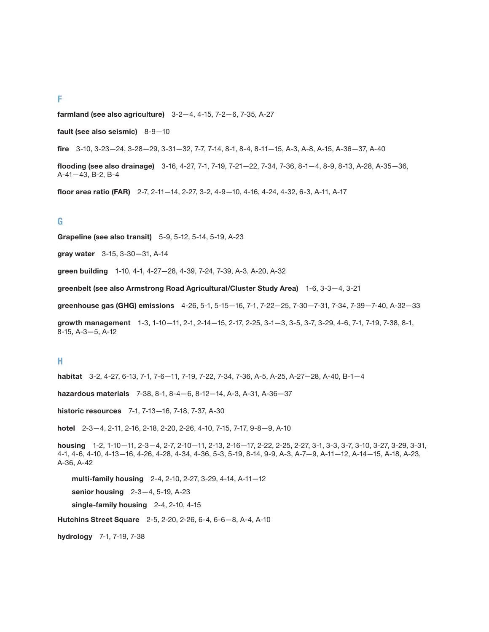#### **F**

**farmland (see also agriculture)** 3-2—4, 4-15, 7-2—6, 7-35, A-27

**fault (see also seismic)** 8-9—10

**fire** 3-10, 3-23—24, 3-28—29, 3-31—32, 7-7, 7-14, 8-1, 8-4, 8-11—15, A-3, A-8, A-15, A-36—37, A-40

**flooding (see also drainage)** 3-16, 4-27, 7-1, 7-19, 7-21—22, 7-34, 7-36, 8-1—4, 8-9, 8-13, A-28, A-35—36, A-41—43, B-2, B-4

**floor area ratio (FAR)** 2-7, 2-11—14, 2-27, 3-2, 4-9—10, 4-16, 4-24, 4-32, 6-3, A-11, A-17

#### **G**

**Grapeline (see also transit)** 5-9, 5-12, 5-14, 5-19, A-23

**gray water** 3-15, 3-30—31, A-14

**green building** 1-10, 4-1, 4-27—28, 4-39, 7-24, 7-39, A-3, A-20, A-32

**greenbelt (see also Armstrong Road Agricultural/Cluster Study Area)** 1-6, 3-3—4, 3-21

**greenhouse gas (GHG) emissions** 4-26, 5-1, 5-15—16, 7-1, 7-22—25, 7-30—7-31, 7-34, 7-39—7-40, A-32—33

**growth management** 1-3, 1-10—11, 2-1, 2-14—15, 2-17, 2-25, 3-1—3, 3-5, 3-7, 3-29, 4-6, 7-1, 7-19, 7-38, 8-1, 8-15, A-3—5, A-12

#### **H**

**habitat** 3-2, 4-27, 6-13, 7-1, 7-6—11, 7-19, 7-22, 7-34, 7-36, A-5, A-25, A-27—28, A-40, B-1—4

**hazardous materials** 7-38, 8-1, 8-4—6, 8-12—14, A-3, A-31, A-36—37

**historic resources** 7-1, 7-13—16, 7-18, 7-37, A-30

**hotel** 2-3—4, 2-11, 2-16, 2-18, 2-20, 2-26, 4-10, 7-15, 7-17, 9-8—9, A-10

**housing** 1-2, 1-10—11, 2-3—4, 2-7, 2-10—11, 2-13, 2-16—17, 2-22, 2-25, 2-27, 3-1, 3-3, 3-7, 3-10, 3-27, 3-29, 3-31, 4-1, 4-6, 4-10, 4-13—16, 4-26, 4-28, 4-34, 4-36, 5-3, 5-19, 8-14, 9-9, A-3, A-7—9, A-11—12, A-14—15, A-18, A-23, A-36, A-42

**multi-family housing** 2-4, 2-10, 2-27, 3-29, 4-14, A-11—12 **senior housing** 2-3—4, 5-19, A-23 **single-family housing** 2-4, 2-10, 4-15

**Hutchins Street Square** 2-5, 2-20, 2-26, 6-4, 6-6—8, A-4, A-10

**hydrology** 7-1, 7-19, 7-38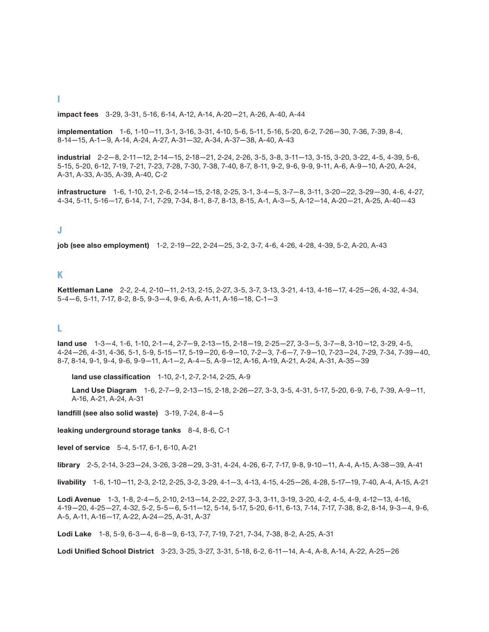#### **impact fees** 3-29, 3-31, 5-16, 6-14, A-12, A-14, A-20—21, A-26, A-40, A-44

**implementation** 1-6, 1-10—11, 3-1, 3-16, 3-31, 4-10, 5-6, 5-11, 5-16, 5-20, 6-2, 7-26—30, 7-36, 7-39, 8-4, 8-14—15, A-1—9, A-14, A-24, A-27, A-31—32, A-34, A-37—38, A-40, A-43

**industrial** 2-2—8, 2-11—12, 2-14—15, 2-18—21, 2-24, 2-26, 3-5, 3-8, 3-11—13, 3-15, 3-20, 3-22, 4-5, 4-39, 5-6, 5-15, 5-20, 6-12, 7-19, 7-21, 7-23, 7-28, 7-30, 7-38, 7-40, 8-7, 8-11, 9-2, 9-6, 9-9, 9-11, A-6, A-9—10, A-20, A-24, A-31, A-33, A-35, A-39, A-40, C-2

**infrastructure** 1-6, 1-10, 2-1, 2-6, 2-14—15, 2-18, 2-25, 3-1, 3-4—5, 3-7—8, 3-11, 3-20—22, 3-29—30, 4-6, 4-27, 4-34, 5-11, 5-16—17, 6-14, 7-1, 7-29, 7-34, 8-1, 8-7, 8-13, 8-15, A-1, A-3—5, A-12—14, A-20—21, A-25, A-40—43

#### **J**

**job (see also employment)** 1-2, 2-19—22, 2-24—25, 3-2, 3-7, 4-6, 4-26, 4-28, 4-39, 5-2, A-20, A-43

#### **K**

**Kettleman Lane** 2-2, 2-4, 2-10—11, 2-13, 2-15, 2-27, 3-5, 3-7, 3-13, 3-21, 4-13, 4-16—17, 4-25—26, 4-32, 4-34, 5-4—6, 5-11, 7-17, 8-2, 8-5, 9-3—4, 9-6, A-6, A-11, A-16—18, C-1—3

#### **L**

**land use** 1-3—4, 1-6, 1-10, 2-1—4, 2-7—9, 2-13—15, 2-18—19, 2-25—27, 3-3—5, 3-7—8, 3-10—12, 3-29, 4-5, 4-24—26, 4-31, 4-36, 5-1, 5-9, 5-15—17, 5-19—20, 6-9—10, 7-2—3, 7-6—7, 7-9—10, 7-23—24, 7-29, 7-34, 7-39—40, 8-7, 8-14, 9-1, 9-4, 9-6, 9-9—11, A-1—2, A-4—5, A-9—12, A-16, A-19, A-21, A-24, A-31, A-35—39

**land use classification** 1-10, 2-1, 2-7, 2-14, 2-25, A-9

**Land Use Diagram** 1-6, 2-7—9, 2-13—15, 2-18, 2-26—27, 3-3, 3-5, 4-31, 5-17, 5-20, 6-9, 7-6, 7-39, A-9—11, A-16, A-21, A-24, A-31

**landfill (see also solid waste)** 3-19, 7-24, 8-4—5

**leaking underground storage tanks** 8-4, 8-6, C-1

**level of service** 5-4, 5-17, 6-1, 6-10, A-21

**library** 2-5, 2-14, 3-23—24, 3-26, 3-28—29, 3-31, 4-24, 4-26, 6-7, 7-17, 9-8, 9-10—11, A-4, A-15, A-38—39, A-41

**livability** 1-6, 1-10—11, 2-3, 2-12, 2-25, 3-2, 3-29, 4-1—3, 4-13, 4-15, 4-25—26, 4-28, 5-17—19, 7-40, A-4, A-15, A-21

**Lodi Avenue** 1-3, 1-8, 2-4—5, 2-10, 2-13—14, 2-22, 2-27, 3-3, 3-11, 3-19, 3-20, 4-2, 4-5, 4-9, 4-12—13, 4-16, 4-19—20, 4-25—27, 4-32, 5-2, 5-5—6, 5-11—12, 5-14, 5-17, 5-20, 6-11, 6-13, 7-14, 7-17, 7-38, 8-2, 8-14, 9-3—4, 9-6, A-5, A-11, A-16—17, A-22, A-24—25, A-31, A-37

**Lodi Lake** 1-8, 5-9, 6-3—4, 6-8—9, 6-13, 7-7, 7-19, 7-21, 7-34, 7-38, 8-2, A-25, A-31

**Lodi Unified School District** 3-23, 3-25, 3-27, 3-31, 5-18, 6-2, 6-11—14, A-4, A-8, A-14, A-22, A-25—26

#### **I**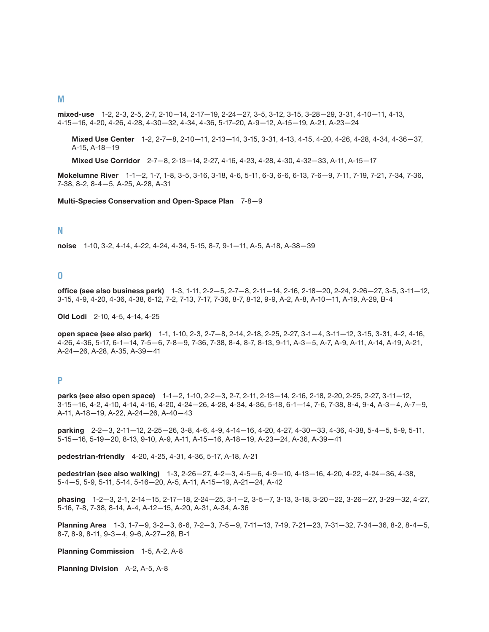#### **M**

**mixed-use** 1-2, 2-3, 2-5, 2-7, 2-10—14, 2-17—19, 2-24—27, 3-5, 3-12, 3-15, 3-28—29, 3-31, 4-10—11, 4-13, 4-15—16, 4-20, 4-26, 4-28, 4-30—32, 4-34, 4-36, 5-17–20, A-9—12, A-15—19, A-21, A-23—24

**Mixed Use Center** 1-2, 2-7—8, 2-10—11, 2-13—14, 3-15, 3-31, 4-13, 4-15, 4-20, 4-26, 4-28, 4-34, 4-36—37, A-15, A-18—19

**Mixed Use Corridor** 2-7—8, 2-13—14, 2-27, 4-16, 4-23, 4-28, 4-30, 4-32—33, A-11, A-15—17

**Mokelumne River** 1-1—2, 1-7, 1-8, 3-5, 3-16, 3-18, 4-6, 5-11, 6-3, 6-6, 6-13, 7-6—9, 7-11, 7-19, 7-21, 7-34, 7-36, 7-38, 8-2, 8-4—5, A-25, A-28, A-31

**Multi-Species Conservation and Open-Space Plan** 7-8—9

#### **N**

**noise** 1-10, 3-2, 4-14, 4-22, 4-24, 4-34, 5-15, 8-7, 9-1—11, A-5, A-18, A-38—39

#### **O**

**office (see also business park)** 1-3, 1-11, 2-2—5, 2-7—8, 2-11—14, 2-16, 2-18—20, 2-24, 2-26—27, 3-5, 3-11—12, 3-15, 4-9, 4-20, 4-36, 4-38, 6-12, 7-2, 7-13, 7-17, 7-36, 8-7, 8-12, 9-9, A-2, A-8, A-10—11, A-19, A-29, B-4

**Old Lodi** 2-10, 4-5, 4-14, 4-25

**open space (see also park)** 1-1, 1-10, 2-3, 2-7—8, 2-14, 2-18, 2-25, 2-27, 3-1—4, 3-11—12, 3-15, 3-31, 4-2, 4-16, 4-26, 4-36, 5-17, 6-1—14, 7-5—6, 7-8—9, 7-36, 7-38, 8-4, 8-7, 8-13, 9-11, A-3—5, A-7, A-9, A-11, A-14, A-19, A-21, A-24—26, A-28, A-35, A-39—41

#### **P**

**parks (see also open space)** 1-1—2, 1-10, 2-2—3, 2-7, 2-11, 2-13—14, 2-16, 2-18, 2-20, 2-25, 2-27, 3-11—12, 3-15—16, 4-2, 4-10, 4-14, 4-16, 4-20, 4-24—26, 4-28, 4-34, 4-36, 5-18, 6-1—14, 7-6, 7-38, 8-4, 9-4, A-3—4, A-7—9, A-11, A-18—19, A-22, A-24—26, A-40—43

**parking** 2-2—3, 2-11—12, 2-25—26, 3-8, 4-6, 4-9, 4-14—16, 4-20, 4-27, 4-30—33, 4-36, 4-38, 5-4—5, 5-9, 5-11, 5-15—16, 5-19—20, 8-13, 9-10, A-9, A-11, A-15—16, A-18—19, A-23—24, A-36, A-39—41

**pedestrian-friendly** 4-20, 4-25, 4-31, 4-36, 5-17, A-18, A-21

**pedestrian (see also walking)** 1-3, 2-26—27, 4-2—3, 4-5—6, 4-9—10, 4-13—16, 4-20, 4-22, 4-24—36, 4-38, 5-4—5, 5-9, 5-11, 5-14, 5-16—20, A-5, A-11, A-15—19, A-21—24, A-42

**phasing** 1-2—3, 2-1, 2-14—15, 2-17—18, 2-24—25, 3-1—2, 3-5—7, 3-13, 3-18, 3-20—22, 3-26—27, 3-29—32, 4-27, 5-16, 7-8, 7-38, 8-14, A-4, A-12—15, A-20, A-31, A-34, A-36

**Planning Area** 1-3, 1-7—9, 3-2—3, 6-6, 7-2—3, 7-5—9, 7-11—13, 7-19, 7-21—23, 7-31—32, 7-34—36, 8-2, 8-4—5, 8-7, 8-9, 8-11, 9-3—4, 9-6, A-27—28, B-1

**Planning Commission** 1-5, A-2, A-8

**Planning Division** A-2, A-5, A-8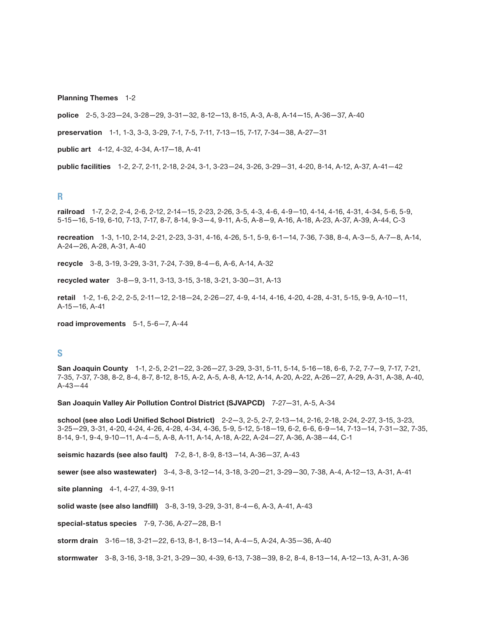**Planning Themes** 1-2

**police** 2-5, 3-23—24, 3-28—29, 3-31—32, 8-12—13, 8-15, A-3, A-8, A-14—15, A-36—37, A-40

**preservation** 1-1, 1-3, 3-3, 3-29, 7-1, 7-5, 7-11, 7-13—15, 7-17, 7-34—38, A-27—31

**public art** 4-12, 4-32, 4-34, A-17—18, A-41

**public facilities** 1-2, 2-7, 2-11, 2-18, 2-24, 3-1, 3-23—24, 3-26, 3-29—31, 4-20, 8-14, A-12, A-37, A-41—42

#### **R**

**railroad** 1-7, 2-2, 2-4, 2-6, 2-12, 2-14—15, 2-23, 2-26, 3-5, 4-3, 4-6, 4-9—10, 4-14, 4-16, 4-31, 4-34, 5-6, 5-9, 5-15—16, 5-19, 6-10, 7-13, 7-17, 8-7, 8-14, 9-3—4, 9-11, A-5, A-8—9, A-16, A-18, A-23, A-37, A-39, A-44, C-3

**recreation** 1-3, 1-10, 2-14, 2-21, 2-23, 3-31, 4-16, 4-26, 5-1, 5-9, 6-1—14, 7-36, 7-38, 8-4, A-3—5, A-7—8, A-14, A-24—26, A-28, A-31, A-40

**recycle** 3-8, 3-19, 3-29, 3-31, 7-24, 7-39, 8-4—6, A-6, A-14, A-32

**recycled water** 3-8—9, 3-11, 3-13, 3-15, 3-18, 3-21, 3-30—31, A-13

**retail** 1-2, 1-6, 2-2, 2-5, 2-11—12, 2-18—24, 2-26—27, 4-9, 4-14, 4-16, 4-20, 4-28, 4-31, 5-15, 9-9, A-10—11, A-15—16, A-41

**road improvements** 5-1, 5-6—7, A-44

#### **S**

**San Joaquin County** 1-1, 2-5, 2-21—22, 3-26—27, 3-29, 3-31, 5-11, 5-14, 5-16—18, 6-6, 7-2, 7-7—9, 7-17, 7-21, 7-35, 7-37, 7-38, 8-2, 8-4, 8-7, 8-12, 8-15, A-2, A-5, A-8, A-12, A-14, A-20, A-22, A-26—27, A-29, A-31, A-38, A-40, A-43—44

**San Joaquin Valley Air Pollution Control District (SJVAPCD)** 7-27—31, A-5, A-34

**school (see also Lodi Unified School District)** 2-2—3, 2-5, 2-7, 2-13—14, 2-16, 2-18, 2-24, 2-27, 3-15, 3-23, 3-25—29, 3-31, 4-20, 4-24, 4-26, 4-28, 4-34, 4-36, 5-9, 5-12, 5-18—19, 6-2, 6-6, 6-9—14, 7-13—14, 7-31—32, 7-35, 8-14, 9-1, 9-4, 9-10—11, A-4—5, A-8, A-11, A-14, A-18, A-22, A-24—27, A-36, A-38—44, C-1

**seismic hazards (see also fault)** 7-2, 8-1, 8-9, 8-13—14, A-36—37, A-43

**sewer (see also wastewater)** 3-4, 3-8, 3-12—14, 3-18, 3-20—21, 3-29—30, 7-38, A-4, A-12—13, A-31, A-41

**site planning** 4-1, 4-27, 4-39, 9-11

**solid waste (see also landfill)** 3-8, 3-19, 3-29, 3-31, 8-4—6, A-3, A-41, A-43

**special-status species** 7-9, 7-36, A-27—28, B-1

**storm drain** 3-16—18, 3-21—22, 6-13, 8-1, 8-13—14, A-4—5, A-24, A-35—36, A-40

**stormwater** 3-8, 3-16, 3-18, 3-21, 3-29—30, 4-39, 6-13, 7-38—39, 8-2, 8-4, 8-13—14, A-12—13, A-31, A-36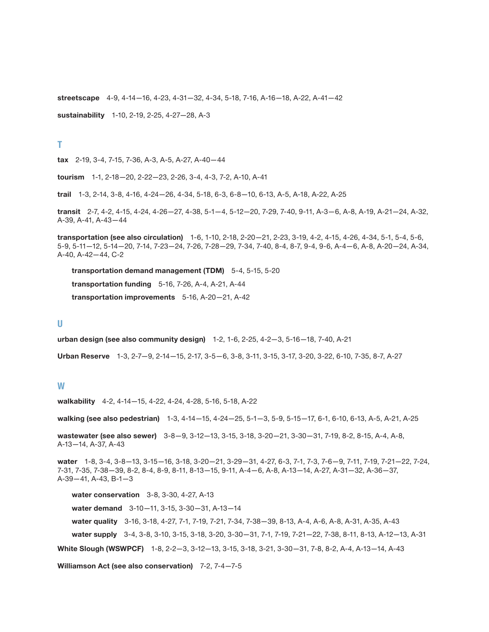**streetscape** 4-9, 4-14—16, 4-23, 4-31—32, 4-34, 5-18, 7-16, A-16—18, A-22, A-41—42

**sustainability** 1-10, 2-19, 2-25, 4-27—28, A-3

**T** 

**tax** 2-19, 3-4, 7-15, 7-36, A-3, A-5, A-27, A-40—44

**tourism** 1-1, 2-18—20, 2-22—23, 2-26, 3-4, 4-3, 7-2, A-10, A-41

**trail** 1-3, 2-14, 3-8, 4-16, 4-24—26, 4-34, 5-18, 6-3, 6-8—10, 6-13, A-5, A-18, A-22, A-25

**transit** 2-7, 4-2, 4-15, 4-24, 4-26—27, 4-38, 5-1—4, 5-12—20, 7-29, 7-40, 9-11, A-3—6, A-8, A-19, A-21—24, A-32, A-39, A-41, A-43—44

**transportation (see also circulation)** 1-6, 1-10, 2-18, 2-20—21, 2-23, 3-19, 4-2, 4-15, 4-26, 4-34, 5-1, 5-4, 5-6, 5-9, 5-11—12, 5-14—20, 7-14, 7-23—24, 7-26, 7-28—29, 7-34, 7-40, 8-4, 8-7, 9-4, 9-6, A-4—6, A-8, A-20—24, A-34, A-40, A-42—44, C-2

**transportation demand management (TDM)** 5-4, 5-15, 5-20

**transportation funding** 5-16, 7-26, A-4, A-21, A-44

**transportation improvements** 5-16, A-20—21, A-42

#### **U**

**urban design (see also community design)** 1-2, 1-6, 2-25, 4-2—3, 5-16—18, 7-40, A-21

**Urban Reserve** 1-3, 2-7—9, 2-14—15, 2-17, 3-5—6, 3-8, 3-11, 3-15, 3-17, 3-20, 3-22, 6-10, 7-35, 8-7, A-27

#### **W**

**walkability** 4-2, 4-14—15, 4-22, 4-24, 4-28, 5-16, 5-18, A-22

**walking (see also pedestrian)** 1-3, 4-14—15, 4-24—25, 5-1—3, 5-9, 5-15—17, 6-1, 6-10, 6-13, A-5, A-21, A-25

**wastewater (see also sewer)** 3-8—9, 3-12—13, 3-15, 3-18, 3-20—21, 3-30—31, 7-19, 8-2, 8-15, A-4, A-8, A-13—14, A-37, A-43

**water** 1-8, 3-4, 3-8—13, 3-15—16, 3-18, 3-20—21, 3-29—31, 4-27, 6-3, 7-1, 7-3, 7-6—9, 7-11, 7-19, 7-21—22, 7-24, 7-31, 7-35, 7-38—39, 8-2, 8-4, 8-9, 8-11, 8-13—15, 9-11, A-4—6, A-8, A-13—14, A-27, A-31—32, A-36—37, A-39—41, A-43, B-1—3

**water conservation** 3-8, 3-30, 4-27, A-13

**water demand** 3-10—11, 3-15, 3-30—31, A-13—14

**water quality** 3-16, 3-18, 4-27, 7-1, 7-19, 7-21, 7-34, 7-38—39, 8-13, A-4, A-6, A-8, A-31, A-35, A-43 **water supply** 3-4, 3-8, 3-10, 3-15, 3-18, 3-20, 3-30—31, 7-1, 7-19, 7-21—22, 7-38, 8-11, 8-13, A-12—13, A-31 **White Slough (WSWPCF)** 1-8, 2-2—3, 3-12—13, 3-15, 3-18, 3-21, 3-30—31, 7-8, 8-2, A-4, A-13—14, A-43

**Williamson Act (see also conservation)** 7-2, 7-4—7-5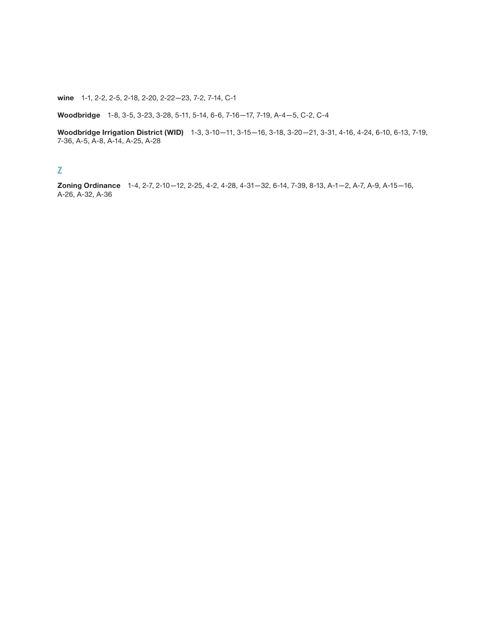**wine** 1-1, 2-2, 2-5, 2-18, 2-20, 2-22—23, 7-2, 7-14, C-1

**Woodbridge** 1-8, 3-5, 3-23, 3-28, 5-11, 5-14, 6-6, 7-16—17, 7-19, A-4—5, C-2, C-4

**Woodbridge Irrigation District (WID)** 1-3, 3-10—11, 3-15—16, 3-18, 3-20—21, 3-31, 4-16, 4-24, 6-10, 6-13, 7-19, 7-36, A-5, A-8, A-14, A-25, A-28

#### **Z**

**Zoning Ordinance** 1-4, 2-7, 2-10—12, 2-25, 4-2, 4-28, 4-31—32, 6-14, 7-39, 8-13, A-1—2, A-7, A-9, A-15—16, A-26, A-32, A-36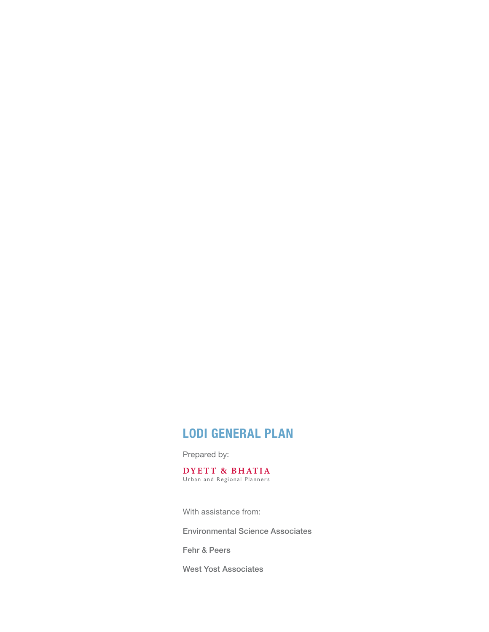# **Lodi General Plan**

Prepared by:

**DYET T & BHAT IA** Urban and Regional Planners

With assistance from:  $4111$  abolonative from:

Environmental Science Associates

Fehr & Peers

West Yost Associates